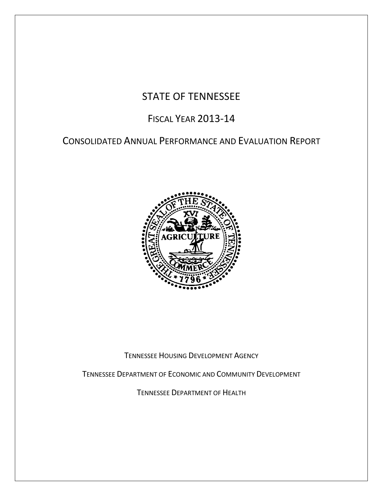# STATE OF TENNESSEE

# FISCAL YEAR 2013-14

# CONSOLIDATED ANNUAL PERFORMANCE AND EVALUATION REPORT



TENNESSEE HOUSING DEVELOPMENT AGENCY

TENNESSEE DEPARTMENT OF ECONOMIC AND COMMUNITY DEVELOPMENT

TENNESSEE DEPARTMENT OF HEALTH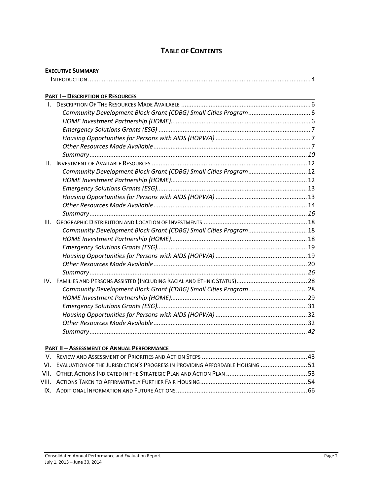## **TABLE OF CONTENTS**

|              | <b>EXECUTIVE SUMMARY</b>                                         |  |
|--------------|------------------------------------------------------------------|--|
|              |                                                                  |  |
|              | <b>PART I-DESCRIPTION OF RESOURCES</b>                           |  |
| $\mathbf{L}$ | <u> 1989 - Johann Stoff, amerikansk politiker (d. 1989)</u>      |  |
|              |                                                                  |  |
|              |                                                                  |  |
|              |                                                                  |  |
|              |                                                                  |  |
|              |                                                                  |  |
|              |                                                                  |  |
| Ш.           |                                                                  |  |
|              | Community Development Block Grant (CDBG) Small Cities Program 12 |  |
|              |                                                                  |  |
|              |                                                                  |  |
|              |                                                                  |  |
|              |                                                                  |  |
|              |                                                                  |  |
| III.         |                                                                  |  |
|              | Community Development Block Grant (CDBG) Small Cities Program 18 |  |
|              |                                                                  |  |
|              |                                                                  |  |
|              |                                                                  |  |
|              |                                                                  |  |
|              |                                                                  |  |
|              |                                                                  |  |
|              | Community Development Block Grant (CDBG) Small Cities Program 28 |  |
|              |                                                                  |  |
|              |                                                                  |  |
|              |                                                                  |  |
|              |                                                                  |  |
|              |                                                                  |  |

#### **PART II – ASSESSMENT OF ANNUAL PERFORMANCE**

| VI. EVALUATION OF THE JURISDICTION'S PROGRESS IN PROVIDING AFFORDABLE HOUSING |  |
|-------------------------------------------------------------------------------|--|
|                                                                               |  |
|                                                                               |  |
|                                                                               |  |
|                                                                               |  |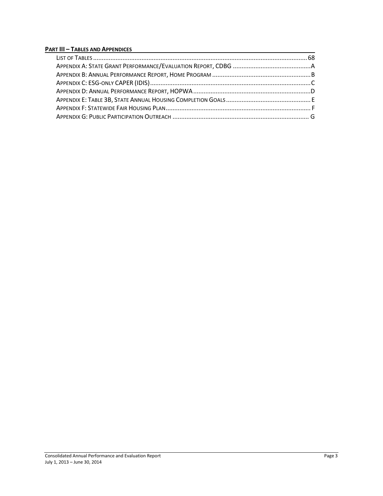#### **PART III – TABLES AND APPENDICES**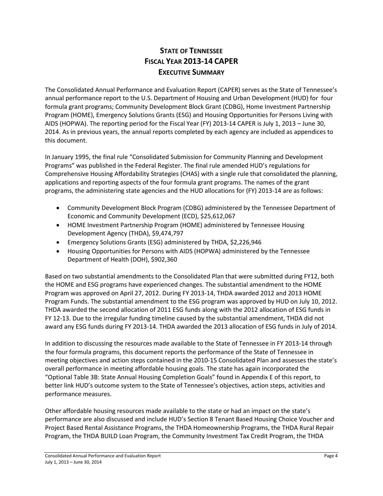## **STATE OF TENNESSEE FISCAL YEAR 2013-14 CAPER EXECUTIVE SUMMARY**

The Consolidated Annual Performance and Evaluation Report (CAPER) serves as the State of Tennessee's annual performance report to the U.S. Department of Housing and Urban Development (HUD) for four formula grant programs; Community Development Block Grant (CDBG), Home Investment Partnership Program (HOME), Emergency Solutions Grants (ESG) and Housing Opportunities for Persons Living with AIDS (HOPWA). The reporting period for the Fiscal Year (FY) 2013-14 CAPER is July 1, 2013 – June 30, 2014. As in previous years, the annual reports completed by each agency are included as appendices to this document.

In January 1995, the final rule "Consolidated Submission for Community Planning and Development Programs" was published in the Federal Register. The final rule amended HUD's regulations for Comprehensive Housing Affordability Strategies (CHAS) with a single rule that consolidated the planning, applications and reporting aspects of the four formula grant programs. The names of the grant programs, the administering state agencies and the HUD allocations for (FY) 2013-14 are as follows:

- Community Development Block Program (CDBG) administered by the Tennessee Department of Economic and Community Development (ECD), \$25,612,067
- HOME Investment Partnership Program (HOME) administered by Tennessee Housing Development Agency (THDA), \$9,474,797
- Emergency Solutions Grants (ESG) administered by THDA, \$2,226,946
- Housing Opportunities for Persons with AIDS (HOPWA) administered by the Tennessee Department of Health (DOH), \$902,360

Based on two substantial amendments to the Consolidated Plan that were submitted during FY12, both the HOME and ESG programs have experienced changes. The substantial amendment to the HOME Program was approved on April 27, 2012. During FY 2013-14, THDA awarded 2012 and 2013 HOME Program Funds. The substantial amendment to the ESG program was approved by HUD on July 10, 2012. THDA awarded the second allocation of 2011 ESG funds along with the 2012 allocation of ESG funds in FY 12-13. Due to the irregular funding timeline caused by the substantial amendment, THDA did not award any ESG funds during FY 2013-14. THDA awarded the 2013 allocation of ESG funds in July of 2014.

In addition to discussing the resources made available to the State of Tennessee in FY 2013-14 through the four formula programs, this document reports the performance of the State of Tennessee in meeting objectives and action steps contained in the 2010-15 Consolidated Plan and assesses the state's overall performance in meeting affordable housing goals. The state has again incorporated the "Optional Table 3B: State Annual Housing Completion Goals" found in Appendix E of this report, to better link HUD's outcome system to the State of Tennessee's objectives, action steps, activities and performance measures.

Other affordable housing resources made available to the state or had an impact on the state's performance are also discussed and include HUD's Section 8 Tenant Based Housing Choice Voucher and Project Based Rental Assistance Programs, the THDA Homeownership Programs, the THDA Rural Repair Program, the THDA BUILD Loan Program, the Community Investment Tax Credit Program, the THDA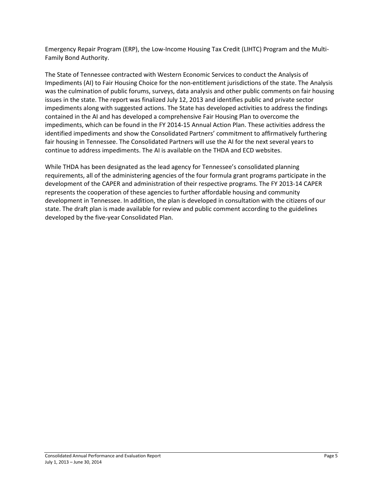Emergency Repair Program (ERP), the Low-Income Housing Tax Credit (LIHTC) Program and the Multi-Family Bond Authority.

The State of Tennessee contracted with Western Economic Services to conduct the Analysis of Impediments (AI) to Fair Housing Choice for the non-entitlement jurisdictions of the state. The Analysis was the culmination of public forums, surveys, data analysis and other public comments on fair housing issues in the state. The report was finalized July 12, 2013 and identifies public and private sector impediments along with suggested actions. The State has developed activities to address the findings contained in the AI and has developed a comprehensive Fair Housing Plan to overcome the impediments, which can be found in the FY 2014-15 Annual Action Plan. These activities address the identified impediments and show the Consolidated Partners' commitment to affirmatively furthering fair housing in Tennessee. The Consolidated Partners will use the AI for the next several years to continue to address impediments. The AI is available on the THDA and ECD websites.

While THDA has been designated as the lead agency for Tennessee's consolidated planning requirements, all of the administering agencies of the four formula grant programs participate in the development of the CAPER and administration of their respective programs. The FY 2013-14 CAPER represents the cooperation of these agencies to further affordable housing and community development in Tennessee. In addition, the plan is developed in consultation with the citizens of our state. The draft plan is made available for review and public comment according to the guidelines developed by the five-year Consolidated Plan.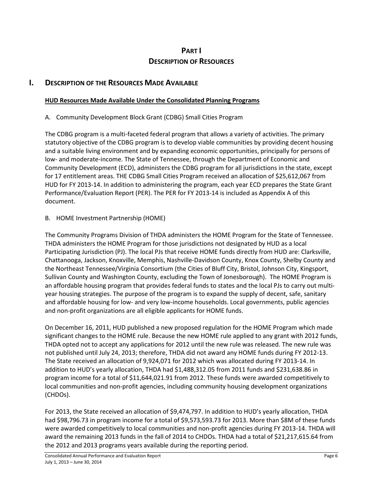## **PART I DESCRIPTION OF RESOURCES**

## **I. DESCRIPTION OF THE RESOURCES MADE AVAILABLE**

#### **HUD Resources Made Available Under the Consolidated Planning Programs**

#### A. Community Development Block Grant (CDBG) Small Cities Program

The CDBG program is a multi-faceted federal program that allows a variety of activities. The primary statutory objective of the CDBG program is to develop viable communities by providing decent housing and a suitable living environment and by expanding economic opportunities, principally for persons of low- and moderate-income. The State of Tennessee, through the Department of Economic and Community Development (ECD), administers the CDBG program for all jurisdictions in the state, except for 17 entitlement areas. THE CDBG Small Cities Program received an allocation of \$25,612,067 from HUD for FY 2013-14. In addition to administering the program, each year ECD prepares the State Grant Performance/Evaluation Report (PER). The PER for FY 2013-14 is included as Appendix A of this document.

#### B. HOME Investment Partnership (HOME)

The Community Programs Division of THDA administers the HOME Program for the State of Tennessee. THDA administers the HOME Program for those jurisdictions not designated by HUD as a local Participating Jurisdiction (PJ). The local PJs that receive HOME funds directly from HUD are: Clarksville, Chattanooga, Jackson, Knoxville, Memphis, Nashville-Davidson County, Knox County, Shelby County and the Northeast Tennessee/Virginia Consortium (the Cities of Bluff City, Bristol, Johnson City, Kingsport, Sullivan County and Washington County, excluding the Town of Jonesborough). The HOME Program is an affordable housing program that provides federal funds to states and the local PJs to carry out multiyear housing strategies. The purpose of the program is to expand the supply of decent, safe, sanitary and affordable housing for low- and very low-income households. Local governments, public agencies and non-profit organizations are all eligible applicants for HOME funds.

On December 16, 2011, HUD published a new proposed regulation for the HOME Program which made significant changes to the HOME rule. Because the new HOME rule applied to any grant with 2012 funds, THDA opted not to accept any applications for 2012 until the new rule was released. The new rule was not published until July 24, 2013; therefore, THDA did not award any HOME funds during FY 2012-13. The State received an allocation of 9,924,071 for 2012 which was allocated during FY 2013-14. In addition to HUD's yearly allocation, THDA had \$1,488,312.05 from 2011 funds and \$231,638.86 in program income for a total of \$11,644,021.91 from 2012. These funds were awarded competitively to local communities and non-profit agencies, including community housing development organizations (CHDOs).

For 2013, the State received an allocation of \$9,474,797. In addition to HUD's yearly allocation, THDA had \$98,796.73 in program income for a total of \$9,573,593.73 for 2013. More than \$8M of these funds were awarded competitively to local communities and non-profit agencies during FY 2013-14. THDA will award the remaining 2013 funds in the fall of 2014 to CHDOs. THDA had a total of \$21,217,615.64 from the 2012 and 2013 programs years available during the reporting period.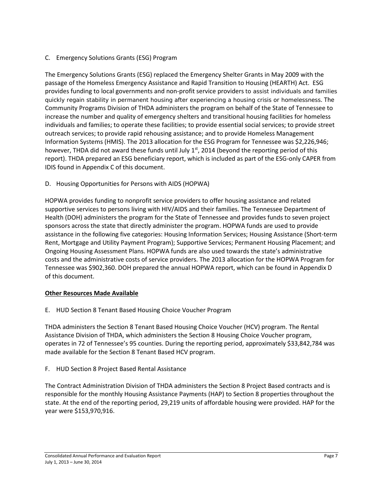C. Emergency Solutions Grants (ESG) Program

The Emergency Solutions Grants (ESG) replaced the Emergency Shelter Grants in May 2009 with the passage of the Homeless Emergency Assistance and Rapid Transition to Housing (HEARTH) Act. ESG provides funding to local governments and non-profit service providers to assist individuals and families quickly regain stability in permanent housing after experiencing a housing crisis or homelessness. The Community Programs Division of THDA administers the program on behalf of the State of Tennessee to increase the number and quality of emergency shelters and transitional housing facilities for homeless individuals and families; to operate these facilities; to provide essential social services; to provide street outreach services; to provide rapid rehousing assistance; and to provide Homeless Management Information Systems (HMIS). The 2013 allocation for the ESG Program for Tennessee was \$2,226,946; however, THDA did not award these funds until July  $1<sup>st</sup>$ , 2014 (beyond the reporting period of this report). THDA prepared an ESG beneficiary report, which is included as part of the ESG-only CAPER from IDIS found in Appendix C of this document.

D. Housing Opportunities for Persons with AIDS (HOPWA)

HOPWA provides funding to nonprofit service providers to offer housing assistance and related supportive services to persons living with HIV/AIDS and their families. The Tennessee Department of Health (DOH) administers the program for the State of Tennessee and provides funds to seven project sponsors across the state that directly administer the program. HOPWA funds are used to provide assistance in the following five categories: Housing Information Services; Housing Assistance (Short-term Rent, Mortgage and Utility Payment Program); Supportive Services; Permanent Housing Placement; and Ongoing Housing Assessment Plans. HOPWA funds are also used towards the state's administrative costs and the administrative costs of service providers. The 2013 allocation for the HOPWA Program for Tennessee was \$902,360. DOH prepared the annual HOPWA report, which can be found in Appendix D of this document.

#### **Other Resources Made Available**

E. HUD Section 8 Tenant Based Housing Choice Voucher Program

THDA administers the Section 8 Tenant Based Housing Choice Voucher (HCV) program. The Rental Assistance Division of THDA, which administers the Section 8 Housing Choice Voucher program, operates in 72 of Tennessee's 95 counties. During the reporting period, approximately \$33,842,784 was made available for the Section 8 Tenant Based HCV program.

F. HUD Section 8 Project Based Rental Assistance

The Contract Administration Division of THDA administers the Section 8 Project Based contracts and is responsible for the monthly Housing Assistance Payments (HAP) to Section 8 properties throughout the state. At the end of the reporting period, 29,219 units of affordable housing were provided. HAP for the year were \$153,970,916.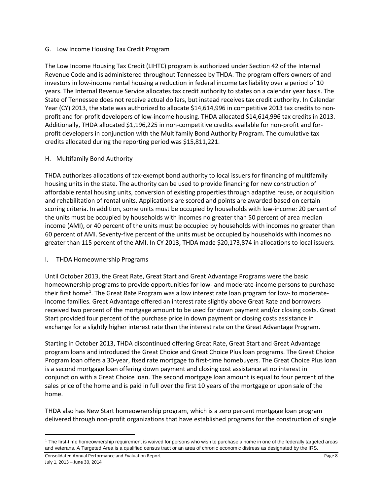#### G. Low Income Housing Tax Credit Program

The Low Income Housing Tax Credit (LIHTC) program is authorized under Section 42 of the Internal Revenue Code and is administered throughout Tennessee by THDA. The program offers owners of and investors in low-income rental housing a reduction in federal income tax liability over a period of 10 years. The Internal Revenue Service allocates tax credit authority to states on a calendar year basis. The State of Tennessee does not receive actual dollars, but instead receives tax credit authority. In Calendar Year (CY) 2013, the state was authorized to allocate \$14,614,996 in competitive 2013 tax credits to nonprofit and for-profit developers of low-income housing. THDA allocated \$14,614,996 tax credits in 2013. Additionally, THDA allocated \$1,196,225 in non-competitive credits available for non-profit and forprofit developers in conjunction with the Multifamily Bond Authority Program. The cumulative tax credits allocated during the reporting period was \$15,811,221.

#### H. Multifamily Bond Authority

THDA authorizes allocations of tax-exempt bond authority to local issuers for financing of multifamily housing units in the state. The authority can be used to provide financing for new construction of affordable rental housing units, conversion of existing properties through adaptive reuse, or acquisition and rehabilitation of rental units. Applications are scored and points are awarded based on certain scoring criteria. In addition, some units must be occupied by households with low-income: 20 percent of the units must be occupied by households with incomes no greater than 50 percent of area median income (AMI), or 40 percent of the units must be occupied by households with incomes no greater than 60 percent of AMI. Seventy-five percent of the units must be occupied by households with incomes no greater than 115 percent of the AMI. In CY 2013, THDA made \$20,173,874 in allocations to local issuers.

#### I. THDA Homeownership Programs

Until October 2013, the Great Rate, Great Start and Great Advantage Programs were the basic homeownership programs to provide opportunities for low- and moderate-income persons to purchase their first home<sup>[1](#page-7-0)</sup>. The Great Rate Program was a low interest rate loan program for low- to moderateincome families. Great Advantage offered an interest rate slightly above Great Rate and borrowers received two percent of the mortgage amount to be used for down payment and/or closing costs. Great Start provided four percent of the purchase price in down payment or closing costs assistance in exchange for a slightly higher interest rate than the interest rate on the Great Advantage Program.

Starting in October 2013, THDA discontinued offering Great Rate, Great Start and Great Advantage program loans and introduced the Great Choice and Great Choice Plus loan programs. The Great Choice Program loan offers a 30-year, fixed rate mortgage to first-time homebuyers. The Great Choice Plus loan is a second mortgage loan offering down payment and closing cost assistance at no interest in conjunction with a Great Choice loan. The second mortgage loan amount is equal to four percent of the sales price of the home and is paid in full over the first 10 years of the mortgage or upon sale of the home.

THDA also has New Start homeownership program, which is a zero percent mortgage loan program delivered through non-profit organizations that have established programs for the construction of single

 $\overline{\phantom{a}}$ 

<span id="page-7-0"></span> $1$  The first-time homeownership requirement is waived for persons who wish to purchase a home in one of the federally targeted areas and veterans. A Targeted Area is a qualified census tract or an area of chronic economic distress as designated by the IRS.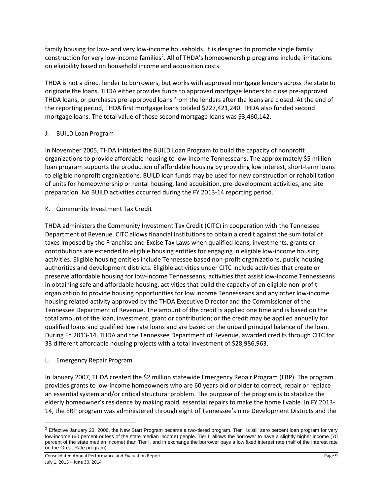family housing for low- and very low-income households. It is designed to promote single family construction for very low-income families<sup>[2](#page-8-0)</sup>. All of THDA's homeownership programs include limitations on eligibility based on household income and acquisition costs.

THDA is not a direct lender to borrowers, but works with approved mortgage lenders across the state to originate the loans. THDA either provides funds to approved mortgage lenders to close pre-approved THDA loans, or purchases pre-approved loans from the lenders after the loans are closed. At the end of the reporting period, THDA first mortgage loans totaled \$227,421,240. THDA also funded second mortgage loans. The total value of those second mortgage loans was \$3,460,142.

#### J. BUILD Loan Program

In November 2005, THDA initiated the BUILD Loan Program to build the capacity of nonprofit organizations to provide affordable housing to low-income Tennesseans. The approximately \$5 million loan program supports the production of affordable housing by providing low interest, short-term loans to eligible nonprofit organizations. BUILD loan funds may be used for new construction or rehabilitation of units for homeownership or rental housing, land acquisition, pre-development activities, and site preparation. No BUILD activities occurred during the FY 2013-14 reporting period.

#### K. Community Investment Tax Credit

THDA administers the Community Investment Tax Credit (CITC) in cooperation with the Tennessee Department of Revenue. CITC allows financial institutions to obtain a credit against the sum total of taxes imposed by the Franchise and Excise Tax Laws when qualified loans, investments, grants or contributions are extended to eligible housing entities for engaging in eligible low-income housing activities. Eligible housing entities include Tennessee based non-profit organizations, public housing authorities and development districts. Eligible activities under CITC include activities that create or preserve affordable housing for low-income Tennesseans, activities that assist low-income Tennesseans in obtaining safe and affordable housing, activities that build the capacity of an eligible non-profit organization to provide housing opportunities for low income Tennesseans and any other low-income housing related activity approved by the THDA Executive Director and the Commissioner of the Tennessee Department of Revenue. The amount of the credit is applied one time and is based on the total amount of the loan, investment, grant or contribution; or the credit may be applied annually for qualified loans and qualified low rate loans and are based on the unpaid principal balance of the loan. During FY 2013-14, THDA and the Tennessee Department of Revenue, awarded credits through CITC for 33 different affordable housing projects with a total investment of \$28,986,963.

#### L. Emergency Repair Program

 $\overline{\phantom{a}}$ 

In January 2007, THDA created the \$2 million statewide Emergency Repair Program (ERP). The program provides grants to low-income homeowners who are 60 years old or older to correct, repair or replace an essential system and/or critical structural problem. The purpose of the program is to stabilize the elderly homeowner's residence by making rapid, essential repairs to make the home livable. In FY 2013- 14, the ERP program was administered through eight of Tennessee's nine Development Districts and the

<span id="page-8-0"></span> $2$  Effective January 23, 2006, the New Start Program became a two-tiered program. Tier I is still zero percent loan program for very low-income (60 percent or less of the state median income) people. Tier II allows the borrower to have a slightly higher income (70 percent of the state median income) than Tier I, and in exchange the borrower pays a low fixed interest rate (half of the interest rate on the Great Rate program).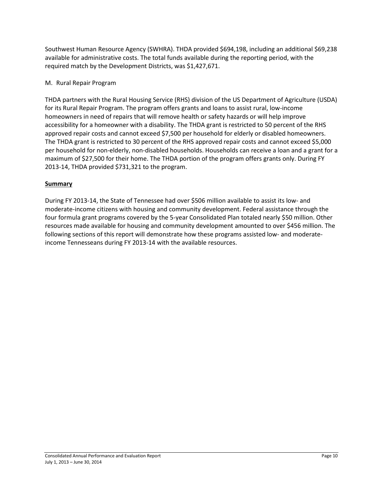Southwest Human Resource Agency (SWHRA). THDA provided \$694,198, including an additional \$69,238 available for administrative costs. The total funds available during the reporting period, with the required match by the Development Districts, was \$1,427,671.

#### M. Rural Repair Program

THDA partners with the Rural Housing Service (RHS) division of the US Department of Agriculture (USDA) for its Rural Repair Program. The program offers grants and loans to assist rural, low-income homeowners in need of repairs that will remove health or safety hazards or will help improve accessibility for a homeowner with a disability. The THDA grant is restricted to 50 percent of the RHS approved repair costs and cannot exceed \$7,500 per household for elderly or disabled homeowners. The THDA grant is restricted to 30 percent of the RHS approved repair costs and cannot exceed \$5,000 per household for non-elderly, non-disabled households. Households can receive a loan and a grant for a maximum of \$27,500 for their home. The THDA portion of the program offers grants only. During FY 2013-14, THDA provided \$731,321 to the program.

#### **Summary**

During FY 2013-14, the State of Tennessee had over \$506 million available to assist its low- and moderate-income citizens with housing and community development. Federal assistance through the four formula grant programs covered by the 5-year Consolidated Plan totaled nearly \$50 million. Other resources made available for housing and community development amounted to over \$456 million. The following sections of this report will demonstrate how these programs assisted low- and moderateincome Tennesseans during FY 2013-14 with the available resources.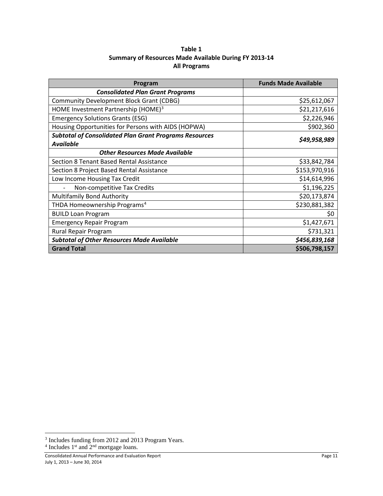| Table 1                                               |
|-------------------------------------------------------|
| Summary of Resources Made Available During FY 2013-14 |
| <b>All Programs</b>                                   |

| Program                                                       | <b>Funds Made Available</b> |
|---------------------------------------------------------------|-----------------------------|
| <b>Consolidated Plan Grant Programs</b>                       |                             |
| <b>Community Development Block Grant (CDBG)</b>               | \$25,612,067                |
| HOME Investment Partnership (HOME) <sup>3</sup>               | \$21,217,616                |
| <b>Emergency Solutions Grants (ESG)</b>                       | \$2,226,946                 |
| Housing Opportunities for Persons with AIDS (HOPWA)           | \$902,360                   |
| <b>Subtotal of Consolidated Plan Grant Programs Resources</b> | \$49,958,989                |
| <b>Available</b>                                              |                             |
| <b>Other Resources Made Available</b>                         |                             |
| Section 8 Tenant Based Rental Assistance                      | \$33,842,784                |
| Section 8 Project Based Rental Assistance                     | \$153,970,916               |
| Low Income Housing Tax Credit                                 | \$14,614,996                |
| Non-competitive Tax Credits                                   | \$1,196,225                 |
| Multifamily Bond Authority                                    | \$20,173,874                |
| THDA Homeownership Programs <sup>4</sup>                      | \$230,881,382               |
| <b>BUILD Loan Program</b>                                     | \$0                         |
| <b>Emergency Repair Program</b>                               | \$1,427,671                 |
| Rural Repair Program                                          | \$731,321                   |
| <b>Subtotal of Other Resources Made Available</b>             | \$456,839,168               |
| <b>Grand Total</b>                                            | \$506,798,157               |

l

<span id="page-10-1"></span><span id="page-10-0"></span><sup>&</sup>lt;sup>3</sup> Includes funding from 2012 and 2013 Program Years.

 $4$  Includes 1<sup>st</sup> and  $2<sup>nd</sup>$  mortgage loans.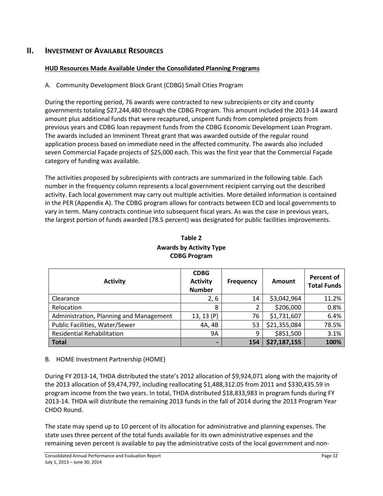## **II. INVESTMENT OF AVAILABLE RESOURCES**

#### **HUD Resources Made Available Under the Consolidated Planning Programs**

## A. Community Development Block Grant (CDBG) Small Cities Program

During the reporting period, 76 awards were contracted to new subrecipients or city and county governments totaling \$27,244,480 through the CDBG Program. This amount included the 2013-14 award amount plus additional funds that were recaptured, unspent funds from completed projects from previous years and CDBG loan repayment funds from the CDBG Economic Development Loan Program. The awards included an Imminent Threat grant that was awarded outside of the regular round application process based on immediate need in the affected community. The awards also included seven Commercial Façade projects of \$25,000 each. This was the first year that the Commercial Façade category of funding was available.

The activities proposed by subrecipients with contracts are summarized in the following table. Each number in the frequency column represents a local government recipient carrying out the described activity. Each local government may carry out multiple activities. More detailed information is contained in the PER (Appendix A). The CDBG program allows for contracts between ECD and local governments to vary in term. Many contracts continue into subsequent fiscal years. As was the case in previous years, the largest portion of funds awarded (78.5 percent) was designated for public facilities improvements.

| <b>Activity</b>                         | <b>CDBG</b><br><b>Activity</b><br><b>Number</b> | <b>Frequency</b> | Amount       | <b>Percent of</b><br><b>Total Funds</b> |
|-----------------------------------------|-------------------------------------------------|------------------|--------------|-----------------------------------------|
| Clearance                               | 2, 6                                            | 14               | \$3,042,964  | 11.2%                                   |
| Relocation                              | 8                                               |                  | \$206,000    | 0.8%                                    |
| Administration, Planning and Management | 13, 13 (P)                                      | 76               | \$1,731,607  | 6.4%                                    |
| Public Facilities, Water/Sewer          | 4A, 4B                                          | 53               | \$21,355,084 | 78.5%                                   |
| <b>Residential Rehabilitation</b>       | <b>9A</b>                                       | 9                | \$851,500    | 3.1%                                    |
| <b>Total</b>                            |                                                 | 154              | \$27,187,155 | 100%                                    |

## **Table 2 Awards by Activity Type CDBG Program**

#### B. HOME Investment Partnership (HOME)

During FY 2013-14, THDA distributed the state's 2012 allocation of \$9,924,071 along with the majority of the 2013 allocation of \$9,474,797, including reallocating \$1,488,312.05 from 2011 and \$330,435.59 in program income from the two years. In total, THDA distributed \$18,833,983 in program funds during FY 2013-14. THDA will distribute the remaining 2013 funds in the fall of 2014 during the 2013 Program Year CHDO Round.

The state may spend up to 10 percent of its allocation for administrative and planning expenses. The state uses three percent of the total funds available for its own administrative expenses and the remaining seven percent is available to pay the administrative costs of the local government and non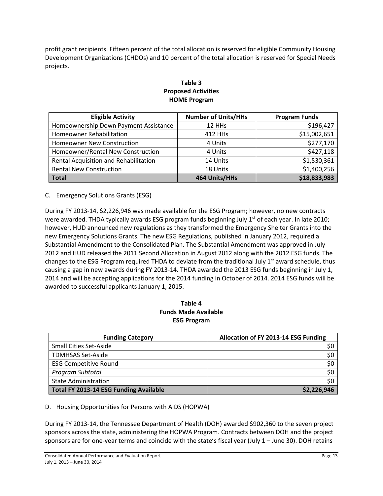profit grant recipients. Fifteen percent of the total allocation is reserved for eligible Community Housing Development Organizations (CHDOs) and 10 percent of the total allocation is reserved for Special Needs projects.

## **Table 3 Proposed Activities HOME Program**

| <b>Eligible Activity</b>              | <b>Number of Units/HHs</b> | <b>Program Funds</b> |
|---------------------------------------|----------------------------|----------------------|
| Homeownership Down Payment Assistance | 12 HHs                     | \$196,427            |
| <b>Homeowner Rehabilitation</b>       | 412 HHs                    | \$15,002,651         |
| <b>Homeowner New Construction</b>     | 4 Units                    | \$277,170            |
| Homeowner/Rental New Construction     | 4 Units                    | \$427,118            |
| Rental Acquisition and Rehabilitation | 14 Units                   | \$1,530,361          |
| <b>Rental New Construction</b>        | 18 Units                   | \$1,400,256          |
| <b>Total</b>                          | 464 Units/HHs              | \$18,833,983         |

#### C. Emergency Solutions Grants (ESG)

During FY 2013-14, \$2,226,946 was made available for the ESG Program; however, no new contracts were awarded. THDA typically awards ESG program funds beginning July  $1<sup>st</sup>$  of each year. In late 2010; however, HUD announced new regulations as they transformed the Emergency Shelter Grants into the new Emergency Solutions Grants. The new ESG Regulations, published in January 2012, required a Substantial Amendment to the Consolidated Plan. The Substantial Amendment was approved in July 2012 and HUD released the 2011 Second Allocation in August 2012 along with the 2012 ESG funds. The changes to the ESG Program required THDA to deviate from the traditional July  $1<sup>st</sup>$  award schedule, thus causing a gap in new awards during FY 2013-14. THDA awarded the 2013 ESG funds beginning in July 1, 2014 and will be accepting applications for the 2014 funding in October of 2014. 2014 ESG funds will be awarded to successful applicants January 1, 2015.

#### **Table 4 Funds Made Available ESG Program**

| <b>Funding Category</b>                       | Allocation of FY 2013-14 ESG Funding |
|-----------------------------------------------|--------------------------------------|
| <b>Small Cities Set-Aside</b>                 |                                      |
| <b>TDMHSAS Set-Aside</b>                      | \$0                                  |
| <b>ESG Competitive Round</b>                  | \$0                                  |
| Program Subtotal                              | \$0                                  |
| <b>State Administration</b>                   | \$0                                  |
| <b>Total FY 2013-14 ESG Funding Available</b> | \$2,226,946                          |

#### D. Housing Opportunities for Persons with AIDS (HOPWA)

During FY 2013-14, the Tennessee Department of Health (DOH) awarded \$902,360 to the seven project sponsors across the state, administering the HOPWA Program. Contracts between DOH and the project sponsors are for one-year terms and coincide with the state's fiscal year (July 1 – June 30). DOH retains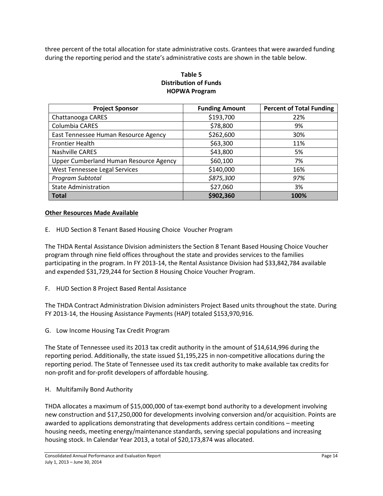three percent of the total allocation for state administrative costs. Grantees that were awarded funding during the reporting period and the state's administrative costs are shown in the table below.

## **Table 5 Distribution of Funds HOPWA Program**

| <b>Project Sponsor</b>                 | <b>Funding Amount</b> | <b>Percent of Total Funding</b> |
|----------------------------------------|-----------------------|---------------------------------|
| Chattanooga CARES                      | \$193,700             | 22%                             |
| Columbia CARES                         | \$78,800              | 9%                              |
| East Tennessee Human Resource Agency   | \$262,600             | 30%                             |
| <b>Frontier Health</b>                 | \$63,300              | 11%                             |
| <b>Nashville CARES</b>                 | \$43,800              | 5%                              |
| Upper Cumberland Human Resource Agency | \$60,100              | 7%                              |
| West Tennessee Legal Services          | \$140,000             | 16%                             |
| Program Subtotal                       | \$875,300             | 97%                             |
| <b>State Administration</b>            | \$27,060              | 3%                              |
| <b>Total</b>                           | \$902,360             | 100%                            |

#### **Other Resources Made Available**

E. HUD Section 8 Tenant Based Housing Choice Voucher Program

The THDA Rental Assistance Division administers the Section 8 Tenant Based Housing Choice Voucher program through nine field offices throughout the state and provides services to the families participating in the program. In FY 2013-14, the Rental Assistance Division had \$33,842,784 available and expended \$31,729,244 for Section 8 Housing Choice Voucher Program.

F. HUD Section 8 Project Based Rental Assistance

The THDA Contract Administration Division administers Project Based units throughout the state. During FY 2013-14, the Housing Assistance Payments (HAP) totaled \$153,970,916.

G. Low Income Housing Tax Credit Program

The State of Tennessee used its 2013 tax credit authority in the amount of \$14,614,996 during the reporting period. Additionally, the state issued \$1,195,225 in non-competitive allocations during the reporting period. The State of Tennessee used its tax credit authority to make available tax credits for non-profit and for-profit developers of affordable housing.

H. Multifamily Bond Authority

THDA allocates a maximum of \$15,000,000 of tax-exempt bond authority to a development involving new construction and \$17,250,000 for developments involving conversion and/or acquisition. Points are awarded to applications demonstrating that developments address certain conditions – meeting housing needs, meeting energy/maintenance standards, serving special populations and increasing housing stock. In Calendar Year 2013, a total of \$20,173,874 was allocated.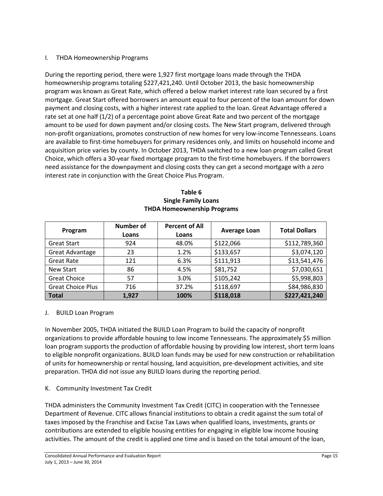#### I. THDA Homeownership Programs

During the reporting period, there were 1,927 first mortgage loans made through the THDA homeownership programs totaling \$227,421,240. Until October 2013, the basic homeownership program was known as Great Rate, which offered a below market interest rate loan secured by a first mortgage. Great Start offered borrowers an amount equal to four percent of the loan amount for down payment and closing costs, with a higher interest rate applied to the loan. Great Advantage offered a rate set at one half (1/2) of a percentage point above Great Rate and two percent of the mortgage amount to be used for down payment and/or closing costs. The New Start program, delivered through non-profit organizations, promotes construction of new homes for very low-income Tennesseans. Loans are available to first-time homebuyers for primary residences only, and limits on household income and acquisition price varies by county. In October 2013, THDA switched to a new loan program called Great Choice, which offers a 30-year fixed mortgage program to the first-time homebuyers. If the borrowers need assistance for the downpayment and closing costs they can get a second mortgage with a zero interest rate in conjunction with the Great Choice Plus Program.

| <b>THDA Homeownership Programs</b> |                           |                                |                     |                      |  |
|------------------------------------|---------------------------|--------------------------------|---------------------|----------------------|--|
| Program                            | <b>Number of</b><br>Loans | <b>Percent of All</b><br>Loans | <b>Average Loan</b> | <b>Total Dollars</b> |  |
| <b>Great Start</b>                 | 924                       | 48.0%                          | \$122,066           | \$112,789,360        |  |
| Great Advantage                    | 23                        | 1.2%                           | \$133,657           | \$3,074,120          |  |
| <b>Great Rate</b>                  | 121                       | 6.3%                           | \$111,913           | \$13,541,476         |  |
| New Start                          | 86                        | 4.5%                           | \$81,752            | \$7,030,651          |  |
| <b>Great Choice</b>                | 57                        | 3.0%                           | \$105,242           | \$5,998,803          |  |
| <b>Great Choice Plus</b>           | 716                       | 37.2%                          | \$118,697           | \$84,986,830         |  |

**Total 1,927 100% \$118,018 \$227,421,240**

# **Table 6 Single Family Loans**

#### J. BUILD Loan Program

In November 2005, THDA initiated the BUILD Loan Program to build the capacity of nonprofit organizations to provide affordable housing to low income Tennesseans. The approximately \$5 million loan program supports the production of affordable housing by providing low interest, short term loans to eligible nonprofit organizations. BUILD loan funds may be used for new construction or rehabilitation of units for homeownership or rental housing, land acquisition, pre-development activities, and site preparation. THDA did not issue any BUILD loans during the reporting period.

#### K. Community Investment Tax Credit

THDA administers the Community Investment Tax Credit (CITC) in cooperation with the Tennessee Department of Revenue. CITC allows financial institutions to obtain a credit against the sum total of taxes imposed by the Franchise and Excise Tax Laws when qualified loans, investments, grants or contributions are extended to eligible housing entities for engaging in eligible low income housing activities. The amount of the credit is applied one time and is based on the total amount of the loan,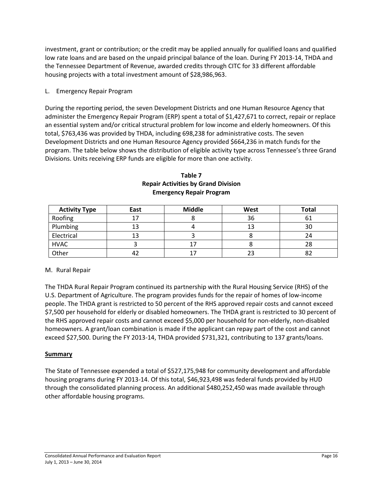investment, grant or contribution; or the credit may be applied annually for qualified loans and qualified low rate loans and are based on the unpaid principal balance of the loan. During FY 2013-14, THDA and the Tennessee Department of Revenue, awarded credits through CITC for 33 different affordable housing projects with a total investment amount of \$28,986,963.

#### L. Emergency Repair Program

During the reporting period, the seven Development Districts and one Human Resource Agency that administer the Emergency Repair Program (ERP) spent a total of \$1,427,671 to correct, repair or replace an essential system and/or critical structural problem for low income and elderly homeowners. Of this total, \$763,436 was provided by THDA, including 698,238 for administrative costs. The seven Development Districts and one Human Resource Agency provided \$664,236 in match funds for the program. The table below shows the distribution of eligible activity type across Tennessee's three Grand Divisions. Units receiving ERP funds are eligible for more than one activity.

| <b>Activity Type</b> | East | <b>Middle</b> | West | <b>Total</b> |
|----------------------|------|---------------|------|--------------|
| Roofing              |      |               | 36   |              |
| Plumbing             |      |               | 13   | 30           |
| Electrical           | 13   |               |      | 24           |
| <b>HVAC</b>          |      |               |      | 28           |
| Other                | 42   |               | 23   |              |

#### **Table 7 Repair Activities by Grand Division Emergency Repair Program**

#### M. Rural Repair

The THDA Rural Repair Program continued its partnership with the Rural Housing Service (RHS) of the U.S. Department of Agriculture. The program provides funds for the repair of homes of low-income people. The THDA grant is restricted to 50 percent of the RHS approved repair costs and cannot exceed \$7,500 per household for elderly or disabled homeowners. The THDA grant is restricted to 30 percent of the RHS approved repair costs and cannot exceed \$5,000 per household for non-elderly, non-disabled homeowners. A grant/loan combination is made if the applicant can repay part of the cost and cannot exceed \$27,500. During the FY 2013-14, THDA provided \$731,321, contributing to 137 grants/loans.

#### **Summary**

The State of Tennessee expended a total of \$527,175,948 for community development and affordable housing programs during FY 2013-14. Of this total, \$46,923,498 was federal funds provided by HUD through the consolidated planning process. An additional \$480,252,450 was made available through other affordable housing programs.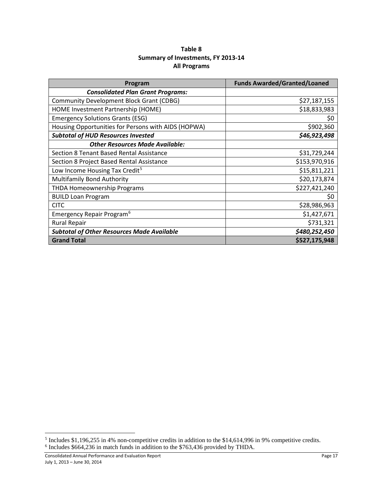| Table 8                            |
|------------------------------------|
| Summary of Investments, FY 2013-14 |
| <b>All Programs</b>                |

| Program                                             | <b>Funds Awarded/Granted/Loaned</b> |
|-----------------------------------------------------|-------------------------------------|
| <b>Consolidated Plan Grant Programs:</b>            |                                     |
| <b>Community Development Block Grant (CDBG)</b>     | \$27,187,155                        |
| HOME Investment Partnership (HOME)                  | \$18,833,983                        |
| <b>Emergency Solutions Grants (ESG)</b>             | \$0                                 |
| Housing Opportunities for Persons with AIDS (HOPWA) | \$902,360                           |
| <b>Subtotal of HUD Resources Invested</b>           | \$46,923,498                        |
| <b>Other Resources Made Available:</b>              |                                     |
| Section 8 Tenant Based Rental Assistance            | \$31,729,244                        |
| Section 8 Project Based Rental Assistance           | \$153,970,916                       |
| Low Income Housing Tax Credit <sup>5</sup>          | \$15,811,221                        |
| Multifamily Bond Authority                          | \$20,173,874                        |
| <b>THDA Homeownership Programs</b>                  | \$227,421,240                       |
| <b>BUILD Loan Program</b>                           | \$0                                 |
| <b>CITC</b>                                         | \$28,986,963                        |
| Emergency Repair Program <sup>6</sup>               | \$1,427,671                         |
| <b>Rural Repair</b>                                 | \$731,321                           |
| <b>Subtotal of Other Resources Made Available</b>   | \$480,252,450                       |
| <b>Grand Total</b>                                  | \$527,175,948                       |

l

<span id="page-16-1"></span><span id="page-16-0"></span><sup>&</sup>lt;sup>5</sup> Includes \$1,196,255 in 4% non-competitive credits in addition to the \$14,614,996 in 9% competitive credits. <sup>6</sup> Includes \$664,236 in match funds in addition to the \$763,436 provided by THDA.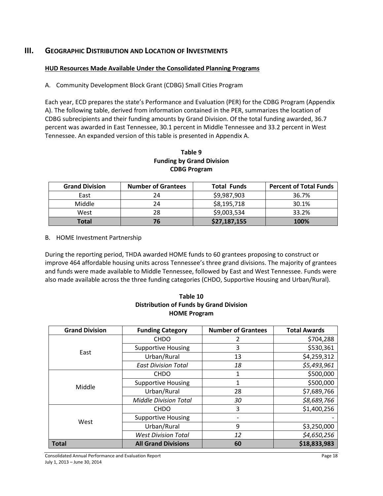## **III. GEOGRAPHIC DISTRIBUTION AND LOCATION OF INVESTMENTS**

#### **HUD Resources Made Available Under the Consolidated Planning Programs**

A. Community Development Block Grant (CDBG) Small Cities Program

Each year, ECD prepares the state's Performance and Evaluation (PER) for the CDBG Program (Appendix A). The following table, derived from information contained in the PER, summarizes the location of CDBG subrecipients and their funding amounts by Grand Division. Of the total funding awarded, 36.7 percent was awarded in East Tennessee, 30.1 percent in Middle Tennessee and 33.2 percent in West Tennessee. An expanded version of this table is presented in Appendix A.

| Table 9                          |  |  |
|----------------------------------|--|--|
| <b>Funding by Grand Division</b> |  |  |
| <b>CDBG Program</b>              |  |  |

| <b>Grand Division</b> | <b>Number of Grantees</b> | <b>Total Funds</b> | <b>Percent of Total Funds</b> |
|-----------------------|---------------------------|--------------------|-------------------------------|
| East                  | 24                        | \$9,987,903        | 36.7%                         |
| Middle                | 24                        | \$8,195,718        | 30.1%                         |
| West                  | 28                        | \$9,003,534        | 33.2%                         |
| <b>Total</b>          | 76                        | \$27,187,155       | 100%                          |

#### B. HOME Investment Partnership

During the reporting period, THDA awarded HOME funds to 60 grantees proposing to construct or improve 464 affordable housing units across Tennessee's three grand divisions. The majority of grantees and funds were made available to Middle Tennessee, followed by East and West Tennessee. Funds were also made available across the three funding categories (CHDO, Supportive Housing and Urban/Rural).

| Table 10                                       |
|------------------------------------------------|
| <b>Distribution of Funds by Grand Division</b> |
| <b>HOME Program</b>                            |

| <b>Grand Division</b> | <b>Funding Category</b>        | <b>Total Awards</b> |              |
|-----------------------|--------------------------------|---------------------|--------------|
|                       | <b>CHDO</b>                    | 2                   | \$704,288    |
| East                  | <b>Supportive Housing</b><br>3 |                     | \$530,361    |
|                       | Urban/Rural                    | 13                  | \$4,259,312  |
|                       | <b>East Division Total</b>     | 18                  | \$5,493,961  |
|                       | <b>CHDO</b>                    | 1                   | \$500,000    |
| Middle                | <b>Supportive Housing</b>      | 1                   | \$500,000    |
|                       | Urban/Rural                    | 28                  | \$7,689,766  |
|                       | <b>Middle Division Total</b>   | 30                  | \$8,689,766  |
|                       | <b>CHDO</b>                    | 3                   | \$1,400,256  |
| West                  | <b>Supportive Housing</b>      |                     |              |
|                       | Urban/Rural                    | 9                   | \$3,250,000  |
|                       | <b>West Division Total</b>     | 12                  | \$4,650,256  |
| <b>Total</b>          | <b>All Grand Divisions</b>     | 60                  | \$18,833,983 |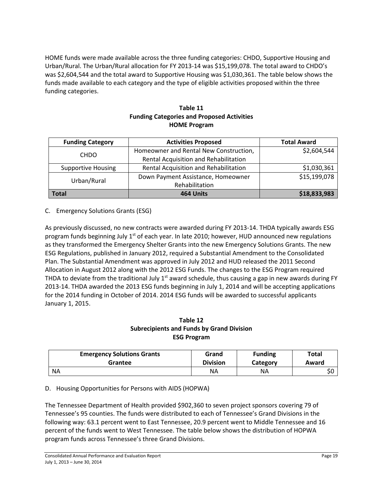HOME funds were made available across the three funding categories: CHDO, Supportive Housing and Urban/Rural. The Urban/Rural allocation for FY 2013-14 was \$15,199,078. The total award to CHDO's was \$2,604,544 and the total award to Supportive Housing was \$1,030,361. The table below shows the funds made available to each category and the type of eligible activities proposed within the three funding categories.

#### **Table 11 Funding Categories and Proposed Activities HOME Program**

| <b>Funding Category</b>   | <b>Activities Proposed</b>             | <b>Total Award</b> |
|---------------------------|----------------------------------------|--------------------|
| <b>CHDO</b>               | Homeowner and Rental New Construction, | \$2,604,544        |
|                           | Rental Acquisition and Rehabilitation  |                    |
| <b>Supportive Housing</b> | Rental Acquisition and Rehabilitation  | \$1,030,361        |
| Urban/Rural               | Down Payment Assistance, Homeowner     | \$15,199,078       |
|                           | Rehabilitation                         |                    |
| 464 Units<br><b>Total</b> |                                        | \$18,833,983       |

## C. Emergency Solutions Grants (ESG)

As previously discussed, no new contracts were awarded during FY 2013-14. THDA typically awards ESG program funds beginning July  $1<sup>st</sup>$  of each year. In late 2010; however, HUD announced new regulations as they transformed the Emergency Shelter Grants into the new Emergency Solutions Grants. The new ESG Regulations, published in January 2012, required a Substantial Amendment to the Consolidated Plan. The Substantial Amendment was approved in July 2012 and HUD released the 2011 Second Allocation in August 2012 along with the 2012 ESG Funds. The changes to the ESG Program required THDA to deviate from the traditional July  $1<sup>st</sup>$  award schedule, thus causing a gap in new awards during FY 2013-14. THDA awarded the 2013 ESG funds beginning in July 1, 2014 and will be accepting applications for the 2014 funding in October of 2014. 2014 ESG funds will be awarded to successful applicants January 1, 2015.

#### **Table 12 Subrecipients and Funds by Grand Division ESG Program**

| <b>Emergency Solutions Grants</b> | Grand           | <b>Funding</b> | <b>Total</b> |
|-----------------------------------|-----------------|----------------|--------------|
| Grantee                           | <b>Division</b> | Category       | Award        |
| <b>NA</b>                         | ΝA              | ΝA             | \$0          |

#### D. Housing Opportunities for Persons with AIDS (HOPWA)

The Tennessee Department of Health provided \$902,360 to seven project sponsors covering 79 of Tennessee's 95 counties. The funds were distributed to each of Tennessee's Grand Divisions in the following way: 63.1 percent went to East Tennessee, 20.9 percent went to Middle Tennessee and 16 percent of the funds went to West Tennessee. The table below shows the distribution of HOPWA program funds across Tennessee's three Grand Divisions.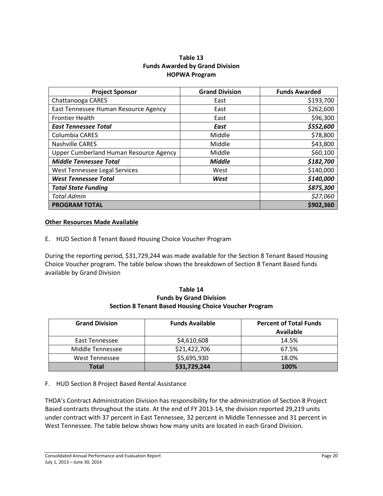#### **Table 13 Funds Awarded by Grand Division HOPWA Program**

| <b>Project Sponsor</b>                 | <b>Grand Division</b> | <b>Funds Awarded</b> |
|----------------------------------------|-----------------------|----------------------|
| Chattanooga CARES                      | East                  | \$193,700            |
| East Tennessee Human Resource Agency   | East                  | \$262,600            |
| <b>Frontier Health</b>                 | East                  | \$96,300             |
| <b>East Tennessee Total</b>            | East                  | \$552,600            |
| Columbia CARES                         | Middle                | \$78,800             |
| <b>Nashville CARES</b>                 | Middle                | \$43,800             |
| Upper Cumberland Human Resource Agency | Middle                | \$60,100             |
| <b>Middle Tennessee Total</b>          | <b>Middle</b>         | \$182,700            |
| West Tennessee Legal Services          | West                  | \$140,000            |
| <b>West Tennessee Total</b>            | West                  | \$140,000            |
| <b>Total State Funding</b>             | \$875,300             |                      |
| <b>Total Admin</b>                     | \$27,060              |                      |
| <b>PROGRAM TOTAL</b>                   | \$902,360             |                      |

#### **Other Resources Made Available**

E. HUD Section 8 Tenant Based Housing Choice Voucher Program

During the reporting period, \$31,729,244 was made available for the Section 8 Tenant Based Housing Choice Voucher program. The table below shows the breakdown of Section 8 Tenant Based funds available by Grand Division

#### **Table 14 Funds by Grand Division Section 8 Tenant Based Housing Choice Voucher Program**

| <b>Grand Division</b> | <b>Funds Available</b> | <b>Percent of Total Funds</b><br><b>Available</b> |
|-----------------------|------------------------|---------------------------------------------------|
| East Tennessee        | \$4,610,608            | 14.5%                                             |
| Middle Tennessee      | \$21,422,706           | 67.5%                                             |
| West Tennessee        | \$5,695,930            | 18.0%                                             |
| Total                 | \$31,729,244           | 100%                                              |

#### F. HUD Section 8 Project Based Rental Assistance

THDA's Contract Administration Division has responsibility for the administration of Section 8 Project Based contracts throughout the state. At the end of FY 2013-14, the division reported 29,219 units under contract with 37 percent in East Tennessee, 32 percent in Middle Tennessee and 31 percent in West Tennessee. The table below shows how many units are located in each Grand Division.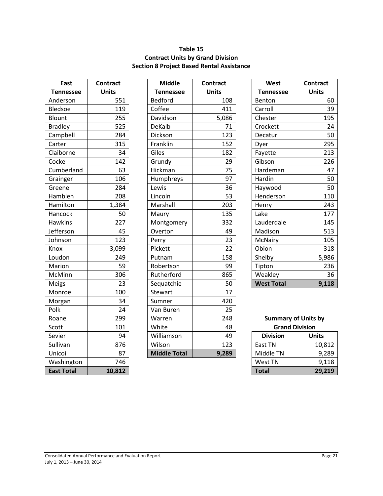## **Table 15 Contract Units by Grand Division Section 8 Project Based Rental Assistance**

| <b>East</b>       | Contract     |  |  |
|-------------------|--------------|--|--|
| <b>Tennessee</b>  | <b>Units</b> |  |  |
| Anderson          | 551          |  |  |
| <b>Bledsoe</b>    | 119          |  |  |
| Blount            | 255          |  |  |
| <b>Bradley</b>    | 525          |  |  |
| Campbell          | 284          |  |  |
| Carter            | 315          |  |  |
| Claiborne         | 34           |  |  |
| Cocke             | 142          |  |  |
| Cumberland        | 63           |  |  |
| Grainger          | 106          |  |  |
| Greene            | 284          |  |  |
| Hamblen           | 208          |  |  |
| Hamilton          | 1,384        |  |  |
| Hancock           | 50           |  |  |
| <b>Hawkins</b>    | 227          |  |  |
| Jefferson         | 45           |  |  |
| Johnson           | 123          |  |  |
| Knox              | 3,099        |  |  |
| Loudon            | 249          |  |  |
| Marion            | 59           |  |  |
| McMinn            | 306          |  |  |
| Meigs             | 23           |  |  |
| Monroe            | 100          |  |  |
| Morgan            | 34           |  |  |
| Polk              | 24           |  |  |
| Roane             | 299          |  |  |
| Scott             | 101          |  |  |
| Sevier            | 94           |  |  |
| Sullivan          | 876          |  |  |
| Unicoi            | 87           |  |  |
| Washington        | 746          |  |  |
| <b>Fast Total</b> | 10.812       |  |  |

| East             | <b>Contract</b> | <b>Middle</b>       | <b>Contract</b> | West                       | <b>Contract</b> |
|------------------|-----------------|---------------------|-----------------|----------------------------|-----------------|
| <b>Tennessee</b> | <b>Units</b>    | <b>Tennessee</b>    | <b>Units</b>    | <b>Tennessee</b>           | <b>Units</b>    |
| Anderson         | 551             | <b>Bedford</b>      | 108             | Benton                     | 60              |
| <b>Bledsoe</b>   | 119             | Coffee              | 411             | Carroll                    | 39              |
| Blount           | 255             | Davidson            | 5,086           | Chester                    | 195             |
| <b>Bradley</b>   | 525             | <b>DeKalb</b>       | 71              | Crockett                   | 24              |
| Campbell         | 284             | Dickson             | 123             | Decatur                    | 50              |
| Carter           | 315             | Franklin            | 152             | Dyer                       | 295             |
| Claiborne        | 34              | Giles               | 182             | Fayette                    | 213             |
| Cocke            | 142             | Grundy              | 29              | Gibson                     | 226             |
| Cumberland       | 63              | Hickman             | 75              | Hardeman                   | 47              |
| Grainger         | 106             | Humphreys           | 97              | Hardin                     | 50              |
| Greene           | 284             | Lewis               | 36              | Haywood                    | 50              |
| Hamblen          | 208             | Lincoln             | 53              | Henderson                  | 110             |
| Hamilton         | 1,384           | Marshall            | 203             | Henry                      | 243             |
| Hancock          | 50              | Maury               | 135             | Lake                       | 177             |
| <b>Hawkins</b>   | 227             | Montgomery          | 332             | Lauderdale                 | 145             |
| Jefferson        | 45              | Overton             | 49              | Madison                    | 513             |
| Johnson          | 123             | Perry               | 23              | McNairy                    | 105             |
| Knox             | 3,099           | Pickett             | 22              | Obion                      | 318             |
| Loudon           | 249             | Putnam              | 158             | Shelby                     | 5,986           |
| Marion           | 59              | Robertson           | 99              | Tipton                     | 236             |
| McMinn           | 306             | Rutherford          | 865             | Weakley                    | 36              |
| Meigs            | 23              | Sequatchie          | 50              | <b>West Total</b>          | 9,118           |
| Monroe           | 100             | Stewart             | 17              |                            |                 |
| Morgan           | 34              | Sumner              | 420             |                            |                 |
| Polk             | 24              | Van Buren           | 25              |                            |                 |
| Roane            | 299             | Warren              | 248             | <b>Summary of Units by</b> |                 |
| Scott            | 101             | White               | 48              | <b>Grand Division</b>      |                 |
| Sevier           | 94              | Williamson          | 49              | <b>Division</b>            | <b>Units</b>    |
| Sullivan         | 876             | Wilson              | 123             | East TN                    | 10,812          |
| Unicoi           | 87              | <b>Middle Total</b> | 9,289           | Middle TN                  | 9,289           |

| West              | Contract     |
|-------------------|--------------|
| <b>Tennessee</b>  | <b>Units</b> |
| Benton            | 60           |
| Carroll           | 39           |
| Chester           | 195          |
| Crockett          | 24           |
| Decatur           | 50           |
| Dyer              | 295          |
| Fayette           | 213          |
| Gibson            | 226          |
| Hardeman          | 47           |
| Hardin            | 50           |
| Haywood           | 50           |
| Henderson         | 110          |
| Henry             | 243          |
| Lake              | 177          |
| Lauderdale        | 145          |
| Madison           | 513          |
| McNairy           | 105          |
| Obion             | 318          |
| Shelby            | 5,986        |
| Tipton            | 236          |
| Weakley           | 36           |
| <b>West Total</b> | 9,118        |

## **Summary of Units by Grand Division**

| Sevier            | 94     | Williamson          | 49    | <b>Division</b> | <b>Units</b> |
|-------------------|--------|---------------------|-------|-----------------|--------------|
| Sullivan          | 876    | Wilson              | 123   | East TN         | 10,812       |
| Unicoi            | 87     | <b>Middle Total</b> | 9,289 | Middle TN       | 9,289        |
| Washington        | 746    |                     |       | West TN         | 9,118        |
| <b>East Total</b> | 10,812 |                     |       | <b>Total</b>    | 29,219       |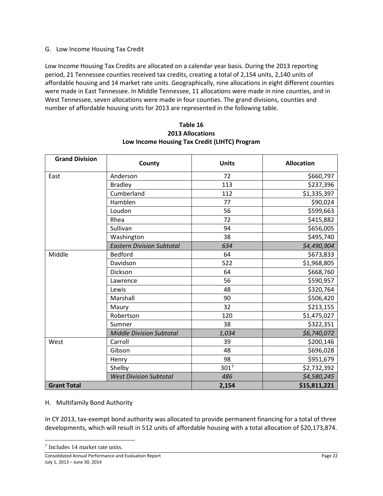#### G. Low Income Housing Tax Credit

Low Income Housing Tax Credits are allocated on a calendar year basis. During the 2013 reporting period, 21 Tennessee counties received tax credits, creating a total of 2,154 units, 2,140 units of affordable housing and 14 market rate units. Geographically, nine allocations in eight different counties were made in East Tennessee. In Middle Tennessee, 11 allocations were made in nine counties, and in West Tennessee, seven allocations were made in four counties. The grand divisions, counties and number of affordable housing units for 2013 are represented in the following table.

| <b>Grand Division</b> | County                           | <b>Units</b> | <b>Allocation</b> |  |
|-----------------------|----------------------------------|--------------|-------------------|--|
| East                  | Anderson                         | 72           | \$660,797         |  |
|                       | <b>Bradley</b>                   | 113          | \$237,396         |  |
|                       | Cumberland                       | 112          | \$1,335,397       |  |
|                       | Hamblen                          | 77           | \$90,024          |  |
|                       | Loudon                           | 56           | \$599,663         |  |
|                       | Rhea                             | 72           | \$415,882         |  |
|                       | Sullivan                         | 94           | \$656,005         |  |
|                       | Washington                       | 38           | \$495,740         |  |
|                       | <b>Eastern Division Subtotal</b> | 634          | \$4,490,904       |  |
| Middle                | <b>Bedford</b>                   | 64           | \$673,833         |  |
|                       | Davidson                         | 522          | \$1,968,805       |  |
|                       | Dickson                          | 64           | \$668,760         |  |
|                       | Lawrence                         | 56           | \$590,957         |  |
|                       | Lewis                            | 48           | \$320,764         |  |
|                       | Marshall                         | 90           | \$506,420         |  |
|                       | Maury                            | 32           | \$213,155         |  |
|                       | Robertson                        | 120          | \$1,475,027       |  |
|                       | Sumner                           | 38           | \$322,351         |  |
|                       | <b>Middle Division Subtotal</b>  | 1,034        | \$6,740,072       |  |
| West                  | Carroll                          | 39           | \$200,146         |  |
|                       | Gibson                           | 48           | \$696,028         |  |
|                       | Henry                            | 98           | \$951,679         |  |
|                       | Shelby                           | 3017         | \$2,732,392       |  |
|                       | <b>West Division Subtotal</b>    | 486          | \$4,580,245       |  |
| <b>Grant Total</b>    |                                  | 2,154        | \$15,811,221      |  |

#### **Table 16 2013 Allocations Low Income Housing Tax Credit (LIHTC) Program**

#### H. Multifamily Bond Authority

In CY 2013, tax-exempt bond authority was allocated to provide permanent financing for a total of three developments, which will result in 512 units of affordable housing with a total allocation of \$20,173,874.

l

<span id="page-21-0"></span><sup>7</sup> Includes 14 market rate units.

Consolidated Annual Performance and Evaluation Report Page 22 July 1, 2013 – June 30, 2014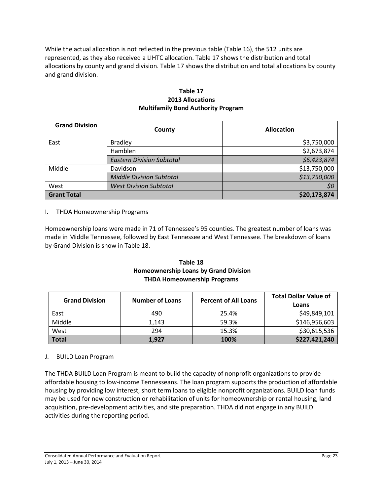While the actual allocation is not reflected in the previous table (Table 16), the 512 units are represented, as they also received a LIHTC allocation. Table 17 shows the distribution and total allocations by county and grand division. Table 17 shows the distribution and total allocations by county and grand division.

#### **Table 17 2013 Allocations Multifamily Bond Authority Program**

| <b>Grand Division</b> | County                           | <b>Allocation</b> |
|-----------------------|----------------------------------|-------------------|
| East                  | <b>Bradley</b>                   | \$3,750,000       |
|                       | Hamblen                          | \$2,673,874       |
|                       | <b>Eastern Division Subtotal</b> | \$6,423,874       |
| Middle                | Davidson                         | \$13,750,000      |
|                       | <b>Middle Division Subtotal</b>  | \$13,750,000      |
| West                  | <b>West Division Subtotal</b>    | \$0               |
| <b>Grant Total</b>    |                                  | \$20,173,874      |

#### I. THDA Homeownership Programs

Homeownership loans were made in 71 of Tennessee's 95 counties. The greatest number of loans was made in Middle Tennessee, followed by East Tennessee and West Tennessee. The breakdown of loans by Grand Division is show in Table 18.

#### **Table 18 Homeownership Loans by Grand Division THDA Homeownership Programs**

| <b>Grand Division</b> | <b>Number of Loans</b> | <b>Percent of All Loans</b> | <b>Total Dollar Value of</b><br>Loans |
|-----------------------|------------------------|-----------------------------|---------------------------------------|
| East                  | 490                    | 25.4%                       | \$49,849,101                          |
| Middle                | 1.143                  | 59.3%                       | \$146,956,603                         |
| West                  | 294                    | 15.3%                       | \$30,615,536                          |
| <b>Total</b>          | 1,927                  | 100%                        | \$227,421,240                         |

#### J. BUILD Loan Program

The THDA BUILD Loan Program is meant to build the capacity of nonprofit organizations to provide affordable housing to low-income Tennesseans. The loan program supports the production of affordable housing by providing low interest, short term loans to eligible nonprofit organizations. BUILD loan funds may be used for new construction or rehabilitation of units for homeownership or rental housing, land acquisition, pre-development activities, and site preparation. THDA did not engage in any BUILD activities during the reporting period.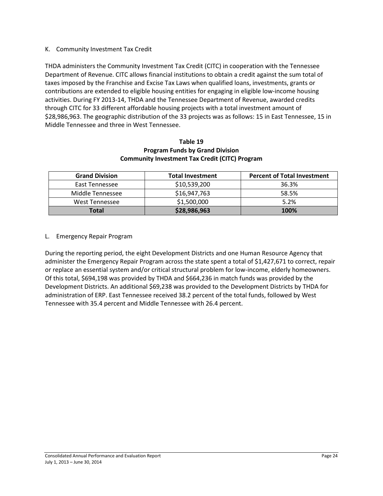#### K. Community Investment Tax Credit

THDA administers the Community Investment Tax Credit (CITC) in cooperation with the Tennessee Department of Revenue. CITC allows financial institutions to obtain a credit against the sum total of taxes imposed by the Franchise and Excise Tax Laws when qualified loans, investments, grants or contributions are extended to eligible housing entities for engaging in eligible low-income housing activities. During FY 2013-14, THDA and the Tennessee Department of Revenue, awarded credits through CITC for 33 different affordable housing projects with a total investment amount of \$28,986,963. The geographic distribution of the 33 projects was as follows: 15 in East Tennessee, 15 in Middle Tennessee and three in West Tennessee.

#### **Table 19 Program Funds by Grand Division Community Investment Tax Credit (CITC) Program**

| <b>Grand Division</b> | <b>Total Investment</b> | <b>Percent of Total Investment</b> |
|-----------------------|-------------------------|------------------------------------|
| East Tennessee        | \$10,539,200            | 36.3%                              |
| Middle Tennessee      | \$16,947,763            | 58.5%                              |
| West Tennessee        | \$1,500,000             | 5.2%                               |
| Total                 | \$28,986,963            | 100%                               |

L. Emergency Repair Program

During the reporting period, the eight Development Districts and one Human Resource Agency that administer the Emergency Repair Program across the state spent a total of \$1,427,671 to correct, repair or replace an essential system and/or critical structural problem for low-income, elderly homeowners. Of this total, \$694,198 was provided by THDA and \$664,236 in match funds was provided by the Development Districts. An additional \$69,238 was provided to the Development Districts by THDA for administration of ERP. East Tennessee received 38.2 percent of the total funds, followed by West Tennessee with 35.4 percent and Middle Tennessee with 26.4 percent.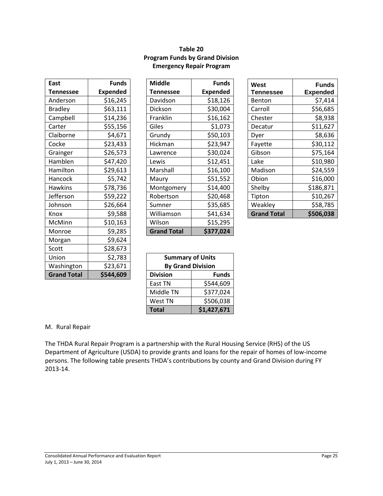### **Table 20 Program Funds by Grand Division Emergency Repair Program**

| East               | <b>Funds</b>    | <b>Middle</b>            |             |  |
|--------------------|-----------------|--------------------------|-------------|--|
| <b>Tennessee</b>   | <b>Expended</b> | <b>Tennessee</b>         | <b>Expe</b> |  |
| Anderson           | \$16,245        | Davidson                 | \$1         |  |
| <b>Bradley</b>     | \$63,111        | Dickson                  | \$3         |  |
| Campbell           | \$14,236        | Franklin                 | \$10        |  |
| Carter             | \$55,156        | Giles                    | \$          |  |
| Claiborne          | \$4,671         | Grundy                   | \$50        |  |
| Cocke              | \$23,433        | Hickman                  | \$2         |  |
| Grainger           | \$26,573        | Lawrence                 | \$3         |  |
| Hamblen            | \$47,420        | Lewis                    | \$1.        |  |
| Hamilton           | \$29,613        | Marshall                 | \$10        |  |
| Hancock            | \$5,742         | Maury                    | \$5         |  |
| <b>Hawkins</b>     | \$78,736        | Montgomery               | \$1         |  |
| Jefferson          | \$59,222        | Robertson                | \$20        |  |
| Johnson            | \$26,664        | Sumner                   | \$3!        |  |
| Knox               | \$9,588         | Williamson               | \$4         |  |
| McMinn             | \$10,163        | Wilson                   | \$1!        |  |
| Monroe             | \$9,285         | <b>Grand Total</b>       | \$37        |  |
| Morgan             | \$9,624         |                          |             |  |
| Scott              | \$28,673        |                          |             |  |
| Union              | \$2,783         | <b>Summary of Units</b>  |             |  |
| Washington         | \$23,671        | <b>By Grand Division</b> |             |  |
| <b>Grand Total</b> | \$544,609       | <b>Division</b>          | F           |  |

| <b>East</b>    | <b>Funds</b>    | <b>Middle</b>      | <b>Funds</b>    | West               | <b>Funds</b>    |
|----------------|-----------------|--------------------|-----------------|--------------------|-----------------|
| Tennessee      | <b>Expended</b> | <b>Tennessee</b>   | <b>Expended</b> | <b>Tennessee</b>   | <b>Expended</b> |
| Anderson       | \$16,245        | Davidson           | \$18,126        | Benton             | \$7,414         |
| <b>Bradley</b> | \$63,111        | Dickson            | \$30,004        | Carroll            | \$56,685        |
| Campbell       | \$14,236        | Franklin           | \$16,162        | Chester            | \$8,938         |
| Carter         | \$55,156        | Giles              | \$1,073         | Decatur            | \$11,627        |
| Claiborne      | \$4,671         | Grundy             | \$50,103        | Dyer               | \$8,636         |
| Cocke          | \$23,433        | Hickman            | \$23,947        | Fayette            | \$30,112        |
| Grainger       | \$26,573        | Lawrence           | \$30,024        | Gibson             | \$75,164        |
| Hamblen        | \$47,420        | Lewis              | \$12,451        | Lake               | \$10,980        |
| Hamilton       | \$29,613        | Marshall           | \$16,100        | Madison            | \$24,559        |
| Hancock        | \$5,742         | Maury              | \$51,552        | Obion              | \$16,000        |
| <b>Hawkins</b> | \$78,736        | Montgomery         | \$14,400        | Shelby             | \$186,871       |
| Jefferson      | \$59,222        | Robertson          | \$20,468        | Tipton             | \$10,267        |
| Johnson        | \$26,664        | Sumner             | \$35,685        | Weakley            | \$58,785        |
| Knox           | \$9,588         | Williamson         | \$41,634        | <b>Grand Total</b> | \$506,038       |
| McMinn         | \$10,163        | Wilson             | \$15,295        |                    |                 |
| Monroe         | \$9,285         | <b>Grand Total</b> | \$377,024       |                    |                 |

| West<br>Tennessee  | <b>Funds</b><br><b>Expended</b> |
|--------------------|---------------------------------|
| Benton             | \$7,414                         |
| Carroll            | \$56,685                        |
| Chester            | \$8,938                         |
| Decatur            | \$11,627                        |
| Dyer               | \$8,636                         |
| Fayette            | \$30,112                        |
| Gibson             | \$75,164                        |
| Lake               | \$10,980                        |
| Madison            | \$24,559                        |
| Obion              | \$16,000                        |
| Shelby             | \$186,871                       |
| Tipton             | \$10,267                        |
| Weakley            | \$58,785                        |
| <b>Grand Total</b> | \$506,038                       |

| Union              | \$2,783   |                 | <b>Summary of Units</b>  |  |  |  |  |
|--------------------|-----------|-----------------|--------------------------|--|--|--|--|
| Washington         | \$23,671  |                 | <b>By Grand Division</b> |  |  |  |  |
| <b>Grand Total</b> | \$544,609 | <b>Division</b> | <b>Funds</b>             |  |  |  |  |
|                    |           | East TN         | \$544,609                |  |  |  |  |
|                    |           | Middle TN       | \$377,024                |  |  |  |  |
|                    |           | West TN         | \$506,038                |  |  |  |  |
|                    |           | <b>Total</b>    | \$1,427,671              |  |  |  |  |

#### M. Rural Repair

The THDA Rural Repair Program is a partnership with the Rural Housing Service (RHS) of the US Department of Agriculture (USDA) to provide grants and loans for the repair of homes of low-income persons. The following table presents THDA's contributions by county and Grand Division during FY 2013-14.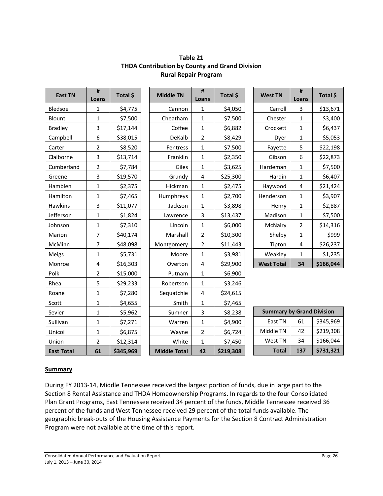| <b>East TN</b>    | #<br>Loans     | Total \$  | <b>Middle TN</b>    | $\sharp$<br>Loans       | Total \$  | <b>West TN</b>                   | $\pmb{\sharp}$<br>Loans | Total \$  |
|-------------------|----------------|-----------|---------------------|-------------------------|-----------|----------------------------------|-------------------------|-----------|
| Bledsoe           | $\mathbf{1}$   | \$4,775   | Cannon              | $\mathbf{1}$            | \$4,050   | Carroll                          | $\overline{3}$          | \$13,671  |
| Blount            | $\mathbf{1}$   | \$7,500   | Cheatham            | $\mathbf{1}$            | \$7,500   | Chester                          | $1\,$                   | \$3,400   |
| <b>Bradley</b>    | 3              | \$17,144  | Coffee              | $\mathbf{1}$            | \$6,882   | Crockett                         | $\mathbf 1$             | \$6,437   |
| Campbell          | 6              | \$38,015  | DeKalb              | $\overline{2}$          | \$8,429   | Dyer                             | $\mathbf{1}$            | \$5,053   |
| Carter            | $\overline{2}$ | \$8,520   | Fentress            | $\mathbf{1}$            | \$7,500   | Fayette                          | 5                       | \$22,198  |
| Claiborne         | 3              | \$13,714  | Franklin            | 1                       | \$2,350   | Gibson                           | 6                       | \$22,873  |
| Cumberland        | 2              | \$7,784   | Giles               | 1                       | \$3,625   | Hardeman                         | $1\,$                   | \$7,500   |
| Greene            | 3              | \$19,570  | Grundy              | $\overline{4}$          | \$25,300  | Hardin                           | $\mathbf 1$             | \$6,407   |
| Hamblen           | 1              | \$2,375   | Hickman             | $\mathbf{1}$            | \$2,475   | Haywood                          | $\pmb{4}$               | \$21,424  |
| Hamilton          | 1              | \$7,465   | Humphreys           | $\mathbf{1}$            | \$2,700   | Henderson                        | $\mathbf 1$             | \$3,907   |
| Hawkins           | 3              | \$11,077  | Jackson             | $\mathbf{1}$            | \$3,898   | Henry                            | $\mathbf{1}$            | \$2,887   |
| Jefferson         | $\mathbf{1}$   | \$1,824   | Lawrence            | 3                       | \$13,437  | Madison                          | $\mathbf 1$             | \$7,500   |
| Johnson           | $\mathbf{1}$   | \$7,310   | Lincoln             | $\mathbf 1$             | \$6,000   | McNairy                          | $\overline{2}$          | \$14,316  |
| Marion            | $\overline{7}$ | \$40,174  | Marshall            | $\overline{2}$          | \$10,300  | Shelby                           | $\mathbf 1$             | \$999     |
| McMinn            | $\overline{7}$ | \$48,098  | Montgomery          | $\mathbf 2$             | \$11,443  | Tipton                           | 4                       | \$26,237  |
| Meigs             | $\mathbf{1}$   | \$5,731   | Moore               | $\mathbf{1}$            | \$3,981   | Weakley                          | $\mathbf 1$             | \$1,235   |
| Monroe            | 4              | \$16,303  | Overton             | $\overline{\mathbf{4}}$ | \$29,900  | <b>West Total</b>                | 34                      | \$166,044 |
| Polk              | $\overline{2}$ | \$15,000  | Putnam              | $\mathbf 1$             | \$6,900   |                                  |                         |           |
| Rhea              | 5              | \$29,233  | Robertson           | $\mathbf{1}$            | \$3,246   |                                  |                         |           |
| Roane             | 1              | \$7,280   | Sequatchie          | $\overline{\mathbf{4}}$ | \$24,615  |                                  |                         |           |
| Scott             | $\mathbf{1}$   | \$4,655   | Smith               | $\mathbf{1}$            | \$7,465   |                                  |                         |           |
| Sevier            | 1              | \$5,962   | Sumner              | 3                       | \$8,238   | <b>Summary by Grand Division</b> |                         |           |
| Sullivan          | 1              | \$7,271   | Warren              | $\mathbf{1}$            | \$4,900   | East TN                          | 61                      | \$345,969 |
| Unicoi            | $\mathbf{1}$   | \$6,875   | Wayne               | $\overline{2}$          | \$6,724   | Middle TN                        | 42                      | \$219,308 |
| Union             | $\overline{2}$ | \$12,314  | White               | 1                       | \$7,450   | West TN                          | 34                      | \$166,044 |
| <b>East Total</b> | 61             | \$345,969 | <b>Middle Total</b> | 42                      | \$219,308 | <b>Total</b>                     | 137                     | \$731,321 |

## **Table 21 THDA Contribution by County and Grand Division Rural Repair Program**

#### **Summary**

During FY 2013-14, Middle Tennessee received the largest portion of funds, due in large part to the Section 8 Rental Assistance and THDA Homeownership Programs. In regards to the four Consolidated Plan Grant Programs, East Tennessee received 34 percent of the funds, Middle Tennessee received 36 percent of the funds and West Tennessee received 29 percent of the total funds available. The geographic break-outs of the Housing Assistance Payments for the Section 8 Contract Administration Program were not available at the time of this report.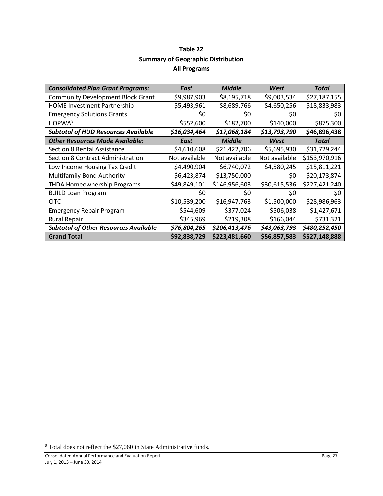## **Table 22 Summary of Geographic Distribution All Programs**

| <b>Consolidated Plan Grant Programs:</b>     | East          | <b>Middle</b> | West          | <b>Total</b>  |
|----------------------------------------------|---------------|---------------|---------------|---------------|
| <b>Community Development Block Grant</b>     | \$9,987,903   | \$8,195,718   | \$9,003,534   | \$27,187,155  |
| <b>HOME Investment Partnership</b>           | \$5,493,961   | \$8,689,766   | \$4,650,256   | \$18,833,983  |
| <b>Emergency Solutions Grants</b>            | \$0           | \$0           | \$0           | S0            |
| HOPWA <sup>8</sup>                           | \$552,600     | \$182,700     | \$140,000     | \$875,300     |
| <b>Subtotal of HUD Resources Available</b>   | \$16,034,464  | \$17,068,184  | \$13,793,790  | \$46,896,438  |
| <b>Other Resources Made Available:</b>       | East          | <b>Middle</b> | West          | Total         |
| <b>Section 8 Rental Assistance</b>           | \$4,610,608   | \$21,422,706  | \$5,695,930   | \$31,729,244  |
| Section 8 Contract Administration            | Not available | Not available | Not available | \$153,970,916 |
| Low Income Housing Tax Credit                | \$4,490,904   | \$6,740,072   | \$4,580,245   | \$15,811,221  |
| <b>Multifamily Bond Authority</b>            | \$6,423,874   | \$13,750,000  | \$0           | \$20,173,874  |
| THDA Homeownership Programs                  | \$49,849,101  | \$146,956,603 | \$30,615,536  | \$227,421,240 |
| <b>BUILD Loan Program</b>                    | S0            | \$0           | \$0           | \$0           |
| <b>CITC</b>                                  | \$10,539,200  | \$16,947,763  | \$1,500,000   | \$28,986,963  |
| <b>Emergency Repair Program</b>              | \$544,609     | \$377,024     | \$506,038     | \$1,427,671   |
| <b>Rural Repair</b>                          | \$345,969     | \$219,308     | \$166,044     | \$731,321     |
| <b>Subtotal of Other Resources Available</b> | \$76,804,265  | \$206,413,476 | \$43,063,793  | \$480,252,450 |
| <b>Grand Total</b>                           | \$92,838,729  | \$223,481,660 | \$56,857,583  | \$527,148,888 |

l

<span id="page-26-0"></span><sup>8</sup> Total does not reflect the \$27,060 in State Administrative funds.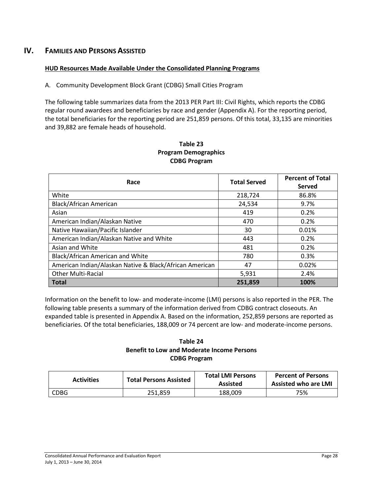## **IV. FAMILIES AND PERSONS ASSISTED**

#### **HUD Resources Made Available Under the Consolidated Planning Programs**

A. Community Development Block Grant (CDBG) Small Cities Program

The following table summarizes data from the 2013 PER Part III: Civil Rights, which reports the CDBG regular round awardees and beneficiaries by race and gender (Appendix A). For the reporting period, the total beneficiaries for the reporting period are 251,859 persons. Of this total, 33,135 are minorities and 39,882 are female heads of household.

| Race                                                    | <b>Total Served</b> | <b>Percent of Total</b><br>Served |
|---------------------------------------------------------|---------------------|-----------------------------------|
| White                                                   | 218,724             | 86.8%                             |
| Black/African American                                  | 24,534              | 9.7%                              |
| Asian                                                   | 419                 | 0.2%                              |
| American Indian/Alaskan Native                          | 470                 | 0.2%                              |
| Native Hawaiian/Pacific Islander                        | 30                  | 0.01%                             |
| American Indian/Alaskan Native and White                | 443                 | 0.2%                              |
| Asian and White                                         | 481                 | 0.2%                              |
| Black/African American and White                        | 780                 | 0.3%                              |
| American Indian/Alaskan Native & Black/African American | 47                  | 0.02%                             |
| <b>Other Multi-Racial</b>                               | 5,931               | 2.4%                              |
| <b>Total</b>                                            | 251,859             | 100%                              |

#### **Table 23 Program Demographics CDBG Program**

Information on the benefit to low- and moderate-income (LMI) persons is also reported in the PER. The following table presents a summary of the information derived from CDBG contract closeouts. An expanded table is presented in Appendix A. Based on the information, 252,859 persons are reported as beneficiaries. Of the total beneficiaries, 188,009 or 74 percent are low- and moderate-income persons.

#### **Table 24 Benefit to Low and Moderate Income Persons CDBG Program**

| <b>Activities</b> | <b>Total Persons Assisted</b> | <b>Total LMI Persons</b><br><b>Assisted</b> | <b>Percent of Persons</b><br><b>Assisted who are LMI</b> |
|-------------------|-------------------------------|---------------------------------------------|----------------------------------------------------------|
| CDBG              | 251.859                       | 188.009                                     | 75%                                                      |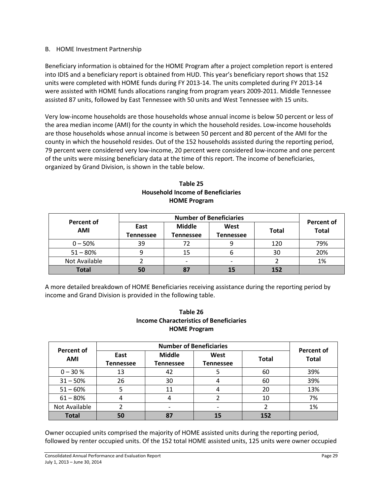#### B. HOME Investment Partnership

Beneficiary information is obtained for the HOME Program after a project completion report is entered into IDIS and a beneficiary report is obtained from HUD. This year's beneficiary report shows that 152 units were completed with HOME funds during FY 2013-14. The units completed during FY 2013-14 were assisted with HOME funds allocations ranging from program years 2009-2011. Middle Tennessee assisted 87 units, followed by East Tennessee with 50 units and West Tennessee with 15 units.

Very low-income households are those households whose annual income is below 50 percent or less of the area median income (AMI) for the county in which the household resides. Low-income households are those households whose annual income is between 50 percent and 80 percent of the AMI for the county in which the household resides. Out of the 152 households assisted during the reporting period, 79 percent were considered very low-income, 20 percent were considered low-income and one percent of the units were missing beneficiary data at the time of this report. The income of beneficiaries, organized by Grand Division, is shown in the table below.

| <b>Percent of</b> | <b>Number of Beneficiaries</b> |                            |                          |              |                                   |
|-------------------|--------------------------------|----------------------------|--------------------------|--------------|-----------------------------------|
| <b>AMI</b>        | East<br><b>Tennessee</b>       | <b>Middle</b><br>Tennessee | West<br><b>Tennessee</b> | <b>Total</b> | <b>Percent of</b><br><b>Total</b> |
| $0 - 50%$         | 39                             |                            |                          | 120          | 79%                               |
| $51 - 80%$        |                                | 15                         | O                        | 30           | 20%                               |
| Not Available     |                                |                            |                          |              | 1%                                |
| <b>Total</b>      |                                |                            | 15                       | 152          |                                   |

#### **Table 25 Household Income of Beneficiaries HOME Program**

A more detailed breakdown of HOME Beneficiaries receiving assistance during the reporting period by income and Grand Division is provided in the following table.

## **Table 26 Income Characteristics of Beneficiaries HOME Program**

| Percent of    |                          |                                   | <b>Percent of</b>        |              |              |
|---------------|--------------------------|-----------------------------------|--------------------------|--------------|--------------|
| <b>AMI</b>    | East<br><b>Tennessee</b> | <b>Middle</b><br><b>Tennessee</b> | West<br><b>Tennessee</b> | <b>Total</b> | <b>Total</b> |
| $0 - 30 %$    | 13                       | 42                                |                          | 60           | 39%          |
| $31 - 50%$    | 26                       | 30                                |                          | 60           | 39%          |
| $51 - 60%$    |                          |                                   |                          | 20           | 13%          |
| $61 - 80%$    | 4                        |                                   |                          | 10           | 7%           |
| Not Available |                          |                                   |                          |              | 1%           |
| <b>Total</b>  | 50                       | 87                                | 15                       | 152          |              |

Owner occupied units comprised the majority of HOME assisted units during the reporting period, followed by renter occupied units. Of the 152 total HOME assisted units, 125 units were owner occupied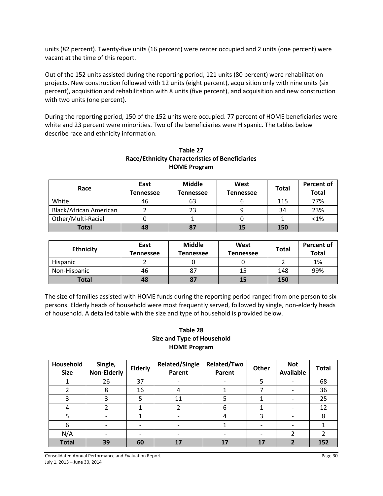units (82 percent). Twenty-five units (16 percent) were renter occupied and 2 units (one percent) were vacant at the time of this report.

Out of the 152 units assisted during the reporting period, 121 units (80 percent) were rehabilitation projects. New construction followed with 12 units (eight percent), acquisition only with nine units (six percent), acquisition and rehabilitation with 8 units (five percent), and acquisition and new construction with two units (one percent).

During the reporting period, 150 of the 152 units were occupied. 77 percent of HOME beneficiaries were white and 23 percent were minorities. Two of the beneficiaries were Hispanic. The tables below describe race and ethnicity information.

| Race                          | East<br><b>Tennessee</b> | <b>Middle</b><br><b>Tennessee</b> | West<br><b>Tennessee</b> | <b>Total</b> | Percent of<br><b>Total</b> |
|-------------------------------|--------------------------|-----------------------------------|--------------------------|--------------|----------------------------|
| White                         | 46                       | 63                                |                          | 115          | 77%                        |
| <b>Black/African American</b> |                          | 23                                |                          | 34           | 23%                        |
| Other/Multi-Racial            |                          |                                   |                          |              | < 1%                       |
| <b>Total</b>                  | 48                       | 87                                | 15                       | 150          |                            |

## **Table 27 Race/Ethnicity Characteristics of Beneficiaries HOME Program**

| <b>Ethnicity</b> | East<br><b>Fennessee</b> | <b>Middle</b><br>Tennessee | West<br><b>Tennessee</b> | <b>Total</b> | <b>Percent of</b><br><b>Total</b> |
|------------------|--------------------------|----------------------------|--------------------------|--------------|-----------------------------------|
| Hispanic         |                          |                            |                          |              | 1%                                |
| Non-Hispanic     | 46                       |                            | 15                       | 148          | 99%                               |
| <b>Total</b>     | 48                       |                            | 15                       | 150          |                                   |

The size of families assisted with HOME funds during the reporting period ranged from one person to six persons. Elderly heads of household were most frequently served, followed by single, non-elderly heads of household. A detailed table with the size and type of household is provided below.

#### **Table 28 Size and Type of Household HOME Program**

| Household<br><b>Size</b> | Single,<br><b>Non-Elderly</b> | <b>Elderly</b> | <b>Related/Single</b><br>Parent | Related/Two<br>Parent | Other                    | <b>Not</b><br><b>Available</b> | <b>Total</b> |
|--------------------------|-------------------------------|----------------|---------------------------------|-----------------------|--------------------------|--------------------------------|--------------|
|                          | 26                            | 37             |                                 |                       | 5                        |                                | 68           |
|                          | 8                             | 16             | 4                               |                       |                          |                                | 36           |
| 3                        |                               | 5              | 11                              |                       |                          |                                | 25           |
|                          |                               |                |                                 | 6                     |                          |                                | 12           |
| 5                        |                               |                |                                 |                       | 3                        |                                | 8            |
| 6                        |                               |                | $\overline{\phantom{0}}$        |                       | $\overline{\phantom{0}}$ |                                |              |
| N/A                      |                               |                |                                 |                       |                          |                                |              |
| <b>Total</b>             | 39                            | 60             | 17                              | 17                    | 17                       |                                | 152          |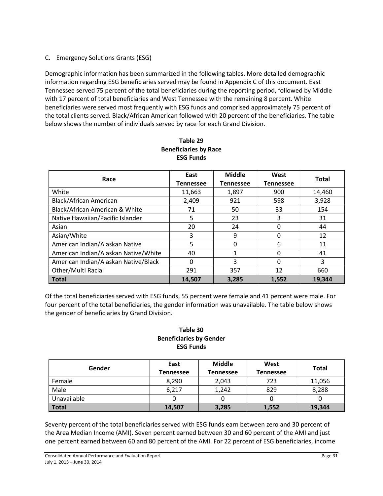### C. Emergency Solutions Grants (ESG)

Demographic information has been summarized in the following tables. More detailed demographic information regarding ESG beneficiaries served may be found in Appendix C of this document. East Tennessee served 75 percent of the total beneficiaries during the reporting period, followed by Middle with 17 percent of total beneficiaries and West Tennessee with the remaining 8 percent. White beneficiaries were served most frequently with ESG funds and comprised approximately 75 percent of the total clients served. Black/African American followed with 20 percent of the beneficiaries. The table below shows the number of individuals served by race for each Grand Division.

| Race                                 | East<br><b>Tennessee</b> | <b>Middle</b><br><b>Tennessee</b> | West<br><b>Tennessee</b> | <b>Total</b> |
|--------------------------------------|--------------------------|-----------------------------------|--------------------------|--------------|
| White                                | 11,663                   | 1,897                             | 900                      | 14,460       |
| <b>Black/African American</b>        | 2,409                    | 921                               | 598                      | 3,928        |
| Black/African American & White       | 71                       | 50                                | 33                       | 154          |
| Native Hawaiian/Pacific Islander     | 5                        | 23                                | 3                        | 31           |
| Asian                                | 20                       | 24                                | 0                        | 44           |
| Asian/White                          | 3                        | 9                                 | 0                        | 12           |
| American Indian/Alaskan Native       | 5                        | 0                                 | 6                        | 11           |
| American Indian/Alaskan Native/White | 40                       |                                   | 0                        | 41           |
| American Indian/Alaskan Native/Black | 0                        | 3                                 | 0                        | 3            |
| Other/Multi Racial                   | 291                      | 357                               | 12                       | 660          |
| <b>Total</b>                         | 14,507                   | 3,285                             | 1,552                    | 19,344       |

#### **Table 29 Beneficiaries by Race ESG Funds**

Of the total beneficiaries served with ESG funds, 55 percent were female and 41 percent were male. For four percent of the total beneficiaries, the gender information was unavailable. The table below shows the gender of beneficiaries by Grand Division.

#### **Table 30 Beneficiaries by Gender ESG Funds**

| Gender       | East<br>Tennessee | <b>Middle</b><br>Tennessee | West<br><b>Tennessee</b> | <b>Total</b> |
|--------------|-------------------|----------------------------|--------------------------|--------------|
| Female       | 8,290             | 2,043                      | 723                      | 11,056       |
| Male         | 6,217             | 1,242                      | 829                      | 8,288        |
| Unavailable  |                   |                            |                          |              |
| <b>Total</b> | 14,507            | 3,285                      | 1,552                    | 19,344       |

Seventy percent of the total beneficiaries served with ESG funds earn between zero and 30 percent of the Area Median Income (AMI). Seven percent earned between 30 and 60 percent of the AMI and just one percent earned between 60 and 80 percent of the AMI. For 22 percent of ESG beneficiaries, income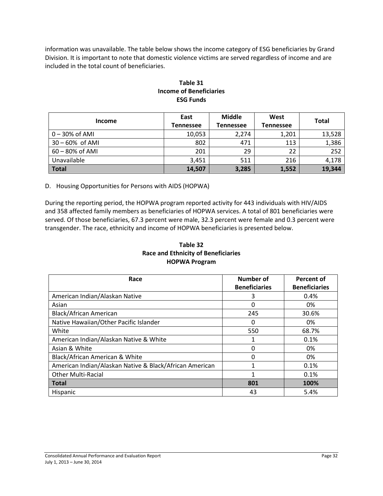information was unavailable. The table below shows the income category of ESG beneficiaries by Grand Division. It is important to note that domestic violence victims are served regardless of income and are included in the total count of beneficiaries.

| <b>Income</b>      | East<br><b>Tennessee</b> | <b>Middle</b><br><b>Tennessee</b> | West<br><b>Tennessee</b> | <b>Total</b> |
|--------------------|--------------------------|-----------------------------------|--------------------------|--------------|
| $0 - 30\%$ of AMI  | 10,053                   | 2,274                             | 1,201                    | 13,528       |
| $30 - 60\%$ of AMI | 802                      | 471                               | 113                      | 1,386        |
| 60 - 80% of AMI    | 201                      | 29                                | 22                       | 252          |
| Unavailable        | 3,451                    | 511                               | 216                      | 4,178        |
| <b>Total</b>       | 14,507                   | 3,285                             | 1,552                    | 19,344       |

### **Table 31 Income of Beneficiaries ESG Funds**

D. Housing Opportunities for Persons with AIDS (HOPWA)

During the reporting period, the HOPWA program reported activity for 443 individuals with HIV/AIDS and 358 affected family members as beneficiaries of HOPWA services. A total of 801 beneficiaries were served. Of those beneficiaries, 67.3 percent were male, 32.3 percent were female and 0.3 percent were transgender. The race, ethnicity and income of HOPWA beneficiaries is presented below.

#### **Table 32 Race and Ethnicity of Beneficiaries HOPWA Program**

| Race                                                    | <b>Number of</b>     | Percent of           |
|---------------------------------------------------------|----------------------|----------------------|
|                                                         | <b>Beneficiaries</b> | <b>Beneficiaries</b> |
| American Indian/Alaskan Native                          | 3                    | 0.4%                 |
| Asian                                                   | 0                    | 0%                   |
| Black/African American                                  | 245                  | 30.6%                |
| Native Hawaiian/Other Pacific Islander                  | 0                    | 0%                   |
| White                                                   | 550                  | 68.7%                |
| American Indian/Alaskan Native & White                  |                      | 0.1%                 |
| Asian & White                                           | 0                    | 0%                   |
| Black/African American & White                          | 0                    | 0%                   |
| American Indian/Alaskan Native & Black/African American |                      | 0.1%                 |
| <b>Other Multi-Racial</b>                               | 1                    | 0.1%                 |
| <b>Total</b>                                            | 801                  | 100%                 |
| <b>Hispanic</b>                                         | 43                   | 5.4%                 |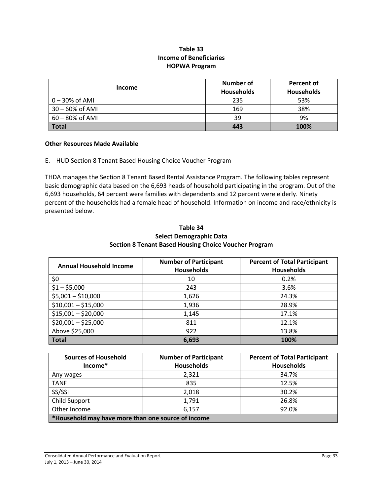#### **Table 33 Income of Beneficiaries HOPWA Program**

|                 | Number of         | Percent of        |
|-----------------|-------------------|-------------------|
| <b>Income</b>   | <b>Households</b> | <b>Households</b> |
| $0-30\%$ of AMI | 235               | 53%               |
| 30 - 60% of AMI | 169               | 38%               |
| 60 - 80% of AMI | 39                | 9%                |
| <b>Total</b>    | 443               | 100%              |

#### **Other Resources Made Available**

E. HUD Section 8 Tenant Based Housing Choice Voucher Program

THDA manages the Section 8 Tenant Based Rental Assistance Program. The following tables represent basic demographic data based on the 6,693 heads of household participating in the program. Out of the 6,693 households, 64 percent were families with dependents and 12 percent were elderly. Ninety percent of the households had a female head of household. Information on income and race/ethnicity is presented below.

#### **Table 34 Select Demographic Data Section 8 Tenant Based Housing Choice Voucher Program**

| <b>Annual Household Income</b> | <b>Number of Participant</b><br><b>Households</b> | <b>Percent of Total Participant</b><br><b>Households</b> |
|--------------------------------|---------------------------------------------------|----------------------------------------------------------|
| \$0                            | 10                                                | 0.2%                                                     |
| $$1 - $5,000$                  | 243                                               | 3.6%                                                     |
| $$5,001 - $10,000$             | 1,626                                             | 24.3%                                                    |
| $$10,001 - $15,000$            | 1,936                                             | 28.9%                                                    |
| $$15,001 - $20,000$            | 1,145                                             | 17.1%                                                    |
| $$20,001 - $25,000$            | 811                                               | 12.1%                                                    |
| Above \$25,000                 | 922                                               | 13.8%                                                    |
| <b>Total</b>                   | 6,693                                             | 100%                                                     |

| <b>Sources of Household</b>                        | <b>Number of Participant</b> | <b>Percent of Total Participant</b> |  |  |  |
|----------------------------------------------------|------------------------------|-------------------------------------|--|--|--|
| Income*                                            | <b>Households</b>            | <b>Households</b>                   |  |  |  |
| Any wages                                          | 2,321                        | 34.7%                               |  |  |  |
| <b>TANF</b>                                        | 835                          | 12.5%                               |  |  |  |
| SS/SSI                                             | 2,018                        | 30.2%                               |  |  |  |
| Child Support                                      | 1,791                        | 26.8%                               |  |  |  |
| Other Income                                       | 6,157                        | 92.0%                               |  |  |  |
| *Household may have more than one source of income |                              |                                     |  |  |  |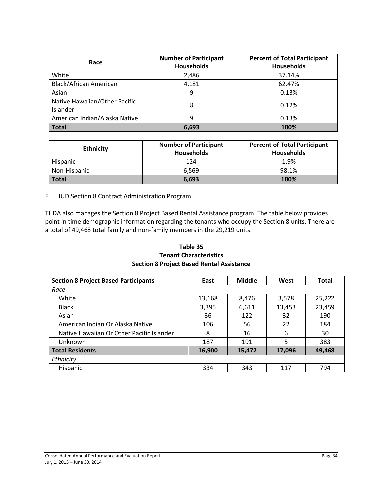| Race                                      | <b>Number of Participant</b><br><b>Households</b> | <b>Percent of Total Participant</b><br><b>Households</b> |
|-------------------------------------------|---------------------------------------------------|----------------------------------------------------------|
| White                                     | 2,486                                             | 37.14%                                                   |
| <b>Black/African American</b>             | 4,181                                             | 62.47%                                                   |
| Asian                                     | 9                                                 | 0.13%                                                    |
| Native Hawaiian/Other Pacific<br>Islander | 8                                                 | 0.12%                                                    |
| American Indian/Alaska Native             | q                                                 | 0.13%                                                    |
| <b>Total</b>                              | 6,693                                             | 100%                                                     |

| <b>Ethnicity</b> | <b>Number of Participant</b><br><b>Households</b> | <b>Percent of Total Participant</b><br><b>Households</b> |
|------------------|---------------------------------------------------|----------------------------------------------------------|
| Hispanic         | 124                                               | 1.9%                                                     |
| Non-Hispanic     | 6.569                                             | 98.1%                                                    |
| Total            | 6.693                                             | 100%                                                     |

#### F. HUD Section 8 Contract Administration Program

THDA also manages the Section 8 Project Based Rental Assistance program. The table below provides point in time demographic information regarding the tenants who occupy the Section 8 units. There are a total of 49,468 total family and non-family members in the 29,219 units.

#### **Table 35 Tenant Characteristics Section 8 Project Based Rental Assistance**

| <b>Section 8 Project Based Participants</b> | East   | <b>Middle</b> | West   | Total  |
|---------------------------------------------|--------|---------------|--------|--------|
| Race                                        |        |               |        |        |
| White                                       | 13,168 | 8,476         | 3,578  | 25,222 |
| <b>Black</b>                                | 3,395  | 6,611         | 13,453 | 23,459 |
| Asian                                       | 36     | 122           | 32     | 190    |
| American Indian Or Alaska Native            | 106    | 56            | 22     | 184    |
| Native Hawaiian Or Other Pacific Islander   | 8      | 16            | 6      | 30     |
| Unknown                                     | 187    | 191           | 5      | 383    |
| <b>Total Residents</b>                      | 16,900 | 15,472        | 17,096 | 49,468 |
| Ethnicity                                   |        |               |        |        |
| <b>Hispanic</b>                             | 334    | 343           | 117    | 794    |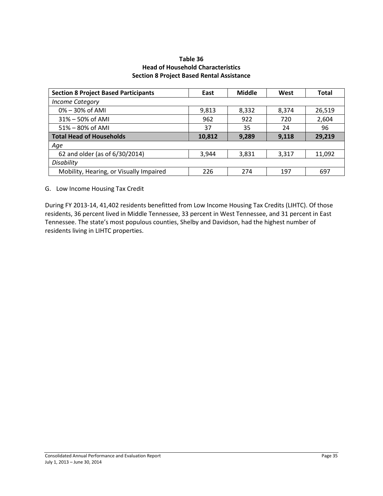#### **Table 36 Head of Household Characteristics Section 8 Project Based Rental Assistance**

| <b>Section 8 Project Based Participants</b> | East   | <b>Middle</b> | West  | Total  |
|---------------------------------------------|--------|---------------|-------|--------|
| <b>Income Category</b>                      |        |               |       |        |
| $0\% - 30\%$ of AMI                         | 9,813  | 8,332         | 8,374 | 26,519 |
| $31\% - 50\%$ of AMI                        | 962    | 922           | 720   | 2,604  |
| 51% - 80% of AMI                            | 37     | 35            | 24    | 96     |
| <b>Total Head of Households</b>             | 10,812 | 9,289         | 9,118 | 29,219 |
| Age                                         |        |               |       |        |
| 62 and older (as of 6/30/2014)              | 3,944  | 3,831         | 3,317 | 11,092 |
| Disability                                  |        |               |       |        |
| Mobility, Hearing, or Visually Impaired     | 226    | 274           | 197   | 697    |

G. Low Income Housing Tax Credit

During FY 2013-14, 41,402 residents benefitted from Low Income Housing Tax Credits (LIHTC). Of those residents, 36 percent lived in Middle Tennessee, 33 percent in West Tennessee, and 31 percent in East Tennessee. The state's most populous counties, Shelby and Davidson, had the highest number of residents living in LIHTC properties.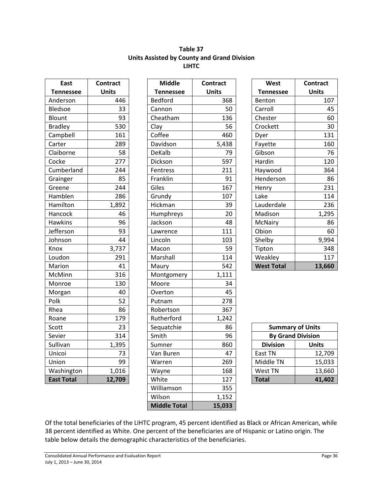#### **Table 37 Units Assisted by County and Grand Division LIHTC**

| <b>East</b>       | <b>Contract</b> |
|-------------------|-----------------|
| <b>Tennessee</b>  | <b>Units</b>    |
| Anderson          | 446             |
| <b>Bledsoe</b>    | 33              |
| Blount            | 93              |
| <b>Bradley</b>    | 530             |
| Campbell          | 161             |
| Carter            | 289             |
| Claiborne         | 58              |
| Cocke             | 277             |
| Cumberland        | 244             |
| Grainger          | 85              |
| Greene            | 244             |
| Hamblen           | 286             |
| Hamilton          | 1,892           |
| Hancock           | 46              |
| <b>Hawkins</b>    | 96              |
| Jefferson         | 93              |
| Johnson           | 44              |
| Knox              | 3,737           |
| Loudon            | 291             |
| Marion            | 41              |
| McMinn            | 316             |
| Monroe            | 130             |
| Morgan            | 40              |
| Polk              | 52              |
| Rhea              | 86              |
| Roane             | 179             |
| Scott             | 23              |
| Sevier            | 314             |
| Sullivan          | 1,395           |
| Unicoi            | 73              |
| Union             | 99              |
| Washington        | 1,016           |
| <b>East Total</b> | 12,709          |

| East              | <b>Contract</b> | <b>Middle</b>       | <b>Contract</b> | West                     | <b>Contract</b> |
|-------------------|-----------------|---------------------|-----------------|--------------------------|-----------------|
| <b>Tennessee</b>  | <b>Units</b>    | <b>Tennessee</b>    | <b>Units</b>    | <b>Tennessee</b>         | <b>Units</b>    |
| Anderson          | 446             | <b>Bedford</b>      | 368             | Benton                   | 107             |
| <b>Bledsoe</b>    | 33              | Cannon              | 50              | Carroll                  | 45              |
| Blount            | 93              | Cheatham            | 136             | Chester                  | 60              |
| <b>Bradley</b>    | 530             | Clay                | 56              | Crockett                 | 30              |
| Campbell          | 161             | Coffee              | 460             | Dyer                     | 131             |
| Carter            | 289             | Davidson            | 5,438           | Fayette                  | 160             |
| Claiborne         | 58              | DeKalb              | 79              | Gibson                   | 76              |
| Cocke             | 277             | Dickson             | 597             | Hardin                   | 120             |
| Cumberland        | 244             | Fentress            | 211             | Haywood                  | 364             |
| Grainger          | 85              | Franklin            | 91              | Henderson                | 86              |
| Greene            | 244             | Giles               | 167             | Henry                    | 231             |
| Hamblen           | 286             | Grundy              | 107             | Lake                     | 114             |
| Hamilton          | 1,892           | Hickman             | 39              | Lauderdale               | 236             |
| Hancock           | 46              | Humphreys           | 20              | Madison                  | 1,295           |
| <b>Hawkins</b>    | 96              | Jackson             | 48              | McNairy                  | 86              |
| Jefferson         | 93              | Lawrence            | 111             | Obion                    | 60              |
| Johnson           | 44              | Lincoln             | 103             | Shelby                   | 9,994           |
| Knox              | 3,737           | Macon               | 59              | Tipton                   | 348             |
| Loudon            | 291             | Marshall            | 114             | Weakley                  | 117             |
| Marion            | 41              | Maury               | 542             | <b>West Total</b>        | 13,660          |
| McMinn            | 316             | Montgomery          | 1,111           |                          |                 |
| Monroe            | 130             | Moore               | 34              |                          |                 |
| Morgan            | 40              | Overton             | 45              |                          |                 |
| Polk              | 52              | Putnam              | 278             |                          |                 |
| Rhea              | 86              | Robertson           | 367             |                          |                 |
| Roane             | 179             | Rutherford          | 1,242           |                          |                 |
| Scott             | 23              | Sequatchie          | 86              | <b>Summary of Units</b>  |                 |
| Sevier            | 314             | Smith               | 96              | <b>By Grand Division</b> |                 |
| Sullivan          | 1,395           | Sumner              | 860             | <b>Division</b>          | <b>Units</b>    |
| Unicoi            | 73              | Van Buren           | 47              | East TN                  | 12,709          |
| Union             | 99              | Warren              | 269             | Middle TN                | 15,033          |
| Washington        | 1,016           | Wayne               | 168             | West TN                  | 13,660          |
| <b>East Total</b> | 12,709          | White               | 127             | <b>Total</b>             | 41,402          |
|                   |                 | Williamson          | 355             |                          |                 |
|                   |                 | Wilson              | 1,152           |                          |                 |
|                   |                 | <b>Middle Total</b> | 15,033          |                          |                 |

| West              | Contract     |
|-------------------|--------------|
| <b>Tennessee</b>  | <b>Units</b> |
| Benton            | 107          |
| Carroll           | 45           |
| Chester           | 60           |
| Crockett          | 30           |
| Dyer              | 131          |
| Fayette           | 160          |
| Gibson            | 76           |
| Hardin            | 120          |
| Haywood           | 364          |
| Henderson         | 86           |
| Henry             | 231          |
| Lake              | 114          |
| Lauderdale        | 236          |
| Madison           | 1,295        |
| McNairy           | 86           |
| Obion             | 60           |
| Shelby            | 9,994        |
| Tipton            | 348          |
| Weakley           | 117          |
| <b>West Total</b> | 13,660       |

| <b>Summary of Units</b>         |        |  |  |  |
|---------------------------------|--------|--|--|--|
| <b>By Grand Division</b>        |        |  |  |  |
| <b>Division</b><br><b>Units</b> |        |  |  |  |
| East TN                         | 12,709 |  |  |  |
| Middle TN                       | 15,033 |  |  |  |
| West TN                         | 13,660 |  |  |  |
| <b>Total</b>                    | 41,402 |  |  |  |

Of the total beneficiaries of the LIHTC program, 45 percent identified as Black or African American, while 38 percent identified as White. One percent of the beneficiaries are of Hispanic or Latino origin. The table below details the demographic characteristics of the beneficiaries.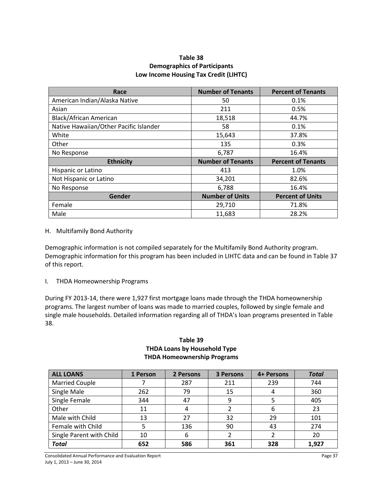#### **Table 38 Demographics of Participants Low Income Housing Tax Credit (LIHTC)**

| Race                                   | <b>Number of Tenants</b> | <b>Percent of Tenants</b> |
|----------------------------------------|--------------------------|---------------------------|
| American Indian/Alaska Native          | 50                       | 0.1%                      |
| Asian                                  | 211                      | 0.5%                      |
| Black/African American                 | 18,518                   | 44.7%                     |
| Native Hawaiian/Other Pacific Islander | 58                       | 0.1%                      |
| White                                  | 15,643                   | 37.8%                     |
| Other                                  | 135                      | 0.3%                      |
| No Response                            | 6,787                    | 16.4%                     |
| <b>Ethnicity</b>                       | <b>Number of Tenants</b> | <b>Percent of Tenants</b> |
| Hispanic or Latino                     | 413                      | 1.0%                      |
| Not Hispanic or Latino                 | 34,201                   | 82.6%                     |
| No Response                            | 6,788                    | 16.4%                     |
| Gender                                 | <b>Number of Units</b>   | <b>Percent of Units</b>   |
| Female                                 | 29,710                   | 71.8%                     |
| Male                                   | 11,683                   | 28.2%                     |

#### H. Multifamily Bond Authority

Demographic information is not compiled separately for the Multifamily Bond Authority program. Demographic information for this program has been included in LIHTC data and can be found in Table 37 of this report.

I. THDA Homeownership Programs

During FY 2013-14, there were 1,927 first mortgage loans made through the THDA homeownership programs. The largest number of loans was made to married couples, followed by single female and single male households. Detailed information regarding all of THDA's loan programs presented in Table 38.

#### **Table 39 THDA Loans by Household Type THDA Homeownership Programs**

| <b>ALL LOANS</b>         | 1 Person | 2 Persons | 3 Persons | 4+ Persons | <b>Total</b> |
|--------------------------|----------|-----------|-----------|------------|--------------|
| <b>Married Couple</b>    |          | 287       | 211       | 239        | 744          |
| Single Male              | 262      | 79        | 15        | 4          | 360          |
| Single Female            | 344      | 47        | 9         |            | 405          |
| Other                    | 11       | 4         |           | 6          | 23           |
| Male with Child          | 13       | 27        | 32        | 29         | 101          |
| Female with Child        | 5        | 136       | 90        | 43         | 274          |
| Single Parent with Child | 10       | 6         |           |            | 20           |
| <b>Total</b>             | 652      | 586       | 361       | 328        | 1,927        |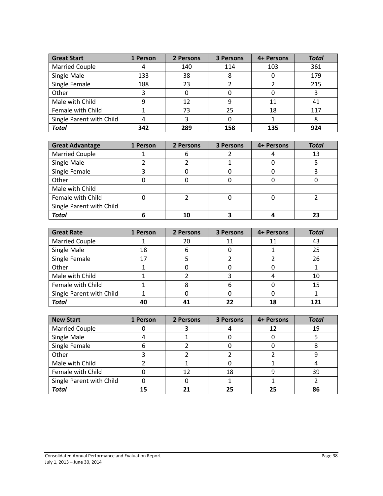| <b>Great Start</b>       | 1 Person | 2 Persons | 3 Persons | 4+ Persons | <b>Total</b> |
|--------------------------|----------|-----------|-----------|------------|--------------|
| <b>Married Couple</b>    | 4        | 140       | 114       | 103        | 361          |
| Single Male              | 133      | 38        |           |            | 179          |
| Single Female            | 188      | 23        |           |            | 215          |
| Other                    |          |           |           |            |              |
| Male with Child          | 9        | 12        | q         | 11         | 41           |
| Female with Child        |          | 73        | 25        | 18         | 117          |
| Single Parent with Child | 4        |           |           |            |              |
| <b>Total</b>             | 342      | 289       | 158       | 135        | 924          |

| <b>Great Advantage</b>   | 1 Person | 2 Persons | 3 Persons | 4+ Persons | <b>Total</b> |
|--------------------------|----------|-----------|-----------|------------|--------------|
| <b>Married Couple</b>    |          |           |           |            | 13           |
| Single Male              |          |           |           |            |              |
| Single Female            |          |           |           |            |              |
| Other                    |          |           |           |            |              |
| Male with Child          |          |           |           |            |              |
| Female with Child        |          |           |           |            |              |
| Single Parent with Child |          |           |           |            |              |
| <b>Total</b>             |          | 10        |           |            |              |

| <b>Great Rate</b>        | 1 Person | 2 Persons | 3 Persons | 4+ Persons | <b>Total</b> |
|--------------------------|----------|-----------|-----------|------------|--------------|
| <b>Married Couple</b>    |          | 20        | 11        | 11         | 43           |
| Single Male              | 18       | b         |           |            | 25           |
| Single Female            | 17       |           |           |            | 26           |
| Other                    |          |           |           |            |              |
| Male with Child          |          |           |           |            | 10           |
| Female with Child        |          |           | 6         |            | 15           |
| Single Parent with Child |          |           |           |            |              |
| <b>Total</b>             | 40       |           |           | 18         | 121          |

| <b>New Start</b>         | 1 Person | 2 Persons | 3 Persons | 4+ Persons | <b>Total</b> |
|--------------------------|----------|-----------|-----------|------------|--------------|
| <b>Married Couple</b>    |          |           |           |            | 19           |
| Single Male              |          |           |           |            |              |
| Single Female            | ь        |           |           |            |              |
| Other                    |          |           |           |            |              |
| Male with Child          |          |           |           |            |              |
| Female with Child        |          |           | 18        |            | 39           |
| Single Parent with Child |          |           |           |            |              |
| <b>Total</b>             | 15       |           | 25        | 25         | 86           |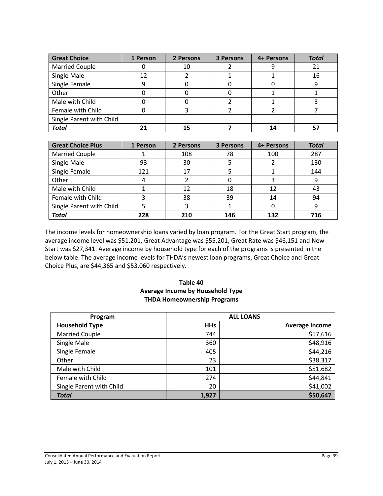| <b>Great Choice</b>      | 1 Person | 2 Persons | <b>3 Persons</b> | 4+ Persons | <b>Total</b> |
|--------------------------|----------|-----------|------------------|------------|--------------|
| <b>Married Couple</b>    |          | 10        |                  |            | 21           |
| Single Male              | 12       |           |                  |            | 16           |
| Single Female            | 9        |           |                  |            |              |
| Other                    |          |           |                  |            |              |
| Male with Child          |          |           |                  |            |              |
| Female with Child        |          |           |                  |            |              |
| Single Parent with Child |          |           |                  |            |              |
| <b>Total</b>             |          |           |                  | 14         |              |

| <b>Great Choice Plus</b> | 1 Person | 2 Persons | 3 Persons | 4+ Persons | <b>Total</b> |
|--------------------------|----------|-----------|-----------|------------|--------------|
| <b>Married Couple</b>    |          | 108       | 78        | 100        | 287          |
| Single Male              | 93       | 30        |           |            | 130          |
| Single Female            | 121      | 17        |           |            | 144          |
| Other                    | 4        |           |           |            |              |
| Male with Child          |          | 12        | 18        | 12         | 43           |
| Female with Child        | 3        | 38        | 39        | 14         | 94           |
| Single Parent with Child |          |           |           |            |              |
| <b>Total</b>             | 228      | 210       | 146       | 132        | 716          |

The income levels for homeownership loans varied by loan program. For the Great Start program, the average income level was \$51,201, Great Advantage was \$55,201, Great Rate was \$46,151 and New Start was \$27,341. Average income by household type for each of the programs is presented in the below table. The average income levels for THDA's newest loan programs, Great Choice and Great Choice Plus, are \$44,365 and \$53,060 respectively.

#### **Table 40 Average Income by Household Type THDA Homeownership Programs**

| Program                  |            | <b>ALL LOANS</b>      |
|--------------------------|------------|-----------------------|
| <b>Household Type</b>    | <b>HHs</b> | <b>Average Income</b> |
| <b>Married Couple</b>    | 744        | \$57,616              |
| Single Male              | 360        | \$48,916              |
| Single Female            | 405        | \$44,216              |
| Other                    | 23         | \$38,317              |
| Male with Child          | 101        | \$51,682              |
| Female with Child        | 274        | \$44,841              |
| Single Parent with Child | 20         | \$41,002              |
| <b>Total</b>             | 1,927      | \$50,647              |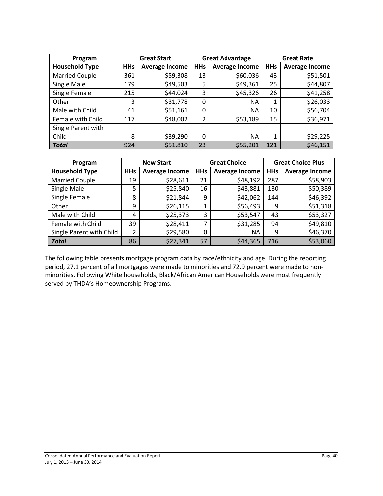| Program               | <b>Great Start</b> |                       | <b>Great Advantage</b> |                       | <b>Great Rate</b> |                       |
|-----------------------|--------------------|-----------------------|------------------------|-----------------------|-------------------|-----------------------|
| <b>Household Type</b> | <b>HHs</b>         | <b>Average Income</b> | <b>HHs</b>             | <b>Average Income</b> | <b>HHs</b>        | <b>Average Income</b> |
| <b>Married Couple</b> | 361                | \$59,308              | 13                     | \$60,036              | 43                | \$51,501              |
| Single Male           | 179                | \$49,503              | 5                      | \$49,361              | 25                | \$44,807              |
| Single Female         | 215                | \$44,024              | 3                      | \$45,326              | 26                | \$41,258              |
| Other                 | 3                  | \$31,778              | 0                      | ΝA                    | 1                 | \$26,033              |
| Male with Child       | 41                 | \$51,161              | $\Omega$               | <b>NA</b>             | 10                | \$56,704              |
| Female with Child     | 117                | \$48,002              | 2                      | \$53,189              | 15                | \$36,971              |
| Single Parent with    |                    |                       |                        |                       |                   |                       |
| Child                 | 8                  | \$39,290              | 0                      | ΝA                    | 1                 | \$29,225              |
| <b>Total</b>          | 924                | \$51,810              | 23                     | \$55,201              | 121               | \$46,151              |

| Program                  | <b>New Start</b> |                       | <b>Great Choice</b> |                       | <b>Great Choice Plus</b> |                       |
|--------------------------|------------------|-----------------------|---------------------|-----------------------|--------------------------|-----------------------|
| <b>Household Type</b>    | <b>HHs</b>       | <b>Average Income</b> | <b>HHs</b>          | <b>Average Income</b> | <b>HHs</b>               | <b>Average Income</b> |
| <b>Married Couple</b>    | 19               | \$28,611              | 21                  | \$48,192              | 287                      | \$58,903              |
| Single Male              | 5                | \$25,840              | 16                  | \$43,881              | 130                      | \$50,389              |
| Single Female            | 8                | \$21,844              | 9                   | \$42,062              | 144                      | \$46,392              |
| Other                    | 9                | \$26,115              | 1                   | \$56,493              | 9                        | \$51,318              |
| Male with Child          | 4                | \$25,373              | 3                   | \$53,547              | 43                       | \$53,327              |
| Female with Child        | 39               | \$28,411              | 7                   | \$31,285              | 94                       | \$49,810              |
| Single Parent with Child | 2                | \$29,580              | 0                   | NА                    | 9                        | \$46,370              |
| <b>Total</b>             | 86               | \$27,341              | 57                  | \$44,365              | 716                      | \$53,060              |

The following table presents mortgage program data by race/ethnicity and age. During the reporting period, 27.1 percent of all mortgages were made to minorities and 72.9 percent were made to nonminorities. Following White households, Black/African American Households were most frequently served by THDA's Homeownership Programs.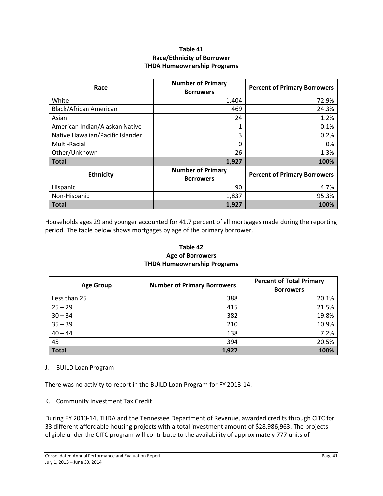#### **Table 41 Race/Ethnicity of Borrower THDA Homeownership Programs**

| Race                             | <b>Number of Primary</b><br><b>Borrowers</b> | <b>Percent of Primary Borrowers</b> |
|----------------------------------|----------------------------------------------|-------------------------------------|
| White                            | 1,404                                        | 72.9%                               |
| Black/African American           | 469                                          | 24.3%                               |
| Asian                            | 24                                           | 1.2%                                |
| American Indian/Alaskan Native   | 1                                            | 0.1%                                |
| Native Hawaiian/Pacific Islander | 3                                            | 0.2%                                |
| Multi-Racial                     | 0                                            | 0%                                  |
| Other/Unknown                    | 26                                           | 1.3%                                |
| <b>Total</b>                     | 1,927                                        | 100%                                |
| <b>Ethnicity</b>                 | <b>Number of Primary</b><br><b>Borrowers</b> | <b>Percent of Primary Borrowers</b> |
| Hispanic                         | 90                                           | 4.7%                                |
| Non-Hispanic                     | 1,837                                        | 95.3%                               |
| <b>Total</b>                     | 1,927                                        | 100%                                |

Households ages 29 and younger accounted for 41.7 percent of all mortgages made during the reporting period. The table below shows mortgages by age of the primary borrower.

#### **Table 42 Age of Borrowers THDA Homeownership Programs**

| <b>Age Group</b> | <b>Number of Primary Borrowers</b> | <b>Percent of Total Primary</b><br><b>Borrowers</b> |
|------------------|------------------------------------|-----------------------------------------------------|
| Less than 25     | 388                                | 20.1%                                               |
| $25 - 29$        | 415                                | 21.5%                                               |
| $30 - 34$        | 382                                | 19.8%                                               |
| $35 - 39$        | 210                                | 10.9%                                               |
| $40 - 44$        | 138                                | 7.2%                                                |
| $45 +$           | 394                                | 20.5%                                               |
| <b>Total</b>     | 1,927                              | 100%                                                |

#### J. BUILD Loan Program

There was no activity to report in the BUILD Loan Program for FY 2013-14.

K. Community Investment Tax Credit

During FY 2013-14, THDA and the Tennessee Department of Revenue, awarded credits through CITC for 33 different affordable housing projects with a total investment amount of \$28,986,963. The projects eligible under the CITC program will contribute to the availability of approximately 777 units of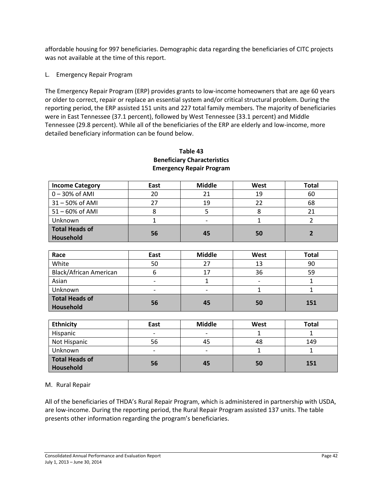affordable housing for 997 beneficiaries. Demographic data regarding the beneficiaries of CITC projects was not available at the time of this report.

#### L. Emergency Repair Program

The Emergency Repair Program (ERP) provides grants to low-income homeowners that are age 60 years or older to correct, repair or replace an essential system and/or critical structural problem. During the reporting period, the ERP assisted 151 units and 227 total family members. The majority of beneficiaries were in East Tennessee (37.1 percent), followed by West Tennessee (33.1 percent) and Middle Tennessee (29.8 percent). While all of the beneficiaries of the ERP are elderly and low-income, more detailed beneficiary information can be found below.

| <b>Income Category</b> | East | <b>Middle</b> | West | Total |
|------------------------|------|---------------|------|-------|
| $0 - 30\%$ of AMI      | 20   |               | 19   | 60    |
| 31-50% of AMI          | 27   | 19            | 22   | 68    |
| 51-60% of AMI          |      |               | 8    | 21    |
| Unknown                |      |               |      |       |
| <b>Total Heads of</b>  |      |               |      |       |
| Household              | 56   | 45            | 50   |       |

#### **Table 43 Beneficiary Characteristics Emergency Repair Program**

| Race                        | East | <b>Middle</b> | West | Total |
|-----------------------------|------|---------------|------|-------|
| White                       | 50   | 27            | 13   | 90    |
| Black/African American      |      | 17            | 36   | 59    |
| Asian                       |      |               |      |       |
| Unknown                     | -    |               |      |       |
| Total Heads of<br>Household | 56   | 45            | 50   | 151   |

| <b>Ethnicity</b>                   | East                     | <b>Middle</b> | West | Total |
|------------------------------------|--------------------------|---------------|------|-------|
| Hispanic                           | $\overline{\phantom{a}}$ | -             |      |       |
| Not Hispanic                       | 56                       | 45            | 48   | 149   |
| Unknown                            | $\overline{\phantom{0}}$ |               |      |       |
| <b>Total Heads of</b><br>Household | 56                       | 45            | 50   | 151   |

#### M. Rural Repair

All of the beneficiaries of THDA's Rural Repair Program, which is administered in partnership with USDA, are low-income. During the reporting period, the Rural Repair Program assisted 137 units. The table presents other information regarding the program's beneficiaries.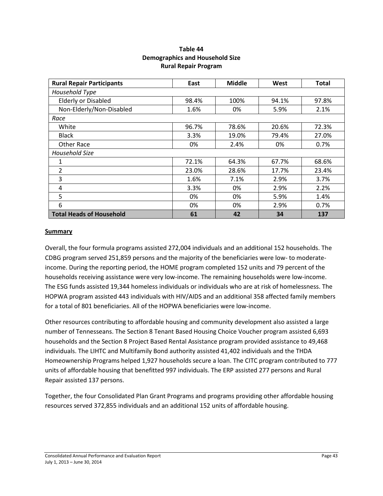| Table 44                               |
|----------------------------------------|
| <b>Demographics and Household Size</b> |
| <b>Rural Repair Program</b>            |

| <b>Rural Repair Participants</b> | East  | <b>Middle</b> | West  | <b>Total</b> |
|----------------------------------|-------|---------------|-------|--------------|
| Household Type                   |       |               |       |              |
| <b>Elderly or Disabled</b>       | 98.4% | 100%          | 94.1% | 97.8%        |
| Non-Elderly/Non-Disabled         | 1.6%  | 0%            | 5.9%  | 2.1%         |
| Race                             |       |               |       |              |
| White                            | 96.7% | 78.6%         | 20.6% | 72.3%        |
| <b>Black</b>                     | 3.3%  | 19.0%         | 79.4% | 27.0%        |
| Other Race                       | 0%    | 2.4%          | 0%    | 0.7%         |
| Household Size                   |       |               |       |              |
| 1                                | 72.1% | 64.3%         | 67.7% | 68.6%        |
| 2                                | 23.0% | 28.6%         | 17.7% | 23.4%        |
| 3                                | 1.6%  | 7.1%          | 2.9%  | 3.7%         |
| 4                                | 3.3%  | 0%            | 2.9%  | 2.2%         |
| 5                                | 0%    | 0%            | 5.9%  | 1.4%         |
| 6                                | 0%    | 0%            | 2.9%  | 0.7%         |
| <b>Total Heads of Household</b>  | 61    | 42            | 34    | 137          |

#### **Summary**

Overall, the four formula programs assisted 272,004 individuals and an additional 152 households. The CDBG program served 251,859 persons and the majority of the beneficiaries were low- to moderateincome. During the reporting period, the HOME program completed 152 units and 79 percent of the households receiving assistance were very low-income. The remaining households were low-income. The ESG funds assisted 19,344 homeless individuals or individuals who are at risk of homelessness. The HOPWA program assisted 443 individuals with HIV/AIDS and an additional 358 affected family members for a total of 801 beneficiaries. All of the HOPWA beneficiaries were low-income.

Other resources contributing to affordable housing and community development also assisted a large number of Tennesseans. The Section 8 Tenant Based Housing Choice Voucher program assisted 6,693 households and the Section 8 Project Based Rental Assistance program provided assistance to 49,468 individuals. The LIHTC and Multifamily Bond authority assisted 41,402 individuals and the THDA Homeownership Programs helped 1,927 households secure a loan. The CITC program contributed to 777 units of affordable housing that benefitted 997 individuals. The ERP assisted 277 persons and Rural Repair assisted 137 persons.

Together, the four Consolidated Plan Grant Programs and programs providing other affordable housing resources served 372,855 individuals and an additional 152 units of affordable housing.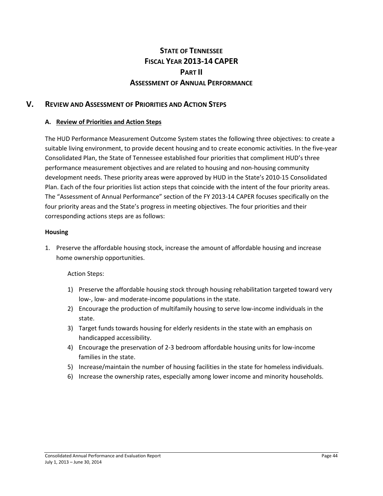## **STATE OF TENNESSEE FISCAL YEAR 2013-14 CAPER PART II ASSESSMENT OF ANNUAL PERFORMANCE**

### **V. REVIEW AND ASSESSMENT OF PRIORITIES AND ACTION STEPS**

#### **A. Review of Priorities and Action Steps**

The HUD Performance Measurement Outcome System states the following three objectives: to create a suitable living environment, to provide decent housing and to create economic activities. In the five-year Consolidated Plan, the State of Tennessee established four priorities that compliment HUD's three performance measurement objectives and are related to housing and non-housing community development needs. These priority areas were approved by HUD in the State's 2010-15 Consolidated Plan. Each of the four priorities list action steps that coincide with the intent of the four priority areas. The "Assessment of Annual Performance" section of the FY 2013-14 CAPER focuses specifically on the four priority areas and the State's progress in meeting objectives. The four priorities and their corresponding actions steps are as follows:

#### **Housing**

1. Preserve the affordable housing stock, increase the amount of affordable housing and increase home ownership opportunities.

#### Action Steps:

- 1) Preserve the affordable housing stock through housing rehabilitation targeted toward very low-, low- and moderate-income populations in the state.
- 2) Encourage the production of multifamily housing to serve low-income individuals in the state.
- 3) Target funds towards housing for elderly residents in the state with an emphasis on handicapped accessibility.
- 4) Encourage the preservation of 2-3 bedroom affordable housing units for low-income families in the state.
- 5) Increase/maintain the number of housing facilities in the state for homeless individuals.
- 6) Increase the ownership rates, especially among lower income and minority households.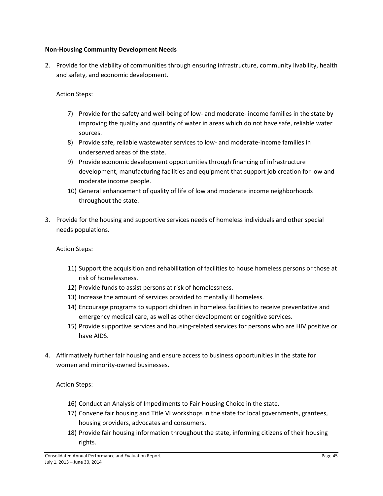#### **Non-Housing Community Development Needs**

2. Provide for the viability of communities through ensuring infrastructure, community livability, health and safety, and economic development.

Action Steps:

- 7) Provide for the safety and well-being of low- and moderate- income families in the state by improving the quality and quantity of water in areas which do not have safe, reliable water sources.
- 8) Provide safe, reliable wastewater services to low- and moderate-income families in underserved areas of the state.
- 9) Provide economic development opportunities through financing of infrastructure development, manufacturing facilities and equipment that support job creation for low and moderate income people.
- 10) General enhancement of quality of life of low and moderate income neighborhoods throughout the state.
- 3. Provide for the housing and supportive services needs of homeless individuals and other special needs populations.

Action Steps:

- 11) Support the acquisition and rehabilitation of facilities to house homeless persons or those at risk of homelessness.
- 12) Provide funds to assist persons at risk of homelessness.
- 13) Increase the amount of services provided to mentally ill homeless.
- 14) Encourage programs to support children in homeless facilities to receive preventative and emergency medical care, as well as other development or cognitive services.
- 15) Provide supportive services and housing-related services for persons who are HIV positive or have AIDS.
- 4. Affirmatively further fair housing and ensure access to business opportunities in the state for women and minority-owned businesses.

Action Steps:

- 16) Conduct an Analysis of Impediments to Fair Housing Choice in the state.
- 17) Convene fair housing and Title VI workshops in the state for local governments, grantees, housing providers, advocates and consumers.
- 18) Provide fair housing information throughout the state, informing citizens of their housing rights.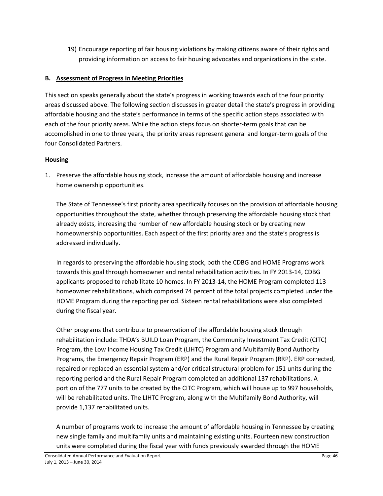19) Encourage reporting of fair housing violations by making citizens aware of their rights and providing information on access to fair housing advocates and organizations in the state.

## **B. Assessment of Progress in Meeting Priorities**

This section speaks generally about the state's progress in working towards each of the four priority areas discussed above. The following section discusses in greater detail the state's progress in providing affordable housing and the state's performance in terms of the specific action steps associated with each of the four priority areas. While the action steps focus on shorter-term goals that can be accomplished in one to three years, the priority areas represent general and longer-term goals of the four Consolidated Partners.

#### **Housing**

1. Preserve the affordable housing stock, increase the amount of affordable housing and increase home ownership opportunities.

The State of Tennessee's first priority area specifically focuses on the provision of affordable housing opportunities throughout the state, whether through preserving the affordable housing stock that already exists, increasing the number of new affordable housing stock or by creating new homeownership opportunities. Each aspect of the first priority area and the state's progress is addressed individually.

In regards to preserving the affordable housing stock, both the CDBG and HOME Programs work towards this goal through homeowner and rental rehabilitation activities. In FY 2013-14, CDBG applicants proposed to rehabilitate 10 homes. In FY 2013-14, the HOME Program completed 113 homeowner rehabilitations, which comprised 74 percent of the total projects completed under the HOME Program during the reporting period. Sixteen rental rehabilitations were also completed during the fiscal year.

Other programs that contribute to preservation of the affordable housing stock through rehabilitation include: THDA's BUILD Loan Program, the Community Investment Tax Credit (CITC) Program, the Low Income Housing Tax Credit (LIHTC) Program and Multifamily Bond Authority Programs, the Emergency Repair Program (ERP) and the Rural Repair Program (RRP). ERP corrected, repaired or replaced an essential system and/or critical structural problem for 151 units during the reporting period and the Rural Repair Program completed an additional 137 rehabilitations. A portion of the 777 units to be created by the CITC Program, which will house up to 997 households, will be rehabilitated units. The LIHTC Program, along with the Multifamily Bond Authority, will provide 1,137 rehabilitated units.

A number of programs work to increase the amount of affordable housing in Tennessee by creating new single family and multifamily units and maintaining existing units. Fourteen new construction units were completed during the fiscal year with funds previously awarded through the HOME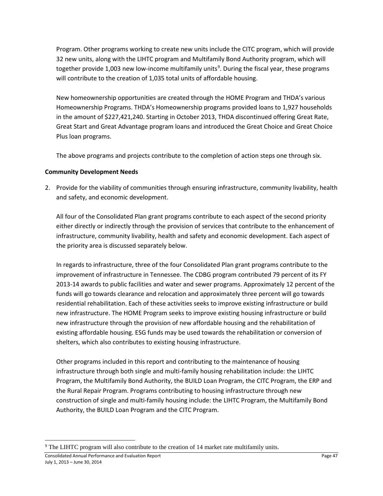Program. Other programs working to create new units include the CITC program, which will provide 32 new units, along with the LIHTC program and Multifamily Bond Authority program, which will together provide 1,003 new low-income multifamily units<sup>[9](#page-46-0)</sup>. During the fiscal year, these programs will contribute to the creation of 1,035 total units of affordable housing.

New homeownership opportunities are created through the HOME Program and THDA's various Homeownership Programs. THDA's Homeownership programs provided loans to 1,927 households in the amount of \$227,421,240. Starting in October 2013, THDA discontinued offering Great Rate, Great Start and Great Advantage program loans and introduced the Great Choice and Great Choice Plus loan programs.

The above programs and projects contribute to the completion of action steps one through six.

#### **Community Development Needs**

2. Provide for the viability of communities through ensuring infrastructure, community livability, health and safety, and economic development.

All four of the Consolidated Plan grant programs contribute to each aspect of the second priority either directly or indirectly through the provision of services that contribute to the enhancement of infrastructure, community livability, health and safety and economic development. Each aspect of the priority area is discussed separately below.

In regards to infrastructure, three of the four Consolidated Plan grant programs contribute to the improvement of infrastructure in Tennessee. The CDBG program contributed 79 percent of its FY 2013-14 awards to public facilities and water and sewer programs. Approximately 12 percent of the funds will go towards clearance and relocation and approximately three percent will go towards residential rehabilitation. Each of these activities seeks to improve existing infrastructure or build new infrastructure. The HOME Program seeks to improve existing housing infrastructure or build new infrastructure through the provision of new affordable housing and the rehabilitation of existing affordable housing. ESG funds may be used towards the rehabilitation or conversion of shelters, which also contributes to existing housing infrastructure.

Other programs included in this report and contributing to the maintenance of housing infrastructure through both single and multi-family housing rehabilitation include: the LIHTC Program, the Multifamily Bond Authority, the BUILD Loan Program, the CITC Program, the ERP and the Rural Repair Program. Programs contributing to housing infrastructure through new construction of single and multi-family housing include: the LIHTC Program, the Multifamily Bond Authority, the BUILD Loan Program and the CITC Program.

l

<span id="page-46-0"></span> $9$  The LIHTC program will also contribute to the creation of 14 market rate multifamily units.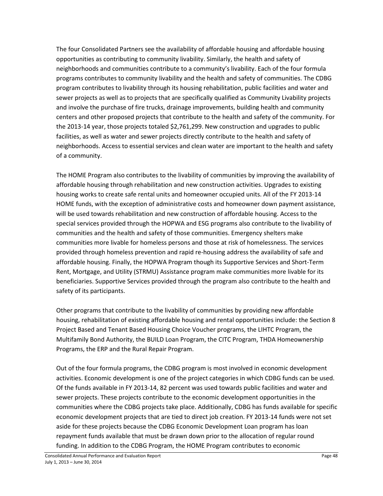The four Consolidated Partners see the availability of affordable housing and affordable housing opportunities as contributing to community livability. Similarly, the health and safety of neighborhoods and communities contribute to a community's livability. Each of the four formula programs contributes to community livability and the health and safety of communities. The CDBG program contributes to livability through its housing rehabilitation, public facilities and water and sewer projects as well as to projects that are specifically qualified as Community Livability projects and involve the purchase of fire trucks, drainage improvements, building health and community centers and other proposed projects that contribute to the health and safety of the community. For the 2013-14 year, those projects totaled \$2,761,299. New construction and upgrades to public facilities, as well as water and sewer projects directly contribute to the health and safety of neighborhoods. Access to essential services and clean water are important to the health and safety of a community.

The HOME Program also contributes to the livability of communities by improving the availability of affordable housing through rehabilitation and new construction activities. Upgrades to existing housing works to create safe rental units and homeowner occupied units. All of the FY 2013-14 HOME funds, with the exception of administrative costs and homeowner down payment assistance, will be used towards rehabilitation and new construction of affordable housing. Access to the special services provided through the HOPWA and ESG programs also contribute to the livability of communities and the health and safety of those communities. Emergency shelters make communities more livable for homeless persons and those at risk of homelessness. The services provided through homeless prevention and rapid re-housing address the availability of safe and affordable housing. Finally, the HOPWA Program though its Supportive Services and Short-Term Rent, Mortgage, and Utility (STRMU) Assistance program make communities more livable for its beneficiaries. Supportive Services provided through the program also contribute to the health and safety of its participants.

Other programs that contribute to the livability of communities by providing new affordable housing, rehabilitation of existing affordable housing and rental opportunities include: the Section 8 Project Based and Tenant Based Housing Choice Voucher programs, the LIHTC Program, the Multifamily Bond Authority, the BUILD Loan Program, the CITC Program, THDA Homeownership Programs, the ERP and the Rural Repair Program.

Out of the four formula programs, the CDBG program is most involved in economic development activities. Economic development is one of the project categories in which CDBG funds can be used. Of the funds available in FY 2013-14, 82 percent was used towards public facilities and water and sewer projects. These projects contribute to the economic development opportunities in the communities where the CDBG projects take place. Additionally, CDBG has funds available for specific economic development projects that are tied to direct job creation. FY 2013-14 funds were not set aside for these projects because the CDBG Economic Development Loan program has loan repayment funds available that must be drawn down prior to the allocation of regular round funding. In addition to the CDBG Program, the HOME Program contributes to economic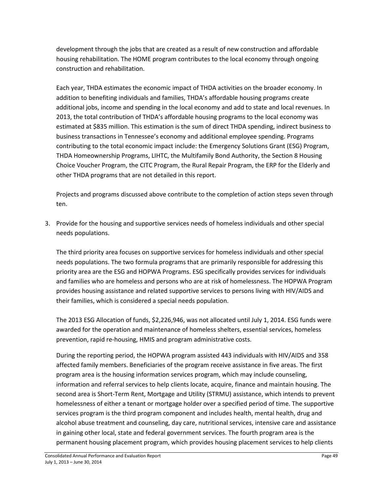development through the jobs that are created as a result of new construction and affordable housing rehabilitation. The HOME program contributes to the local economy through ongoing construction and rehabilitation.

Each year, THDA estimates the economic impact of THDA activities on the broader economy. In addition to benefiting individuals and families, THDA's affordable housing programs create additional jobs, income and spending in the local economy and add to state and local revenues. In 2013, the total contribution of THDA's affordable housing programs to the local economy was estimated at \$835 million. This estimation is the sum of direct THDA spending, indirect business to business transactions in Tennessee's economy and additional employee spending. Programs contributing to the total economic impact include: the Emergency Solutions Grant (ESG) Program, THDA Homeownership Programs, LIHTC, the Multifamily Bond Authority, the Section 8 Housing Choice Voucher Program, the CITC Program, the Rural Repair Program, the ERP for the Elderly and other THDA programs that are not detailed in this report.

Projects and programs discussed above contribute to the completion of action steps seven through ten.

3. Provide for the housing and supportive services needs of homeless individuals and other special needs populations.

The third priority area focuses on supportive services for homeless individuals and other special needs populations. The two formula programs that are primarily responsible for addressing this priority area are the ESG and HOPWA Programs. ESG specifically provides services for individuals and families who are homeless and persons who are at risk of homelessness. The HOPWA Program provides housing assistance and related supportive services to persons living with HIV/AIDS and their families, which is considered a special needs population.

The 2013 ESG Allocation of funds, \$2,226,946, was not allocated until July 1, 2014. ESG funds were awarded for the operation and maintenance of homeless shelters, essential services, homeless prevention, rapid re-housing, HMIS and program administrative costs.

During the reporting period, the HOPWA program assisted 443 individuals with HIV/AIDS and 358 affected family members. Beneficiaries of the program receive assistance in five areas. The first program area is the housing information services program, which may include counseling, information and referral services to help clients locate, acquire, finance and maintain housing. The second area is Short-Term Rent, Mortgage and Utility (STRMU) assistance, which intends to prevent homelessness of either a tenant or mortgage holder over a specified period of time. The supportive services program is the third program component and includes health, mental health, drug and alcohol abuse treatment and counseling, day care, nutritional services, intensive care and assistance in gaining other local, state and federal government services. The fourth program area is the permanent housing placement program, which provides housing placement services to help clients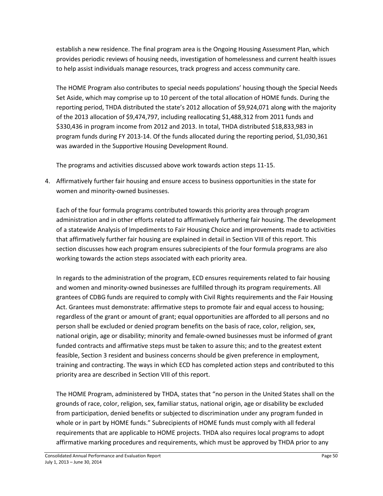establish a new residence. The final program area is the Ongoing Housing Assessment Plan, which provides periodic reviews of housing needs, investigation of homelessness and current health issues to help assist individuals manage resources, track progress and access community care.

The HOME Program also contributes to special needs populations' housing though the Special Needs Set Aside, which may comprise up to 10 percent of the total allocation of HOME funds. During the reporting period, THDA distributed the state's 2012 allocation of \$9,924,071 along with the majority of the 2013 allocation of \$9,474,797, including reallocating \$1,488,312 from 2011 funds and \$330,436 in program income from 2012 and 2013. In total, THDA distributed \$18,833,983 in program funds during FY 2013-14. Of the funds allocated during the reporting period, \$1,030,361 was awarded in the Supportive Housing Development Round.

The programs and activities discussed above work towards action steps 11-15.

4. Affirmatively further fair housing and ensure access to business opportunities in the state for women and minority-owned businesses.

Each of the four formula programs contributed towards this priority area through program administration and in other efforts related to affirmatively furthering fair housing. The development of a statewide Analysis of Impediments to Fair Housing Choice and improvements made to activities that affirmatively further fair housing are explained in detail in Section VIII of this report. This section discusses how each program ensures subrecipients of the four formula programs are also working towards the action steps associated with each priority area.

In regards to the administration of the program, ECD ensures requirements related to fair housing and women and minority-owned businesses are fulfilled through its program requirements. All grantees of CDBG funds are required to comply with Civil Rights requirements and the Fair Housing Act. Grantees must demonstrate: affirmative steps to promote fair and equal access to housing; regardless of the grant or amount of grant; equal opportunities are afforded to all persons and no person shall be excluded or denied program benefits on the basis of race, color, religion, sex, national origin, age or disability; minority and female-owned businesses must be informed of grant funded contracts and affirmative steps must be taken to assure this; and to the greatest extent feasible, Section 3 resident and business concerns should be given preference in employment, training and contracting. The ways in which ECD has completed action steps and contributed to this priority area are described in Section VIII of this report.

The HOME Program, administered by THDA, states that "no person in the United States shall on the grounds of race, color, religion, sex, familiar status, national origin, age or disability be excluded from participation, denied benefits or subjected to discrimination under any program funded in whole or in part by HOME funds." Subrecipients of HOME funds must comply with all federal requirements that are applicable to HOME projects. THDA also requires local programs to adopt affirmative marking procedures and requirements, which must be approved by THDA prior to any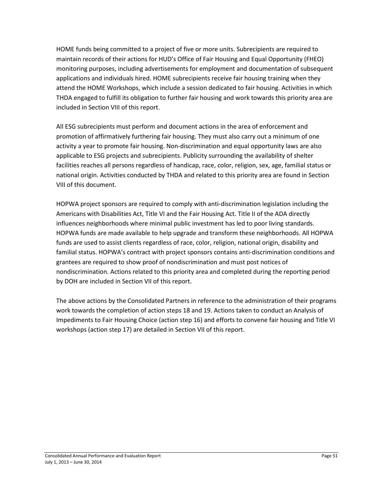HOME funds being committed to a project of five or more units. Subrecipients are required to maintain records of their actions for HUD's Office of Fair Housing and Equal Opportunity (FHEO) monitoring purposes, including advertisements for employment and documentation of subsequent applications and individuals hired. HOME subrecipients receive fair housing training when they attend the HOME Workshops, which include a session dedicated to fair housing. Activities in which THDA engaged to fulfill its obligation to further fair housing and work towards this priority area are included in Section VIII of this report.

All ESG subrecipients must perform and document actions in the area of enforcement and promotion of affirmatively furthering fair housing. They must also carry out a minimum of one activity a year to promote fair housing. Non-discrimination and equal opportunity laws are also applicable to ESG projects and subrecipients. Publicity surrounding the availability of shelter facilities reaches all persons regardless of handicap, race, color, religion, sex, age, familial status or national origin. Activities conducted by THDA and related to this priority area are found in Section VIII of this document.

HOPWA project sponsors are required to comply with anti-discrimination legislation including the Americans with Disabilities Act, Title VI and the Fair Housing Act. Title II of the ADA directly influences neighborhoods where minimal public investment has led to poor living standards. HOPWA funds are made available to help upgrade and transform these neighborhoods. All HOPWA funds are used to assist clients regardless of race, color, religion, national origin, disability and familial status. HOPWA's contract with project sponsors contains anti-discrimination conditions and grantees are required to show proof of nondiscrimination and must post notices of nondiscrimination. Actions related to this priority area and completed during the reporting period by DOH are included in Section VII of this report.

The above actions by the Consolidated Partners in reference to the administration of their programs work towards the completion of action steps 18 and 19. Actions taken to conduct an Analysis of Impediments to Fair Housing Choice (action step 16) and efforts to convene fair housing and Title VI workshops (action step 17) are detailed in Section VII of this report.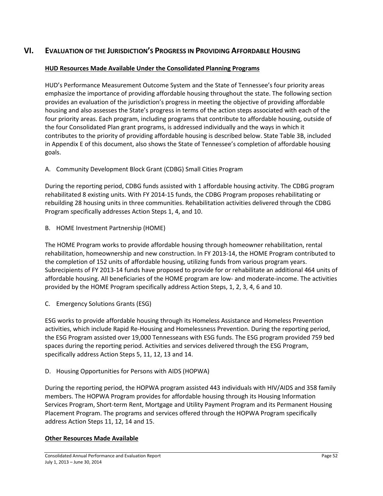## **VI. EVALUATION OF THE JURISDICTION'S PROGRESS IN PROVIDING AFFORDABLE HOUSING**

#### **HUD Resources Made Available Under the Consolidated Planning Programs**

HUD's Performance Measurement Outcome System and the State of Tennessee's four priority areas emphasize the importance of providing affordable housing throughout the state. The following section provides an evaluation of the jurisdiction's progress in meeting the objective of providing affordable housing and also assesses the State's progress in terms of the action steps associated with each of the four priority areas. Each program, including programs that contribute to affordable housing, outside of the four Consolidated Plan grant programs, is addressed individually and the ways in which it contributes to the priority of providing affordable housing is described below. State Table 3B, included in Appendix E of this document, also shows the State of Tennessee's completion of affordable housing goals.

A. Community Development Block Grant (CDBG) Small Cities Program

During the reporting period, CDBG funds assisted with 1 affordable housing activity. The CDBG program rehabilitated 8 existing units. With FY 2014-15 funds, the CDBG Program proposes rehabilitating or rebuilding 28 housing units in three communities. Rehabilitation activities delivered through the CDBG Program specifically addresses Action Steps 1, 4, and 10.

B. HOME Investment Partnership (HOME)

The HOME Program works to provide affordable housing through homeowner rehabilitation, rental rehabilitation, homeownership and new construction. In FY 2013-14, the HOME Program contributed to the completion of 152 units of affordable housing, utilizing funds from various program years. Subrecipients of FY 2013-14 funds have proposed to provide for or rehabilitate an additional 464 units of affordable housing. All beneficiaries of the HOME program are low- and moderate-income. The activities provided by the HOME Program specifically address Action Steps, 1, 2, 3, 4, 6 and 10.

C. Emergency Solutions Grants (ESG)

ESG works to provide affordable housing through its Homeless Assistance and Homeless Prevention activities, which include Rapid Re-Housing and Homelessness Prevention. During the reporting period, the ESG Program assisted over 19,000 Tennesseans with ESG funds. The ESG program provided 759 bed spaces during the reporting period. Activities and services delivered through the ESG Program, specifically address Action Steps 5, 11, 12, 13 and 14.

D. Housing Opportunities for Persons with AIDS (HOPWA)

During the reporting period, the HOPWA program assisted 443 individuals with HIV/AIDS and 358 family members. The HOPWA Program provides for affordable housing through its Housing Information Services Program, Short-term Rent, Mortgage and Utility Payment Program and its Permanent Housing Placement Program. The programs and services offered through the HOPWA Program specifically address Action Steps 11, 12, 14 and 15.

#### **Other Resources Made Available**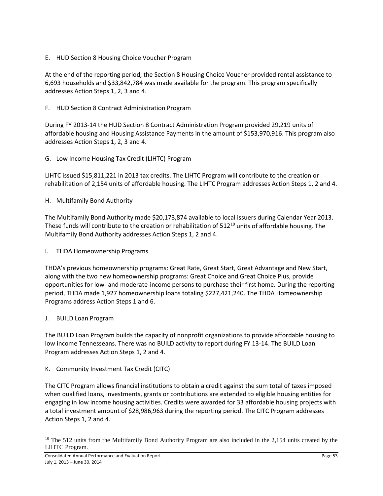E. HUD Section 8 Housing Choice Voucher Program

At the end of the reporting period, the Section 8 Housing Choice Voucher provided rental assistance to 6,693 households and \$33,842,784 was made available for the program. This program specifically addresses Action Steps 1, 2, 3 and 4.

F. HUD Section 8 Contract Administration Program

During FY 2013-14 the HUD Section 8 Contract Administration Program provided 29,219 units of affordable housing and Housing Assistance Payments in the amount of \$153,970,916. This program also addresses Action Steps 1, 2, 3 and 4.

G. Low Income Housing Tax Credit (LIHTC) Program

LIHTC issued \$15,811,221 in 2013 tax credits. The LIHTC Program will contribute to the creation or rehabilitation of 2,154 units of affordable housing. The LIHTC Program addresses Action Steps 1, 2 and 4.

H. Multifamily Bond Authority

The Multifamily Bond Authority made \$20,173,874 available to local issuers during Calendar Year 2013. These funds will contribute to the creation or rehabilitation of 512<sup>[10](#page-52-0)</sup> units of affordable housing. The Multifamily Bond Authority addresses Action Steps 1, 2 and 4.

I. THDA Homeownership Programs

THDA's previous homeownership programs: Great Rate, Great Start, Great Advantage and New Start, along with the two new homeownership programs: Great Choice and Great Choice Plus, provide opportunities for low- and moderate-income persons to purchase their first home. During the reporting period, THDA made 1,927 homeownership loans totaling \$227,421,240. The THDA Homeownership Programs address Action Steps 1 and 6.

J. BUILD Loan Program

The BUILD Loan Program builds the capacity of nonprofit organizations to provide affordable housing to low income Tennesseans. There was no BUILD activity to report during FY 13-14. The BUILD Loan Program addresses Action Steps 1, 2 and 4.

K. Community Investment Tax Credit (CITC)

The CITC Program allows financial institutions to obtain a credit against the sum total of taxes imposed when qualified loans, investments, grants or contributions are extended to eligible housing entities for engaging in low income housing activities. Credits were awarded for 33 affordable housing projects with a total investment amount of \$28,986,963 during the reporting period. The CITC Program addresses Action Steps 1, 2 and 4.

<span id="page-52-0"></span> $10$  The 512 units from the Multifamily Bond Authority Program are also included in the 2,154 units created by the LIHTC Program. l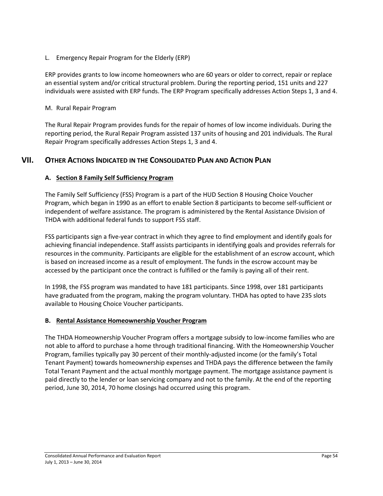L. Emergency Repair Program for the Elderly (ERP)

ERP provides grants to low income homeowners who are 60 years or older to correct, repair or replace an essential system and/or critical structural problem. During the reporting period, 151 units and 227 individuals were assisted with ERP funds. The ERP Program specifically addresses Action Steps 1, 3 and 4.

#### M. Rural Repair Program

The Rural Repair Program provides funds for the repair of homes of low income individuals. During the reporting period, the Rural Repair Program assisted 137 units of housing and 201 individuals. The Rural Repair Program specifically addresses Action Steps 1, 3 and 4.

## **VII. OTHER ACTIONS INDICATED IN THE CONSOLIDATED PLAN AND ACTION PLAN**

#### **A. Section 8 Family Self Sufficiency Program**

The Family Self Sufficiency (FSS) Program is a part of the HUD Section 8 Housing Choice Voucher Program, which began in 1990 as an effort to enable Section 8 participants to become self-sufficient or independent of welfare assistance. The program is administered by the Rental Assistance Division of THDA with additional federal funds to support FSS staff.

FSS participants sign a five-year contract in which they agree to find employment and identify goals for achieving financial independence. Staff assists participants in identifying goals and provides referrals for resources in the community. Participants are eligible for the establishment of an escrow account, which is based on increased income as a result of employment. The funds in the escrow account may be accessed by the participant once the contract is fulfilled or the family is paying all of their rent.

In 1998, the FSS program was mandated to have 181 participants. Since 1998, over 181 participants have graduated from the program, making the program voluntary. THDA has opted to have 235 slots available to Housing Choice Voucher participants.

#### **B. Rental Assistance Homeownership Voucher Program**

The THDA Homeownership Voucher Program offers a mortgage subsidy to low-income families who are not able to afford to purchase a home through traditional financing. With the Homeownership Voucher Program, families typically pay 30 percent of their monthly-adjusted income (or the family's Total Tenant Payment) towards homeownership expenses and THDA pays the difference between the family Total Tenant Payment and the actual monthly mortgage payment. The mortgage assistance payment is paid directly to the lender or loan servicing company and not to the family. At the end of the reporting period, June 30, 2014, 70 home closings had occurred using this program.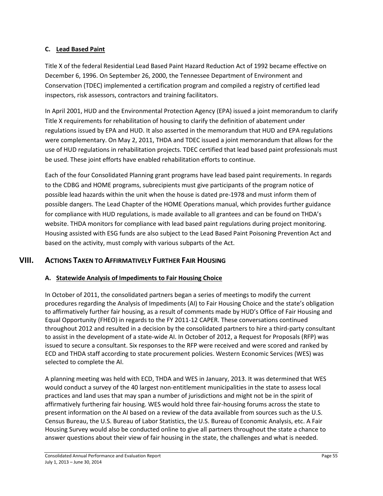### **C. Lead Based Paint**

Title X of the federal Residential Lead Based Paint Hazard Reduction Act of 1992 became effective on December 6, 1996. On September 26, 2000, the Tennessee Department of Environment and Conservation (TDEC) implemented a certification program and compiled a registry of certified lead inspectors, risk assessors, contractors and training facilitators.

In April 2001, HUD and the Environmental Protection Agency (EPA) issued a joint memorandum to clarify Title X requirements for rehabilitation of housing to clarify the definition of abatement under regulations issued by EPA and HUD. It also asserted in the memorandum that HUD and EPA regulations were complementary. On May 2, 2011, THDA and TDEC issued a joint memorandum that allows for the use of HUD regulations in rehabilitation projects. TDEC certified that lead based paint professionals must be used. These joint efforts have enabled rehabilitation efforts to continue.

Each of the four Consolidated Planning grant programs have lead based paint requirements. In regards to the CDBG and HOME programs, subrecipients must give participants of the program notice of possible lead hazards within the unit when the house is dated pre-1978 and must inform them of possible dangers. The Lead Chapter of the HOME Operations manual, which provides further guidance for compliance with HUD regulations, is made available to all grantees and can be found on THDA's website. THDA monitors for compliance with lead based paint regulations during project monitoring. Housing assisted with ESG funds are also subject to the Lead Based Paint Poisoning Prevention Act and based on the activity, must comply with various subparts of the Act.

## **VIII. ACTIONS TAKEN TO AFFIRMATIVELY FURTHER FAIR HOUSING**

## **A. Statewide Analysis of Impediments to Fair Housing Choice**

In October of 2011, the consolidated partners began a series of meetings to modify the current procedures regarding the Analysis of Impediments (AI) to Fair Housing Choice and the state's obligation to affirmatively further fair housing, as a result of comments made by HUD's Office of Fair Housing and Equal Opportunity (FHEO) in regards to the FY 2011-12 CAPER. These conversations continued throughout 2012 and resulted in a decision by the consolidated partners to hire a third-party consultant to assist in the development of a state-wide AI. In October of 2012, a Request for Proposals (RFP) was issued to secure a consultant. Six responses to the RFP were received and were scored and ranked by ECD and THDA staff according to state procurement policies. Western Economic Services (WES) was selected to complete the AI.

A planning meeting was held with ECD, THDA and WES in January, 2013. It was determined that WES would conduct a survey of the 40 largest non-entitlement municipalities in the state to assess local practices and land uses that may span a number of jurisdictions and might not be in the spirit of affirmatively furthering fair housing. WES would hold three fair-housing forums across the state to present information on the AI based on a review of the data available from sources such as the U.S. Census Bureau, the U.S. Bureau of Labor Statistics, the U.S. Bureau of Economic Analysis, etc. A Fair Housing Survey would also be conducted online to give all partners throughout the state a chance to answer questions about their view of fair housing in the state, the challenges and what is needed.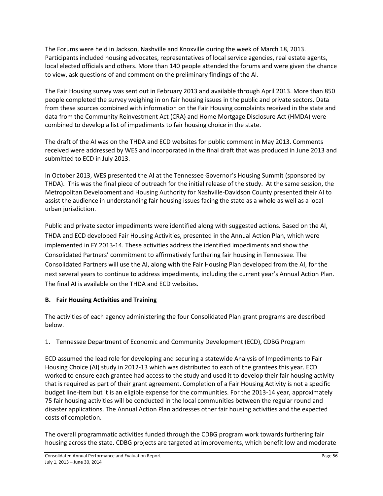The Forums were held in Jackson, Nashville and Knoxville during the week of March 18, 2013. Participants included housing advocates, representatives of local service agencies, real estate agents, local elected officials and others. More than 140 people attended the forums and were given the chance to view, ask questions of and comment on the preliminary findings of the AI.

The Fair Housing survey was sent out in February 2013 and available through April 2013. More than 850 people completed the survey weighing in on fair housing issues in the public and private sectors. Data from these sources combined with information on the Fair Housing complaints received in the state and data from the Community Reinvestment Act (CRA) and Home Mortgage Disclosure Act (HMDA) were combined to develop a list of impediments to fair housing choice in the state.

The draft of the AI was on the THDA and ECD websites for public comment in May 2013. Comments received were addressed by WES and incorporated in the final draft that was produced in June 2013 and submitted to ECD in July 2013.

In October 2013, WES presented the AI at the Tennessee Governor's Housing Summit (sponsored by THDA). This was the final piece of outreach for the initial release of the study. At the same session, the Metropolitan Development and Housing Authority for Nashville-Davidson County presented their AI to assist the audience in understanding fair housing issues facing the state as a whole as well as a local urban jurisdiction.

Public and private sector impediments were identified along with suggested actions. Based on the AI, THDA and ECD developed Fair Housing Activities, presented in the Annual Action Plan, which were implemented in FY 2013-14. These activities address the identified impediments and show the Consolidated Partners' commitment to affirmatively furthering fair housing in Tennessee. The Consolidated Partners will use the AI, along with the Fair Housing Plan developed from the AI, for the next several years to continue to address impediments, including the current year's Annual Action Plan. The final AI is available on the THDA and ECD websites.

## **B. Fair Housing Activities and Training**

The activities of each agency administering the four Consolidated Plan grant programs are described below.

## 1. Tennessee Department of Economic and Community Development (ECD), CDBG Program

ECD assumed the lead role for developing and securing a statewide Analysis of Impediments to Fair Housing Choice (AI) study in 2012-13 which was distributed to each of the grantees this year. ECD worked to ensure each grantee had access to the study and used it to develop their fair housing activity that is required as part of their grant agreement. Completion of a Fair Housing Activity is not a specific budget line-item but it is an eligible expense for the communities. For the 2013-14 year, approximately 75 fair housing activities will be conducted in the local communities between the regular round and disaster applications. The Annual Action Plan addresses other fair housing activities and the expected costs of completion.

The overall programmatic activities funded through the CDBG program work towards furthering fair housing across the state. CDBG projects are targeted at improvements, which benefit low and moderate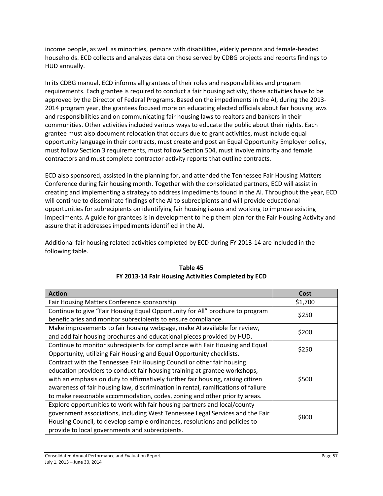income people, as well as minorities, persons with disabilities, elderly persons and female-headed households. ECD collects and analyzes data on those served by CDBG projects and reports findings to HUD annually.

In its CDBG manual, ECD informs all grantees of their roles and responsibilities and program requirements. Each grantee is required to conduct a fair housing activity, those activities have to be approved by the Director of Federal Programs. Based on the impediments in the AI, during the 2013- 2014 program year, the grantees focused more on educating elected officials about fair housing laws and responsibilities and on communicating fair housing laws to realtors and bankers in their communities. Other activities included various ways to educate the public about their rights. Each grantee must also document relocation that occurs due to grant activities, must include equal opportunity language in their contracts, must create and post an Equal Opportunity Employer policy, must follow Section 3 requirements, must follow Section 504, must involve minority and female contractors and must complete contractor activity reports that outline contracts.

ECD also sponsored, assisted in the planning for, and attended the Tennessee Fair Housing Matters Conference during fair housing month. Together with the consolidated partners, ECD will assist in creating and implementing a strategy to address impediments found in the AI. Throughout the year, ECD will continue to disseminate findings of the AI to subrecipients and will provide educational opportunities for subrecipients on identifying fair housing issues and working to improve existing impediments. A guide for grantees is in development to help them plan for the Fair Housing Activity and assure that it addresses impediments identified in the AI.

Additional fair housing related activities completed by ECD during FY 2013-14 are included in the following table.

| <b>Action</b>                                                                     | Cost    |
|-----------------------------------------------------------------------------------|---------|
| Fair Housing Matters Conference sponsorship                                       | \$1,700 |
| Continue to give "Fair Housing Equal Opportunity for All" brochure to program     | \$250   |
| beneficiaries and monitor subrecipients to ensure compliance.                     |         |
| Make improvements to fair housing webpage, make AI available for review,          | \$200   |
| and add fair housing brochures and educational pieces provided by HUD.            |         |
| Continue to monitor subrecipients for compliance with Fair Housing and Equal      | \$250   |
| Opportunity, utilizing Fair Housing and Equal Opportunity checklists.             |         |
| Contract with the Tennessee Fair Housing Council or other fair housing            |         |
| education providers to conduct fair housing training at grantee workshops,        |         |
| with an emphasis on duty to affirmatively further fair housing, raising citizen   | \$500   |
| awareness of fair housing law, discrimination in rental, ramifications of failure |         |
| to make reasonable accommodation, codes, zoning and other priority areas.         |         |
| Explore opportunities to work with fair housing partners and local/county         |         |
| government associations, including West Tennessee Legal Services and the Fair     | \$800   |
| Housing Council, to develop sample ordinances, resolutions and policies to        |         |
| provide to local governments and subrecipients.                                   |         |

## **Table 45 FY 2013-14 Fair Housing Activities Completed by ECD**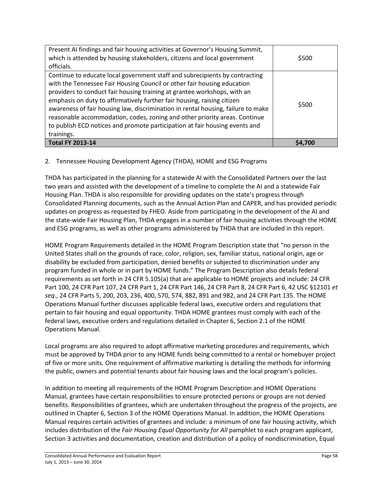| Present AI findings and fair housing activities at Governor's Housing Summit,<br>which is attended by housing stakeholders, citizens and local government<br>officials.                                                                                                                                                                                                                                                                                                                                                                                                      | \$500 |
|------------------------------------------------------------------------------------------------------------------------------------------------------------------------------------------------------------------------------------------------------------------------------------------------------------------------------------------------------------------------------------------------------------------------------------------------------------------------------------------------------------------------------------------------------------------------------|-------|
| Continue to educate local government staff and subrecipients by contracting<br>with the Tennessee Fair Housing Council or other fair housing education<br>providers to conduct fair housing training at grantee workshops, with an<br>emphasis on duty to affirmatively further fair housing, raising citizen<br>awareness of fair housing law, discrimination in rental housing, failure to make<br>reasonable accommodation, codes, zoning and other priority areas. Continue<br>to publish ECD notices and promote participation at fair housing events and<br>trainings. | \$500 |
| <b>Total FY 2013-14</b>                                                                                                                                                                                                                                                                                                                                                                                                                                                                                                                                                      |       |

## 2. Tennessee Housing Development Agency (THDA), HOME and ESG Programs

THDA has participated in the planning for a statewide AI with the Consolidated Partners over the last two years and assisted with the development of a timeline to complete the AI and a statewide Fair Housing Plan. THDA is also responsible for providing updates on the state's progress through Consolidated Planning documents, such as the Annual Action Plan and CAPER, and has provided periodic updates on progress as requested by FHEO. Aside from participating in the development of the AI and the state-wide Fair Housing Plan, THDA engages in a number of fair housing activities through the HOME and ESG programs, as well as other programs administered by THDA that are included in this report.

HOME Program Requirements detailed in the HOME Program Description state that "no person in the United States shall on the grounds of race, color, religion, sex, familiar status, national origin, age or disability be excluded from participation, denied benefits or subjected to discrimination under any program funded in whole or in part by HOME funds." The Program Description also details federal requirements as set forth in 24 CFR 5.105(a) that are applicable to HOME projects and include: 24 CFR Part 100, 24 CFR Part 107, 24 CFR Part 1, 24 CFR Part 146, 24 CFR Part 8, 24 CFR Part 6, 42 USC §12101 *et seq*., 24 CFR Parts 5, 200, 203, 236, 400, 570, 574, 882, 891 and 982, and 24 CFR Part 135. The HOME Operations Manual further discusses applicable federal laws, executive orders and regulations that pertain to fair housing and equal opportunity. THDA HOME grantees must comply with each of the federal laws, executive orders and regulations detailed in Chapter 6, Section 2.1 of the HOME Operations Manual.

Local programs are also required to adopt affirmative marketing procedures and requirements, which must be approved by THDA prior to any HOME funds being committed to a rental or homebuyer project of five or more units. One requirement of affirmative marketing is detailing the methods for informing the public, owners and potential tenants about fair housing laws and the local program's policies.

In addition to meeting all requirements of the HOME Program Description and HOME Operations Manual, grantees have certain responsibilities to ensure protected persons or groups are not denied benefits. Responsibilities of grantees, which are undertaken throughout the progress of the projects, are outlined in Chapter 6, Section 3 of the HOME Operations Manual. In addition, the HOME Operations Manual requires certain activities of grantees and include: a minimum of one fair housing activity, which includes distribution of the *Fair Housing Equal Opportunity for All* pamphlet to each program applicant, Section 3 activities and documentation, creation and distribution of a policy of nondiscrimination, Equal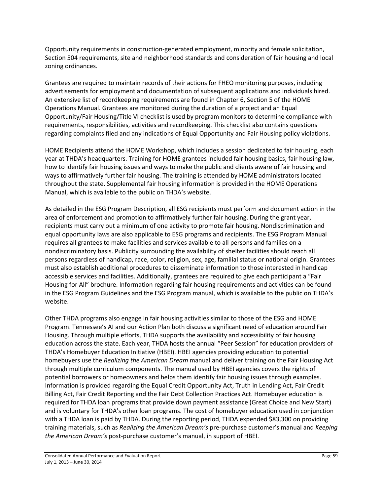Opportunity requirements in construction-generated employment, minority and female solicitation, Section 504 requirements, site and neighborhood standards and consideration of fair housing and local zoning ordinances.

Grantees are required to maintain records of their actions for FHEO monitoring purposes, including advertisements for employment and documentation of subsequent applications and individuals hired. An extensive list of recordkeeping requirements are found in Chapter 6, Section 5 of the HOME Operations Manual. Grantees are monitored during the duration of a project and an Equal Opportunity/Fair Housing/Title VI checklist is used by program monitors to determine compliance with requirements, responsibilities, activities and recordkeeping. This checklist also contains questions regarding complaints filed and any indications of Equal Opportunity and Fair Housing policy violations.

HOME Recipients attend the HOME Workshop, which includes a session dedicated to fair housing, each year at THDA's headquarters. Training for HOME grantees included fair housing basics, fair housing law, how to identify fair housing issues and ways to make the public and clients aware of fair housing and ways to affirmatively further fair housing. The training is attended by HOME administrators located throughout the state. Supplemental fair housing information is provided in the HOME Operations Manual, which is available to the public on THDA's website.

As detailed in the ESG Program Description, all ESG recipients must perform and document action in the area of enforcement and promotion to affirmatively further fair housing. During the grant year, recipients must carry out a minimum of one activity to promote fair housing. Nondiscrimination and equal opportunity laws are also applicable to ESG programs and recipients. The ESG Program Manual requires all grantees to make facilities and services available to all persons and families on a nondiscriminatory basis. Publicity surrounding the availability of shelter facilities should reach all persons regardless of handicap, race, color, religion, sex, age, familial status or national origin. Grantees must also establish additional procedures to disseminate information to those interested in handicap accessible services and facilities. Additionally, grantees are required to give each participant a "Fair Housing for All" brochure. Information regarding fair housing requirements and activities can be found in the ESG Program Guidelines and the ESG Program manual, which is available to the public on THDA's website.

Other THDA programs also engage in fair housing activities similar to those of the ESG and HOME Program. Tennessee's AI and our Action Plan both discuss a significant need of education around Fair Housing. Through multiple efforts, THDA supports the availability and accessibility of fair housing education across the state. Each year, THDA hosts the annual "Peer Session" for education providers of THDA's Homebuyer Education Initiative (HBEI). HBEI agencies providing education to potential homebuyers use the *Realizing the American Dream* manual and deliver training on the Fair Housing Act through multiple curriculum components. The manual used by HBEI agencies covers the rights of potential borrowers or homeowners and helps them identify fair housing issues through examples. Information is provided regarding the Equal Credit Opportunity Act, Truth in Lending Act, Fair Credit Billing Act, Fair Credit Reporting and the Fair Debt Collection Practices Act. Homebuyer education is required for THDA loan programs that provide down payment assistance (Great Choice and New Start) and is voluntary for THDA's other loan programs. The cost of homebuyer education used in conjunction with a THDA loan is paid by THDA. During the reporting period, THDA expended \$83,300 on providing training materials, such as *Realizing the American Dream's* pre-purchase customer's manual and *Keeping the American Dream's* post-purchase customer's manual, in support of HBEI.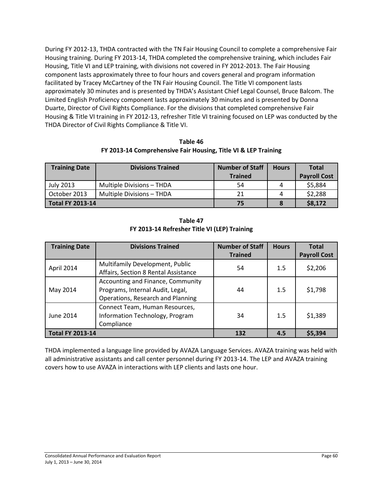During FY 2012-13, THDA contracted with the TN Fair Housing Council to complete a comprehensive Fair Housing training. During FY 2013-14, THDA completed the comprehensive training, which includes Fair Housing, Title VI and LEP training, with divisions not covered in FY 2012-2013. The Fair Housing component lasts approximately three to four hours and covers general and program information facilitated by Tracey McCartney of the TN Fair Housing Council. The Title VI component lasts approximately 30 minutes and is presented by THDA's Assistant Chief Legal Counsel, Bruce Balcom. The Limited English Proficiency component lasts approximately 30 minutes and is presented by Donna Duarte, Director of Civil Rights Compliance. For the divisions that completed comprehensive Fair Housing & Title VI training in FY 2012-13, refresher Title VI training focused on LEP was conducted by the THDA Director of Civil Rights Compliance & Title VI.

**Table 46 FY 2013-14 Comprehensive Fair Housing, Title VI & LEP Training**

| <b>Training Date</b>    | <b>Divisions Trained</b>  | <b>Number of Staff</b><br><b>Trained</b> | <b>Hours</b> | <b>Total</b><br><b>Payroll Cost</b> |
|-------------------------|---------------------------|------------------------------------------|--------------|-------------------------------------|
| July 2013               | Multiple Divisions - THDA | 54                                       |              | \$5,884                             |
| October 2013            | Multiple Divisions - THDA | 21                                       |              | \$2,288                             |
| <b>Total FY 2013-14</b> |                           | 75                                       |              | \$8,172                             |

**Table 47 FY 2013-14 Refresher Title VI (LEP) Training**

| <b>Training Date</b>    | <b>Divisions Trained</b>                                                                                   | <b>Number of Staff</b> | <b>Hours</b> | <b>Total</b>        |
|-------------------------|------------------------------------------------------------------------------------------------------------|------------------------|--------------|---------------------|
|                         |                                                                                                            | <b>Trained</b>         |              | <b>Payroll Cost</b> |
| April 2014              | Multifamily Development, Public<br>Affairs, Section 8 Rental Assistance                                    | 54                     | 1.5          | \$2,206             |
| May 2014                | Accounting and Finance, Community<br>Programs, Internal Audit, Legal,<br>Operations, Research and Planning | 44                     | 1.5          | \$1,798             |
| June 2014               | Connect Team, Human Resources,<br>Information Technology, Program<br>Compliance                            | 34                     | 1.5          | \$1,389             |
| <b>Total FY 2013-14</b> |                                                                                                            | 132                    | 4.5          | \$5,394             |

THDA implemented a language line provided by AVAZA Language Services. AVAZA training was held with all administrative assistants and call center personnel during FY 2013-14. The LEP and AVAZA training covers how to use AVAZA in interactions with LEP clients and lasts one hour.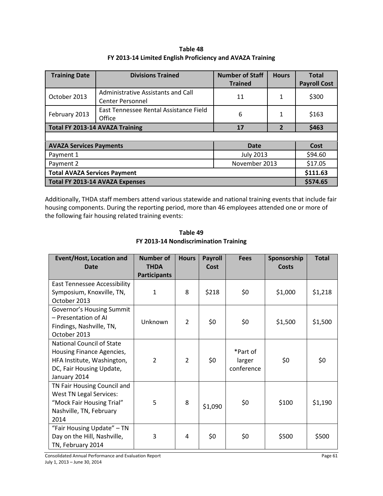**Table 48 FY 2013-14 Limited English Proficiency and AVAZA Training**

| <b>Training Date</b>                   | <b>Divisions Trained</b>                                      | <b>Number of Staff</b><br><b>Trained</b> | <b>Hours</b>   | <b>Total</b><br><b>Payroll Cost</b> |  |
|----------------------------------------|---------------------------------------------------------------|------------------------------------------|----------------|-------------------------------------|--|
| October 2013                           | Administrative Assistants and Call<br><b>Center Personnel</b> | 11                                       | 1              | \$300                               |  |
| February 2013                          | East Tennessee Rental Assistance Field<br>Office              | 6                                        | 1              | \$163                               |  |
|                                        | <b>Total FY 2013-14 AVAZA Training</b>                        | 17                                       | $\overline{2}$ | \$463                               |  |
|                                        |                                                               |                                          |                |                                     |  |
| <b>AVAZA Services Payments</b><br>Date |                                                               |                                          |                |                                     |  |
| Payment 1                              |                                                               | <b>July 2013</b>                         |                | \$94.60                             |  |
| Payment 2                              |                                                               | November 2013                            |                | \$17.05                             |  |
| <b>Total AVAZA Services Payment</b>    |                                                               |                                          |                |                                     |  |
| Total FY 2013-14 AVAZA Expenses        |                                                               |                                          |                |                                     |  |

Additionally, THDA staff members attend various statewide and national training events that include fair housing components. During the reporting period, more than 46 employees attended one or more of the following fair housing related training events:

| <b>Event/Host, Location and</b><br><b>Date</b>                                                                                          | <b>Number of</b><br><b>THDA</b> | <b>Hours</b>   | <b>Payroll</b><br>Cost | <b>Fees</b>                      | Sponsorship<br>Costs | <b>Total</b> |
|-----------------------------------------------------------------------------------------------------------------------------------------|---------------------------------|----------------|------------------------|----------------------------------|----------------------|--------------|
|                                                                                                                                         | <b>Participants</b>             |                |                        |                                  |                      |              |
| <b>East Tennessee Accessibility</b><br>Symposium, Knoxville, TN,<br>October 2013                                                        | $\mathbf{1}$                    | 8              | \$218                  | \$0                              | \$1,000              | \$1,218      |
| Governor's Housing Summit<br>- Presentation of AI<br>Findings, Nashville, TN,<br>October 2013                                           | Unknown                         | $\overline{2}$ | \$0                    | \$0                              | \$1,500              | \$1,500      |
| <b>National Council of State</b><br>Housing Finance Agencies,<br>HFA Institute, Washington,<br>DC, Fair Housing Update,<br>January 2014 | $\overline{2}$                  | $\overline{2}$ | \$0                    | *Part of<br>larger<br>conference | \$0                  | \$0          |
| TN Fair Housing Council and<br><b>West TN Legal Services:</b><br>"Mock Fair Housing Trial"<br>Nashville, TN, February<br>2014           | 5                               | 8              | \$1,090                | \$0                              | \$100                | \$1,190      |
| "Fair Housing Update" - TN<br>Day on the Hill, Nashville,<br>TN, February 2014                                                          | 3                               | 4              | \$0                    | \$0                              | \$500                | \$500        |

**Table 49 FY 2013-14 Nondiscrimination Training**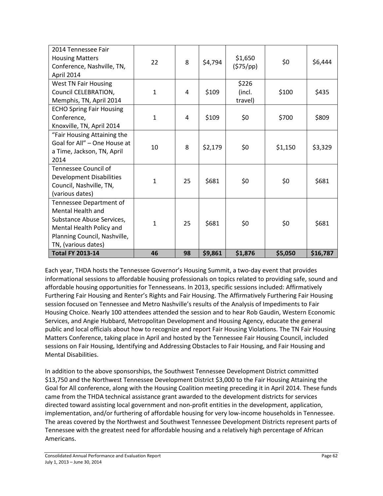| 2014 Tennessee Fair<br><b>Housing Matters</b><br>Conference, Nashville, TN,<br>April 2014                                                                           | 22           | 8  | \$4,794 | \$1,650<br>(575/pp)        | \$0     | \$6,444  |
|---------------------------------------------------------------------------------------------------------------------------------------------------------------------|--------------|----|---------|----------------------------|---------|----------|
| <b>West TN Fair Housing</b><br>Council CELEBRATION,<br>Memphis, TN, April 2014                                                                                      | $\mathbf{1}$ | 4  | \$109   | \$226<br>(incl.<br>travel) | \$100   | \$435    |
| <b>ECHO Spring Fair Housing</b><br>Conference,<br>Knoxville, TN, April 2014                                                                                         | $\mathbf{1}$ | 4  | \$109   | \$0                        | \$700   | \$809    |
| "Fair Housing Attaining the<br>Goal for All" - One House at<br>a Time, Jackson, TN, April<br>2014                                                                   | 10           | 8  | \$2,179 | \$0                        | \$1,150 | \$3,329  |
| Tennessee Council of<br><b>Development Disabilities</b><br>Council, Nashville, TN,<br>(various dates)                                                               | $\mathbf{1}$ | 25 | \$681   | \$0                        | \$0     | \$681    |
| Tennessee Department of<br><b>Mental Health and</b><br>Substance Abuse Services,<br>Mental Health Policy and<br>Planning Council, Nashville,<br>TN, (various dates) | $\mathbf{1}$ | 25 | \$681   | \$0                        | \$0     | \$681    |
| <b>Total FY 2013-14</b>                                                                                                                                             | 46           | 98 | \$9,861 | \$1,876                    | \$5,050 | \$16,787 |

Each year, THDA hosts the Tennessee Governor's Housing Summit, a two-day event that provides informational sessions to affordable housing professionals on topics related to providing safe, sound and affordable housing opportunities for Tennesseans. In 2013, specific sessions included: Affirmatively Furthering Fair Housing and Renter's Rights and Fair Housing. The Affirmatively Furthering Fair Housing session focused on Tennessee and Metro Nashville's results of the Analysis of Impediments to Fair Housing Choice. Nearly 100 attendees attended the session and to hear Rob Gaudin, Western Economic Services, and Angie Hubbard, Metropolitan Development and Housing Agency, educate the general public and local officials about how to recognize and report Fair Housing Violations. The TN Fair Housing Matters Conference, taking place in April and hosted by the Tennessee Fair Housing Council, included sessions on Fair Housing, Identifying and Addressing Obstacles to Fair Housing, and Fair Housing and Mental Disabilities.

In addition to the above sponsorships, the Southwest Tennessee Development District committed \$13,750 and the Northwest Tennessee Development District \$3,000 to the Fair Housing Attaining the Goal for All conference, along with the Housing Coalition meeting preceding it in April 2014. These funds came from the THDA technical assistance grant awarded to the development districts for services directed toward assisting local government and non-profit entities in the development, application, implementation, and/or furthering of affordable housing for very low-income households in Tennessee. The areas covered by the Northwest and Southwest Tennessee Development Districts represent parts of Tennessee with the greatest need for affordable housing and a relatively high percentage of African Americans.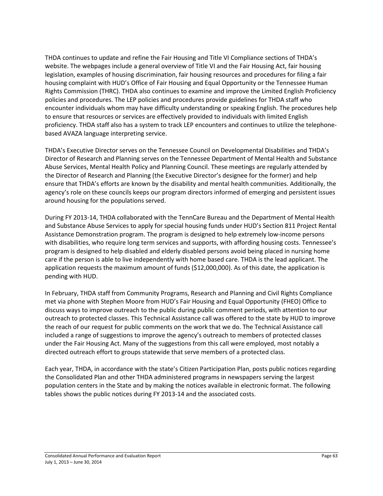THDA continues to update and refine the Fair Housing and Title VI Compliance sections of THDA's website. The webpages include a general overview of Title VI and the Fair Housing Act, fair housing legislation, examples of housing discrimination, fair housing resources and procedures for filing a fair housing complaint with HUD's Office of Fair Housing and Equal Opportunity or the Tennessee Human Rights Commission (THRC). THDA also continues to examine and improve the Limited English Proficiency policies and procedures. The LEP policies and procedures provide guidelines for THDA staff who encounter individuals whom may have difficulty understanding or speaking English. The procedures help to ensure that resources or services are effectively provided to individuals with limited English proficiency. THDA staff also has a system to track LEP encounters and continues to utilize the telephonebased AVAZA language interpreting service.

THDA's Executive Director serves on the Tennessee Council on Developmental Disabilities and THDA's Director of Research and Planning serves on the Tennessee Department of Mental Health and Substance Abuse Services, Mental Health Policy and Planning Council. These meetings are regularly attended by the Director of Research and Planning (the Executive Director's designee for the former) and help ensure that THDA's efforts are known by the disability and mental health communities. Additionally, the agency's role on these councils keeps our program directors informed of emerging and persistent issues around housing for the populations served.

During FY 2013-14, THDA collaborated with the TennCare Bureau and the Department of Mental Health and Substance Abuse Services to apply for special housing funds under HUD's Section 811 Project Rental Assistance Demonstration program. The program is designed to help extremely low-income persons with disabilities, who require long term services and supports, with affording housing costs. Tennessee's program is designed to help disabled and elderly disabled persons avoid being placed in nursing home care if the person is able to live independently with home based care. THDA is the lead applicant. The application requests the maximum amount of funds (\$12,000,000). As of this date, the application is pending with HUD.

In February, THDA staff from Community Programs, Research and Planning and Civil Rights Compliance met via phone with Stephen Moore from HUD's Fair Housing and Equal Opportunity (FHEO) Office to discuss ways to improve outreach to the public during public comment periods, with attention to our outreach to protected classes. This Technical Assistance call was offered to the state by HUD to improve the reach of our request for public comments on the work that we do. The Technical Assistance call included a range of suggestions to improve the agency's outreach to members of protected classes under the Fair Housing Act. Many of the suggestions from this call were employed, most notably a directed outreach effort to groups statewide that serve members of a protected class.

Each year, THDA, in accordance with the state's Citizen Participation Plan, posts public notices regarding the Consolidated Plan and other THDA administered programs in newspapers serving the largest population centers in the State and by making the notices available in electronic format. The following tables shows the public notices during FY 2013-14 and the associated costs.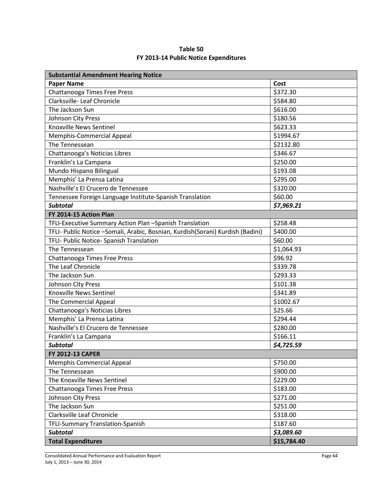| Table 50                              |
|---------------------------------------|
| FY 2013-14 Public Notice Expenditures |

| <b>Substantial Amendment Hearing Notice</b>                                    |             |
|--------------------------------------------------------------------------------|-------------|
| <b>Paper Name</b>                                                              | Cost        |
| Chattanooga Times Free Press                                                   | \$372.30    |
| Clarksville- Leaf Chronicle                                                    | \$584.80    |
| The Jackson Sun                                                                | \$616.00    |
| Johnson City Press                                                             | \$180.56    |
| Knoxville News Sentinel                                                        | \$623.33    |
| Memphis-Commercial Appeal                                                      | \$1994.67   |
| The Tennessean                                                                 | \$2132.80   |
| Chattanooga's Noticias Libres                                                  | \$346.67    |
| Franklin's La Campana                                                          | \$250.00    |
| Mundo Hispano Bilingual                                                        | \$193.08    |
| Memphis' La Prensa Latina                                                      | \$295.00    |
| Nashville's El Crucero de Tennessee                                            | \$320.00    |
| Tennessee Foreign Language Institute-Spanish Translation                       | \$60.00     |
| <b>Subtotal</b>                                                                | \$7,969.21  |
| FY 2014-15 Action Plan                                                         |             |
| TFLI-Executive Summary Action Plan -Spanish Translation                        | \$258.48    |
| TFLI- Public Notice -Somali, Arabic, Bosnian, Kurdish(Sorani) Kurdish (Badini) | \$400.00    |
| TFLI- Public Notice- Spanish Translation                                       | \$60.00     |
| The Tennessean                                                                 | \$1,064.93  |
| Chattanooga Times Free Press                                                   | \$96.92     |
| The Leaf Chronicle                                                             | \$339.78    |
| The Jackson Sun                                                                | \$293.33    |
| Johnson City Press                                                             | \$101.38    |
| <b>Knoxville News Sentinel</b>                                                 | \$341.89    |
| The Commercial Appeal                                                          | \$1002.67   |
| Chattanooga's Noticias Libres                                                  | \$25.66     |
| Memphis' La Prensa Latina                                                      | \$294.44    |
| Nashville's El Crucero de Tennessee                                            | \$280.00    |
| Franklin's La Campana                                                          | \$166.11    |
| <b>Subtotal</b>                                                                | \$4,725.59  |
| <b>FY 2012-13 CAPER</b>                                                        |             |
| <b>Memphis Commercial Appeal</b>                                               | \$750.00    |
| The Tennessean                                                                 | \$900.00    |
| The Knoxville News Sentinel                                                    | \$229.00    |
| Chattanooga Times Free Press                                                   | \$183.00    |
| Johnson City Press                                                             | \$271.00    |
| The Jackson Sun                                                                | \$251.00    |
| Clarksville Leaf Chronicle                                                     | \$318.00    |
| <b>TFLI-Summary Translation-Spanish</b>                                        | \$187.60    |
| <b>Subtotal</b>                                                                | \$3,089.60  |
| <b>Total Expenditures</b>                                                      | \$15,784.40 |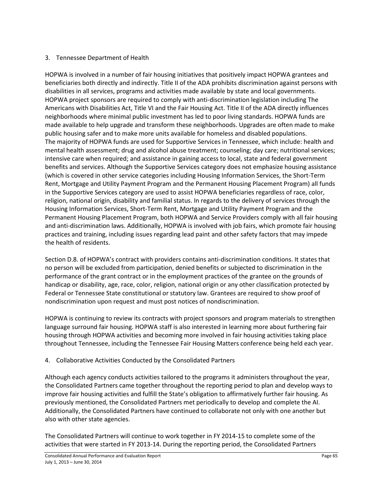#### 3. Tennessee Department of Health

HOPWA is involved in a number of fair housing initiatives that positively impact HOPWA grantees and beneficiaries both directly and indirectly. Title II of the ADA prohibits discrimination against persons with disabilities in all services, programs and activities made available by state and local governments. HOPWA project sponsors are required to comply with anti-discrimination legislation including The Americans with Disabilities Act, Title VI and the Fair Housing Act. Title II of the ADA directly influences neighborhoods where minimal public investment has led to poor living standards. HOPWA funds are made available to help upgrade and transform these neighborhoods. Upgrades are often made to make public housing safer and to make more units available for homeless and disabled populations. The majority of HOPWA funds are used for Supportive Services in Tennessee, which include: health and mental health assessment; drug and alcohol abuse treatment; counseling; day care; nutritional services; intensive care when required; and assistance in gaining access to local, state and federal government benefits and services. Although the Supportive Services category does not emphasize housing assistance (which is covered in other service categories including Housing Information Services, the Short-Term Rent, Mortgage and Utility Payment Program and the Permanent Housing Placement Program) all funds in the Supportive Services category are used to assist HOPWA beneficiaries regardless of race, color, religion, national origin, disability and familial status. In regards to the delivery of services through the Housing Information Services, Short-Term Rent, Mortgage and Utility Payment Program and the Permanent Housing Placement Program, both HOPWA and Service Providers comply with all fair housing and anti-discrimination laws. Additionally, HOPWA is involved with job fairs, which promote fair housing practices and training, including issues regarding lead paint and other safety factors that may impede the health of residents.

Section D.8. of HOPWA's contract with providers contains anti-discrimination conditions. It states that no person will be excluded from participation, denied benefits or subjected to discrimination in the performance of the grant contract or in the employment practices of the grantee on the grounds of handicap or disability, age, race, color, religion, national origin or any other classification protected by Federal or Tennessee State constitutional or statutory law. Grantees are required to show proof of nondiscrimination upon request and must post notices of nondiscrimination.

HOPWA is continuing to review its contracts with project sponsors and program materials to strengthen language surround fair housing. HOPWA staff is also interested in learning more about furthering fair housing through HOPWA activities and becoming more involved in fair housing activities taking place throughout Tennessee, including the Tennessee Fair Housing Matters conference being held each year.

#### 4. Collaborative Activities Conducted by the Consolidated Partners

Although each agency conducts activities tailored to the programs it administers throughout the year, the Consolidated Partners came together throughout the reporting period to plan and develop ways to improve fair housing activities and fulfill the State's obligation to affirmatively further fair housing. As previously mentioned, the Consolidated Partners met periodically to develop and complete the AI. Additionally, the Consolidated Partners have continued to collaborate not only with one another but also with other state agencies.

The Consolidated Partners will continue to work together in FY 2014-15 to complete some of the activities that were started in FY 2013-14. During the reporting period, the Consolidated Partners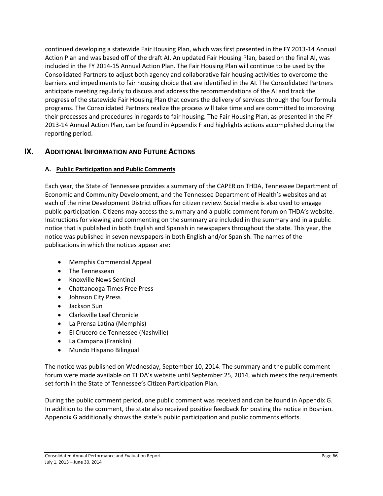continued developing a statewide Fair Housing Plan, which was first presented in the FY 2013-14 Annual Action Plan and was based off of the draft AI. An updated Fair Housing Plan, based on the final AI, was included in the FY 2014-15 Annual Action Plan. The Fair Housing Plan will continue to be used by the Consolidated Partners to adjust both agency and collaborative fair housing activities to overcome the barriers and impediments to fair housing choice that are identified in the AI. The Consolidated Partners anticipate meeting regularly to discuss and address the recommendations of the AI and track the progress of the statewide Fair Housing Plan that covers the delivery of services through the four formula programs. The Consolidated Partners realize the process will take time and are committed to improving their processes and procedures in regards to fair housing. The Fair Housing Plan, as presented in the FY 2013-14 Annual Action Plan, can be found in Appendix F and highlights actions accomplished during the reporting period.

## **IX. ADDITIONAL INFORMATION AND FUTURE ACTIONS**

#### **A. Public Participation and Public Comments**

Each year, the State of Tennessee provides a summary of the CAPER on THDA, Tennessee Department of Economic and Community Development, and the Tennessee Department of Health's websites and at each of the nine Development District offices for citizen review. Social media is also used to engage public participation. Citizens may access the summary and a public comment forum on THDA's website. Instructions for viewing and commenting on the summary are included in the summary and in a public notice that is published in both English and Spanish in newspapers throughout the state. This year, the notice was published in seven newspapers in both English and/or Spanish. The names of the publications in which the notices appear are:

- Memphis Commercial Appeal
- The Tennessean
- Knoxville News Sentinel
- Chattanooga Times Free Press
- Johnson City Press
- Jackson Sun
- Clarksville Leaf Chronicle
- La Prensa Latina (Memphis)
- El Crucero de Tennessee (Nashville)
- La Campana (Franklin)
- Mundo Hispano Bilingual

The notice was published on Wednesday, September 10, 2014. The summary and the public comment forum were made available on THDA's website until September 25, 2014, which meets the requirements set forth in the State of Tennessee's Citizen Participation Plan.

During the public comment period, one public comment was received and can be found in Appendix G. In addition to the comment, the state also received positive feedback for posting the notice in Bosnian. Appendix G additionally shows the state's public participation and public comments efforts.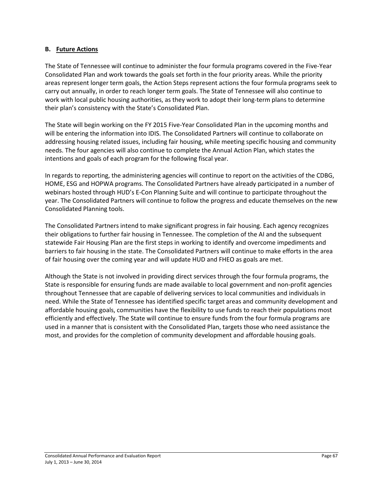#### **B. Future Actions**

The State of Tennessee will continue to administer the four formula programs covered in the Five-Year Consolidated Plan and work towards the goals set forth in the four priority areas. While the priority areas represent longer term goals, the Action Steps represent actions the four formula programs seek to carry out annually, in order to reach longer term goals. The State of Tennessee will also continue to work with local public housing authorities, as they work to adopt their long-term plans to determine their plan's consistency with the State's Consolidated Plan.

The State will begin working on the FY 2015 Five-Year Consolidated Plan in the upcoming months and will be entering the information into IDIS. The Consolidated Partners will continue to collaborate on addressing housing related issues, including fair housing, while meeting specific housing and community needs. The four agencies will also continue to complete the Annual Action Plan, which states the intentions and goals of each program for the following fiscal year.

In regards to reporting, the administering agencies will continue to report on the activities of the CDBG, HOME, ESG and HOPWA programs. The Consolidated Partners have already participated in a number of webinars hosted through HUD's E-Con Planning Suite and will continue to participate throughout the year. The Consolidated Partners will continue to follow the progress and educate themselves on the new Consolidated Planning tools.

The Consolidated Partners intend to make significant progress in fair housing. Each agency recognizes their obligations to further fair housing in Tennessee. The completion of the AI and the subsequent statewide Fair Housing Plan are the first steps in working to identify and overcome impediments and barriers to fair housing in the state. The Consolidated Partners will continue to make efforts in the area of fair housing over the coming year and will update HUD and FHEO as goals are met.

Although the State is not involved in providing direct services through the four formula programs, the State is responsible for ensuring funds are made available to local government and non-profit agencies throughout Tennessee that are capable of delivering services to local communities and individuals in need. While the State of Tennessee has identified specific target areas and community development and affordable housing goals, communities have the flexibility to use funds to reach their populations most efficiently and effectively. The State will continue to ensure funds from the four formula programs are used in a manner that is consistent with the Consolidated Plan, targets those who need assistance the most, and provides for the completion of community development and affordable housing goals.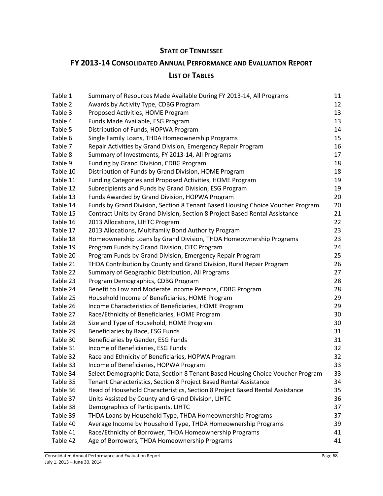## **STATE OF TENNESSEE**

## **FY 2013-14 CONSOLIDATED ANNUAL PERFORMANCE AND EVALUATION REPORT LIST OF TABLES**

| Table 1  | Summary of Resources Made Available During FY 2013-14, All Programs            | 11 |
|----------|--------------------------------------------------------------------------------|----|
| Table 2  | Awards by Activity Type, CDBG Program                                          | 12 |
| Table 3  | Proposed Activities, HOME Program                                              | 13 |
| Table 4  | Funds Made Available, ESG Program                                              | 13 |
| Table 5  | Distribution of Funds, HOPWA Program                                           | 14 |
| Table 6  | Single Family Loans, THDA Homeownership Programs                               | 15 |
| Table 7  | Repair Activities by Grand Division, Emergency Repair Program                  | 16 |
| Table 8  | Summary of Investments, FY 2013-14, All Programs                               | 17 |
| Table 9  | Funding by Grand Division, CDBG Program                                        | 18 |
| Table 10 | Distribution of Funds by Grand Division, HOME Program                          | 18 |
| Table 11 | Funding Categories and Proposed Activities, HOME Program                       | 19 |
| Table 12 | Subrecipients and Funds by Grand Division, ESG Program                         | 19 |
| Table 13 | Funds Awarded by Grand Division, HOPWA Program                                 | 20 |
| Table 14 | Funds by Grand Division, Section 8 Tenant Based Housing Choice Voucher Program | 20 |
| Table 15 | Contract Units by Grand Division, Section 8 Project Based Rental Assistance    | 21 |
| Table 16 | 2013 Allocations, LIHTC Program                                                | 22 |
| Table 17 | 2013 Allocations, Multifamily Bond Authority Program                           | 23 |
| Table 18 | Homeownership Loans by Grand Division, THDA Homeownership Programs             | 23 |
| Table 19 | Program Funds by Grand Division, CITC Program                                  | 24 |
| Table 20 | Program Funds by Grand Division, Emergency Repair Program                      | 25 |
| Table 21 | THDA Contribution by County and Grand Division, Rural Repair Program           | 26 |
| Table 22 | Summary of Geographic Distribution, All Programs                               | 27 |
| Table 23 | Program Demographics, CDBG Program                                             | 28 |
| Table 24 | Benefit to Low and Moderate Income Persons, CDBG Program                       | 28 |
| Table 25 | Household Income of Beneficiaries, HOME Program                                | 29 |
| Table 26 | Income Characteristics of Beneficiaries, HOME Program                          | 29 |
| Table 27 | Race/Ethnicity of Beneficiaries, HOME Program                                  | 30 |
| Table 28 | Size and Type of Household, HOME Program                                       | 30 |
| Table 29 | Beneficiaries by Race, ESG Funds                                               | 31 |
| Table 30 | Beneficiaries by Gender, ESG Funds                                             | 31 |
| Table 31 | Income of Beneficiaries, ESG Funds                                             | 32 |
| Table 32 | Race and Ethnicity of Beneficiaries, HOPWA Program                             | 32 |
| Table 33 | Income of Beneficiaries, HOPWA Program                                         | 33 |
| Table 34 | Select Demographic Data, Section 8 Tenant Based Housing Choice Voucher Program | 33 |
| Table 35 | Tenant Characteristics, Section 8 Project Based Rental Assistance              | 34 |
| Table 36 | Head of Household Characteristics, Section 8 Project Based Rental Assistance   | 35 |
| Table 37 | Units Assisted by County and Grand Division, LIHTC                             | 36 |
| Table 38 | Demographics of Participants, LIHTC                                            | 37 |
| Table 39 | THDA Loans by Household Type, THDA Homeownership Programs                      | 37 |
| Table 40 | Average Income by Household Type, THDA Homeownership Programs                  | 39 |
| Table 41 | Race/Ethnicity of Borrower, THDA Homeownership Programs                        | 41 |
| Table 42 | Age of Borrowers, THDA Homeownership Programs                                  | 41 |